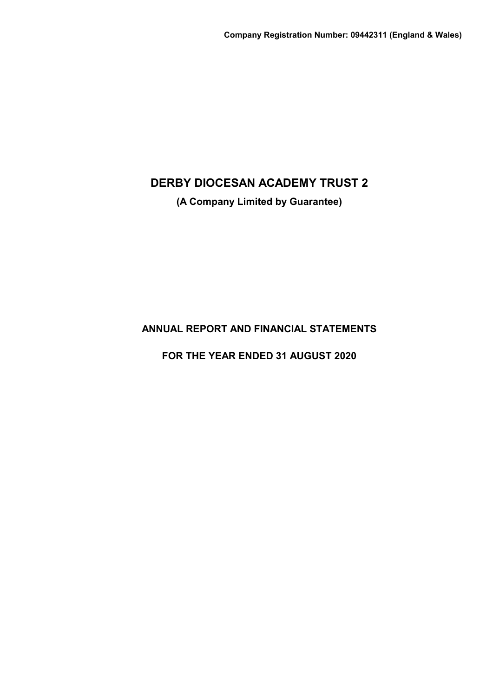**(A Company Limited by Guarantee)**

**ANNUAL REPORT AND FINANCIAL STATEMENTS**

**FOR THE YEAR ENDED 31 AUGUST 2020**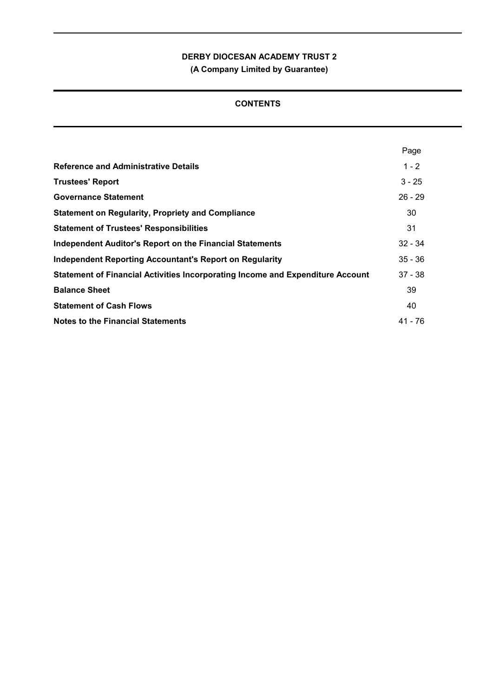**(A Company Limited by Guarantee)**

## **CONTENTS**

|                                                                                | Page      |
|--------------------------------------------------------------------------------|-----------|
| <b>Reference and Administrative Details</b>                                    | $1 - 2$   |
| <b>Trustees' Report</b>                                                        | $3 - 25$  |
| <b>Governance Statement</b>                                                    | $26 - 29$ |
| <b>Statement on Regularity, Propriety and Compliance</b>                       | 30        |
| <b>Statement of Trustees' Responsibilities</b>                                 | 31        |
| Independent Auditor's Report on the Financial Statements                       | $32 - 34$ |
| <b>Independent Reporting Accountant's Report on Regularity</b>                 | $35 - 36$ |
| Statement of Financial Activities Incorporating Income and Expenditure Account | $37 - 38$ |
| <b>Balance Sheet</b>                                                           | 39        |
| <b>Statement of Cash Flows</b>                                                 | 40        |
| Notes to the Financial Statements                                              | 41 - 76   |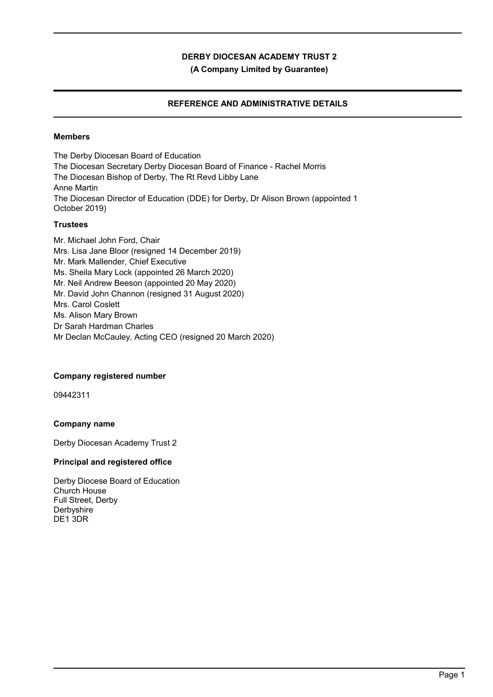**(A Company Limited by Guarantee)**

## **REFERENCE AND ADMINISTRATIVE DETAILS**

### **Members**

The Derby Diocesan Board of Education The Diocesan Secretary Derby Diocesan Board of Finance - Rachel Morris The Diocesan Bishop of Derby, The Rt Revd Libby Lane Anne Martin The Diocesan Director of Education (DDE) for Derby, Dr Alison Brown (appointed 1 October 2019)

### **Trustees**

Mr. Michael John Ford, Chair Mrs. Lisa Jane Bloor (resigned 14 December 2019) Mr. Mark Mallender, Chief Executive Ms. Sheila Mary Lock (appointed 26 March 2020) Mr. Neil Andrew Beeson (appointed 20 May 2020) Mr. David John Channon (resigned 31 August 2020) Mrs. Carol Coslett Ms. Alison Mary Brown Dr Sarah Hardman Charles Mr Declan McCauley, Acting CEO (resigned 20 March 2020)

### **Company registered number**

09442311

### **Company name**

Derby Diocesan Academy Trust 2

### **Principal and registered office**

Derby Diocese Board of Education Church House Full Street, Derby Derbyshire DE1 3DR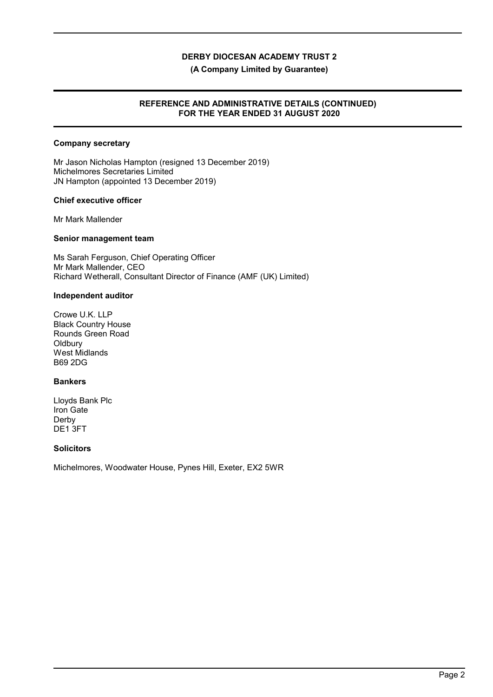#### **(A Company Limited by Guarantee)**

### **REFERENCE AND ADMINISTRATIVE DETAILS (CONTINUED) FOR THE YEAR ENDED 31 AUGUST 2020**

### **Company secretary**

Mr Jason Nicholas Hampton (resigned 13 December 2019) Michelmores Secretaries Limited JN Hampton (appointed 13 December 2019)

### **Chief executive officer**

Mr Mark Mallender

#### **Senior management team**

Ms Sarah Ferguson, Chief Operating Officer Mr Mark Mallender, CEO Richard Wetherall, Consultant Director of Finance (AMF (UK) Limited)

#### **Independent auditor**

Crowe U.K. LLP Black Country House Rounds Green Road **Oldbury** West Midlands B69 2DG

### **Bankers**

Lloyds Bank Plc Iron Gate Derby DE1 3FT

### **Solicitors**

Michelmores, Woodwater House, Pynes Hill, Exeter, EX2 5WR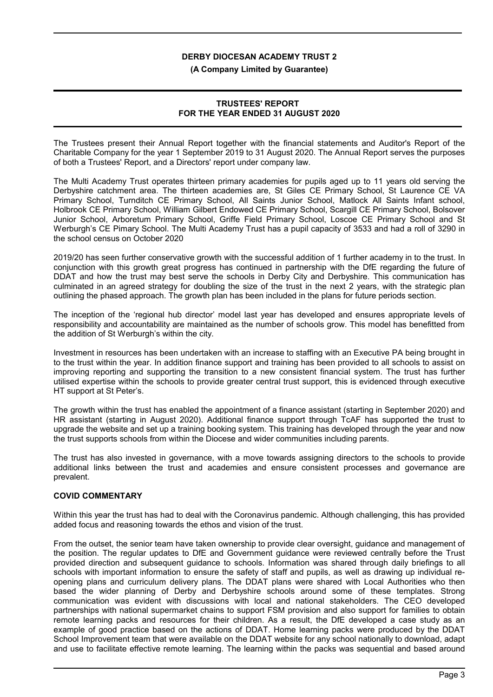#### **(A Company Limited by Guarantee)**

### **TRUSTEES' REPORT FOR THE YEAR ENDED 31 AUGUST 2020**

The Trustees present their Annual Report together with the financial statements and Auditor's Report of the Charitable Company for the year 1 September 2019 to 31 August 2020. The Annual Report serves the purposes of both a Trustees' Report, and a Directors' report under company law.

The Multi Academy Trust operates thirteen primary academies for pupils aged up to 11 years old serving the Derbyshire catchment area. The thirteen academies are, St Giles CE Primary School, St Laurence CE VA Primary School, Turnditch CE Primary School, All Saints Junior School, Matlock All Saints Infant school, Holbrook CE Primary School, William Gilbert Endowed CE Primary School, Scargill CE Primary School, Bolsover Junior School, Arboretum Primary School, Griffe Field Primary School, Loscoe CE Primary School and St Werburgh's CE Pimary School. The Multi Academy Trust has a pupil capacity of 3533 and had a roll of 3290 in the school census on October 2020

2019/20 has seen further conservative growth with the successful addition of 1 further academy in to the trust. In conjunction with this growth great progress has continued in partnership with the DfE regarding the future of DDAT and how the trust may best serve the schools in Derby City and Derbyshire. This communication has culminated in an agreed strategy for doubling the size of the trust in the next 2 years, with the strategic plan outlining the phased approach. The growth plan has been included in the plans for future periods section.

The inception of the 'regional hub director' model last year has developed and ensures appropriate levels of responsibility and accountability are maintained as the number of schools grow. This model has benefitted from the addition of St Werburgh's within the city.

Investment in resources has been undertaken with an increase to staffing with an Executive PA being brought in to the trust within the year. In addition finance support and training has been provided to all schools to assist on improving reporting and supporting the transition to a new consistent financial system. The trust has further utilised expertise within the schools to provide greater central trust support, this is evidenced through executive HT support at St Peter's.

The growth within the trust has enabled the appointment of a finance assistant (starting in September 2020) and HR assistant (starting in August 2020). Additional finance support through TcAF has supported the trust to upgrade the website and set up a training booking system. This training has developed through the year and now the trust supports schools from within the Diocese and wider communities including parents.

The trust has also invested in governance, with a move towards assigning directors to the schools to provide additional links between the trust and academies and ensure consistent processes and governance are prevalent.

### **COVID COMMENTARY**

Within this year the trust has had to deal with the Coronavirus pandemic. Although challenging, this has provided added focus and reasoning towards the ethos and vision of the trust.

From the outset, the senior team have taken ownership to provide clear oversight, guidance and management of the position. The regular updates to DfE and Government guidance were reviewed centrally before the Trust provided direction and subsequent guidance to schools. Information was shared through daily briefings to all schools with important information to ensure the safety of staff and pupils, as well as drawing up individual reopening plans and curriculum delivery plans. The DDAT plans were shared with Local Authorities who then based the wider planning of Derby and Derbyshire schools around some of these templates. Strong communication was evident with discussions with local and national stakeholders. The CEO developed partnerships with national supermarket chains to support FSM provision and also support for families to obtain remote learning packs and resources for their children. As a result, the DfE developed a case study as an example of good practice based on the actions of DDAT. Home learning packs were produced by the DDAT School Improvement team that were available on the DDAT website for any school nationally to download, adapt and use to facilitate effective remote learning. The learning within the packs was sequential and based around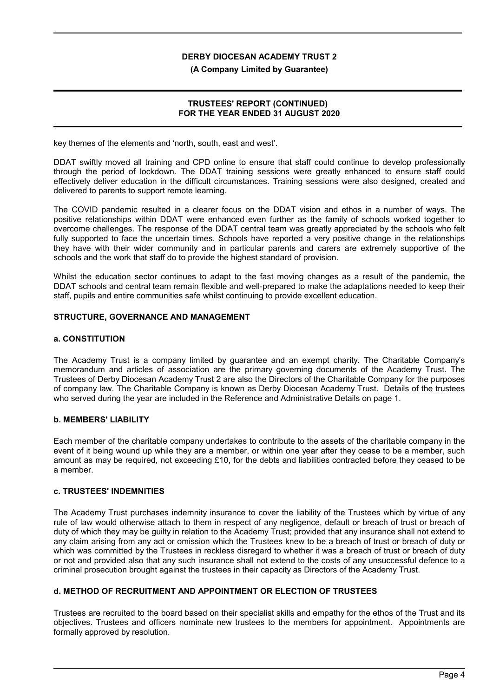#### **(A Company Limited by Guarantee)**

### **TRUSTEES' REPORT (CONTINUED) FOR THE YEAR ENDED 31 AUGUST 2020**

key themes of the elements and 'north, south, east and west'.

DDAT swiftly moved all training and CPD online to ensure that staff could continue to develop professionally through the period of lockdown. The DDAT training sessions were greatly enhanced to ensure staff could effectively deliver education in the difficult circumstances. Training sessions were also designed, created and delivered to parents to support remote learning.

The COVID pandemic resulted in a clearer focus on the DDAT vision and ethos in a number of ways. The positive relationships within DDAT were enhanced even further as the family of schools worked together to overcome challenges. The response of the DDAT central team was greatly appreciated by the schools who felt fully supported to face the uncertain times. Schools have reported a very positive change in the relationships they have with their wider community and in particular parents and carers are extremely supportive of the schools and the work that staff do to provide the highest standard of provision.

Whilst the education sector continues to adapt to the fast moving changes as a result of the pandemic, the DDAT schools and central team remain flexible and well-prepared to make the adaptations needed to keep their staff, pupils and entire communities safe whilst continuing to provide excellent education.

### **STRUCTURE, GOVERNANCE AND MANAGEMENT**

#### **a. CONSTITUTION**

The Academy Trust is a company limited by guarantee and an exempt charity. The Charitable Company's memorandum and articles of association are the primary governing documents of the Academy Trust. The Trustees of Derby Diocesan Academy Trust 2 are also the Directors of the Charitable Company for the purposes of company law. The Charitable Company is known as Derby Diocesan Academy Trust. Details of the trustees who served during the year are included in the Reference and Administrative Details on page 1.

### **b. MEMBERS' LIABILITY**

Each member of the charitable company undertakes to contribute to the assets of the charitable company in the event of it being wound up while they are a member, or within one year after they cease to be a member, such amount as may be required, not exceeding £10, for the debts and liabilities contracted before they ceased to be a member.

### **c. TRUSTEES' INDEMNITIES**

The Academy Trust purchases indemnity insurance to cover the liability of the Trustees which by virtue of any rule of law would otherwise attach to them in respect of any negligence, default or breach of trust or breach of duty of which they may be guilty in relation to the Academy Trust; provided that any insurance shall not extend to any claim arising from any act or omission which the Trustees knew to be a breach of trust or breach of duty or which was committed by the Trustees in reckless disregard to whether it was a breach of trust or breach of duty or not and provided also that any such insurance shall not extend to the costs of any unsuccessful defence to a criminal prosecution brought against the trustees in their capacity as Directors of the Academy Trust.

### **d. METHOD OF RECRUITMENT AND APPOINTMENT OR ELECTION OF TRUSTEES**

Trustees are recruited to the board based on their specialist skills and empathy for the ethos of the Trust and its objectives. Trustees and officers nominate new trustees to the members for appointment. Appointments are formally approved by resolution.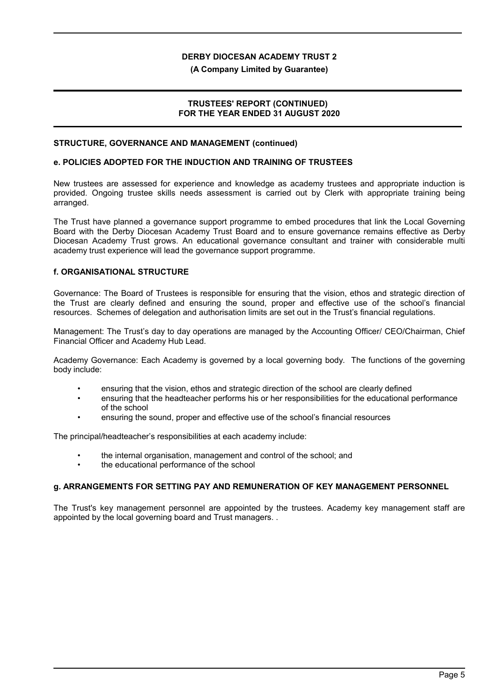**(A Company Limited by Guarantee)**

### **TRUSTEES' REPORT (CONTINUED) FOR THE YEAR ENDED 31 AUGUST 2020**

#### **STRUCTURE, GOVERNANCE AND MANAGEMENT (continued)**

#### **e. POLICIES ADOPTED FOR THE INDUCTION AND TRAINING OF TRUSTEES**

New trustees are assessed for experience and knowledge as academy trustees and appropriate induction is provided. Ongoing trustee skills needs assessment is carried out by Clerk with appropriate training being arranged.

The Trust have planned a governance support programme to embed procedures that link the Local Governing Board with the Derby Diocesan Academy Trust Board and to ensure governance remains effective as Derby Diocesan Academy Trust grows. An educational governance consultant and trainer with considerable multi academy trust experience will lead the governance support programme.

### **f. ORGANISATIONAL STRUCTURE**

Governance: The Board of Trustees is responsible for ensuring that the vision, ethos and strategic direction of the Trust are clearly defined and ensuring the sound, proper and effective use of the school's financial resources. Schemes of delegation and authorisation limits are set out in the Trust's financial regulations.

Management: The Trust's day to day operations are managed by the Accounting Officer/ CEO/Chairman, Chief Financial Officer and Academy Hub Lead.

Academy Governance: Each Academy is governed by a local governing body. The functions of the governing body include:

- ensuring that the vision, ethos and strategic direction of the school are clearly defined
- ensuring that the headteacher performs his or her responsibilities for the educational performance of the school
- ensuring the sound, proper and effective use of the school's financial resources

The principal/headteacher's responsibilities at each academy include:

- the internal organisation, management and control of the school; and
- the educational performance of the school

### **g. ARRANGEMENTS FOR SETTING PAY AND REMUNERATION OF KEY MANAGEMENT PERSONNEL**

The Trust's key management personnel are appointed by the trustees. Academy key management staff are appointed by the local governing board and Trust managers. .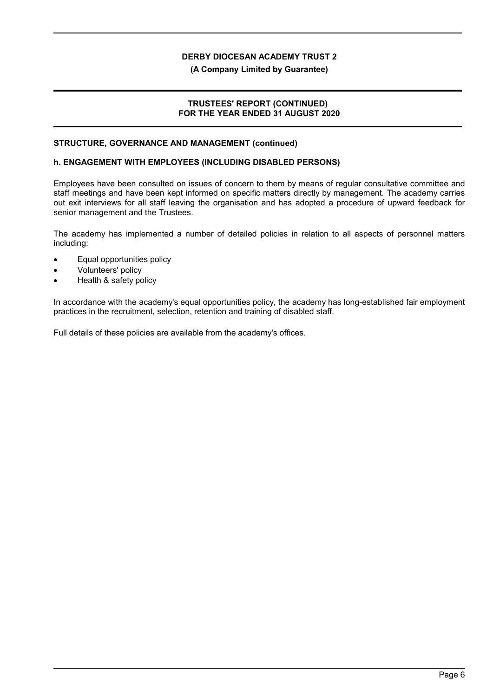#### **(A Company Limited by Guarantee)**

### **TRUSTEES' REPORT (CONTINUED) FOR THE YEAR ENDED 31 AUGUST 2020**

#### **STRUCTURE, GOVERNANCE AND MANAGEMENT (continued)**

#### **h. ENGAGEMENT WITH EMPLOYEES (INCLUDING DISABLED PERSONS)**

Employees have been consulted on issues of concern to them by means of regular consultative committee and staff meetings and have been kept informed on specific matters directly by management. The academy carries out exit interviews for all staff leaving the organisation and has adopted a procedure of upward feedback for senior management and the Trustees.

The academy has implemented a number of detailed policies in relation to all aspects of personnel matters including:

- Equal opportunities policy
- Volunteers' policy
- Health & safety policy

In accordance with the academy's equal opportunities policy, the academy has long-established fair employment practices in the recruitment, selection, retention and training of disabled staff.

Full details of these policies are available from the academy's offices.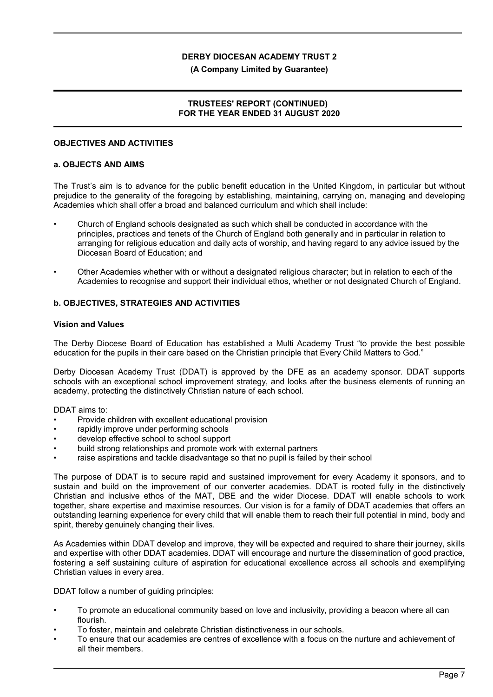#### **(A Company Limited by Guarantee)**

### **TRUSTEES' REPORT (CONTINUED) FOR THE YEAR ENDED 31 AUGUST 2020**

#### **OBJECTIVES AND ACTIVITIES**

#### **a. OBJECTS AND AIMS**

The Trust's aim is to advance for the public benefit education in the United Kingdom, in particular but without prejudice to the generality of the foregoing by establishing, maintaining, carrying on, managing and developing Academies which shall offer a broad and balanced curriculum and which shall include:

- Church of England schools designated as such which shall be conducted in accordance with the principles, practices and tenets of the Church of England both generally and in particular in relation to arranging for religious education and daily acts of worship, and having regard to any advice issued by the Diocesan Board of Education; and
- Other Academies whether with or without a designated religious character; but in relation to each of the Academies to recognise and support their individual ethos, whether or not designated Church of England.

### **b. OBJECTIVES, STRATEGIES AND ACTIVITIES**

#### **Vision and Values**

The Derby Diocese Board of Education has established a Multi Academy Trust "to provide the best possible education for the pupils in their care based on the Christian principle that Every Child Matters to God."

Derby Diocesan Academy Trust (DDAT) is approved by the DFE as an academy sponsor. DDAT supports schools with an exceptional school improvement strategy, and looks after the business elements of running an academy, protecting the distinctively Christian nature of each school.

DDAT aims to:

- Provide children with excellent educational provision
- rapidly improve under performing schools
- develop effective school to school support
- build strong relationships and promote work with external partners
- raise aspirations and tackle disadvantage so that no pupil is failed by their school

The purpose of DDAT is to secure rapid and sustained improvement for every Academy it sponsors, and to sustain and build on the improvement of our converter academies. DDAT is rooted fully in the distinctively Christian and inclusive ethos of the MAT, DBE and the wider Diocese. DDAT will enable schools to work together, share expertise and maximise resources. Our vision is for a family of DDAT academies that offers an outstanding learning experience for every child that will enable them to reach their full potential in mind, body and spirit, thereby genuinely changing their lives.

As Academies within DDAT develop and improve, they will be expected and required to share their journey, skills and expertise with other DDAT academies. DDAT will encourage and nurture the dissemination of good practice, fostering a self sustaining culture of aspiration for educational excellence across all schools and exemplifying Christian values in every area.

DDAT follow a number of guiding principles:

- To promote an educational community based on love and inclusivity, providing a beacon where all can flourish.
- To foster, maintain and celebrate Christian distinctiveness in our schools.
- To ensure that our academies are centres of excellence with a focus on the nurture and achievement of all their members.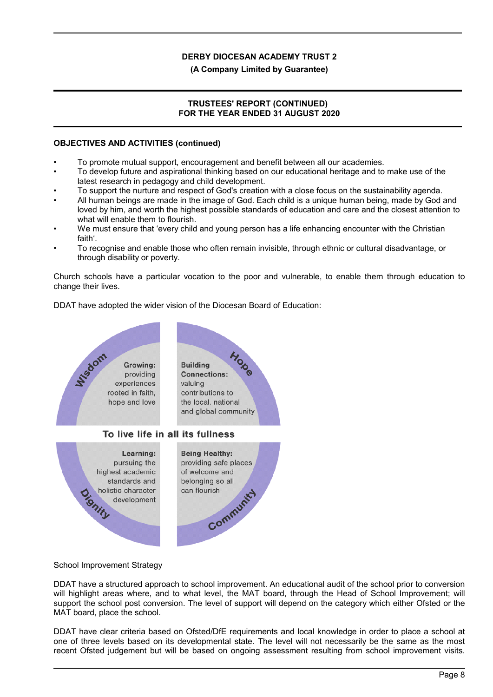#### **(A Company Limited by Guarantee)**

### **TRUSTEES' REPORT (CONTINUED) FOR THE YEAR ENDED 31 AUGUST 2020**

#### **OBJECTIVES AND ACTIVITIES (continued)**

- To promote mutual support, encouragement and benefit between all our academies.
- To develop future and aspirational thinking based on our educational heritage and to make use of the latest research in pedagogy and child development.
- To support the nurture and respect of God's creation with a close focus on the sustainability agenda.
- All human beings are made in the image of God. Each child is a unique human being, made by God and loved by him, and worth the highest possible standards of education and care and the closest attention to what will enable them to flourish.
- We must ensure that 'every child and young person has a life enhancing encounter with the Christian faith'.
- To recognise and enable those who often remain invisible, through ethnic or cultural disadvantage, or through disability or poverty.

Church schools have a particular vocation to the poor and vulnerable, to enable them through education to change their lives.

DDAT have adopted the wider vision of the Diocesan Board of Education:



### School Improvement Strategy

DDAT have a structured approach to school improvement. An educational audit of the school prior to conversion will highlight areas where, and to what level, the MAT board, through the Head of School Improvement; will support the school post conversion. The level of support will depend on the category which either Ofsted or the MAT board, place the school.

DDAT have clear criteria based on Ofsted/DfE requirements and local knowledge in order to place a school at one of three levels based on its developmental state. The level will not necessarily be the same as the most recent Ofsted judgement but will be based on ongoing assessment resulting from school improvement visits.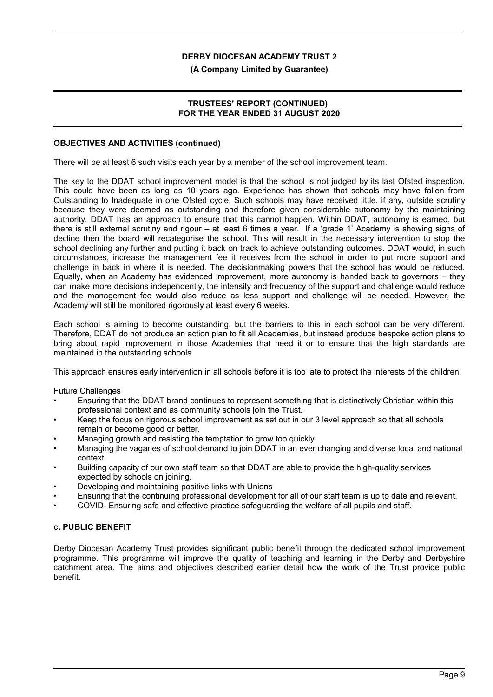#### **(A Company Limited by Guarantee)**

### **TRUSTEES' REPORT (CONTINUED) FOR THE YEAR ENDED 31 AUGUST 2020**

#### **OBJECTIVES AND ACTIVITIES (continued)**

There will be at least 6 such visits each year by a member of the school improvement team.

The key to the DDAT school improvement model is that the school is not judged by its last Ofsted inspection. This could have been as long as 10 years ago. Experience has shown that schools may have fallen from Outstanding to Inadequate in one Ofsted cycle. Such schools may have received little, if any, outside scrutiny because they were deemed as outstanding and therefore given considerable autonomy by the maintaining authority. DDAT has an approach to ensure that this cannot happen. Within DDAT, autonomy is earned, but there is still external scrutiny and rigour – at least 6 times a year. If a 'grade 1' Academy is showing signs of decline then the board will recategorise the school. This will result in the necessary intervention to stop the school declining any further and putting it back on track to achieve outstanding outcomes. DDAT would, in such circumstances, increase the management fee it receives from the school in order to put more support and challenge in back in where it is needed. The decisionmaking powers that the school has would be reduced. Equally, when an Academy has evidenced improvement, more autonomy is handed back to governors – they can make more decisions independently, the intensity and frequency of the support and challenge would reduce and the management fee would also reduce as less support and challenge will be needed. However, the Academy will still be monitored rigorously at least every 6 weeks.

Each school is aiming to become outstanding, but the barriers to this in each school can be very different. Therefore, DDAT do not produce an action plan to fit all Academies, but instead produce bespoke action plans to bring about rapid improvement in those Academies that need it or to ensure that the high standards are maintained in the outstanding schools.

This approach ensures early intervention in all schools before it is too late to protect the interests of the children.

Future Challenges

- Ensuring that the DDAT brand continues to represent something that is distinctively Christian within this professional context and as community schools join the Trust.
- Keep the focus on rigorous school improvement as set out in our 3 level approach so that all schools remain or become good or better.
- Managing growth and resisting the temptation to grow too quickly.
- Managing the vagaries of school demand to join DDAT in an ever changing and diverse local and national context.
- Building capacity of our own staff team so that DDAT are able to provide the high-quality services expected by schools on joining.
- Developing and maintaining positive links with Unions
- Ensuring that the continuing professional development for all of our staff team is up to date and relevant.
- COVID- Ensuring safe and effective practice safeguarding the welfare of all pupils and staff.

### **c. PUBLIC BENEFIT**

Derby Diocesan Academy Trust provides significant public benefit through the dedicated school improvement programme. This programme will improve the quality of teaching and learning in the Derby and Derbyshire catchment area. The aims and objectives described earlier detail how the work of the Trust provide public benefit.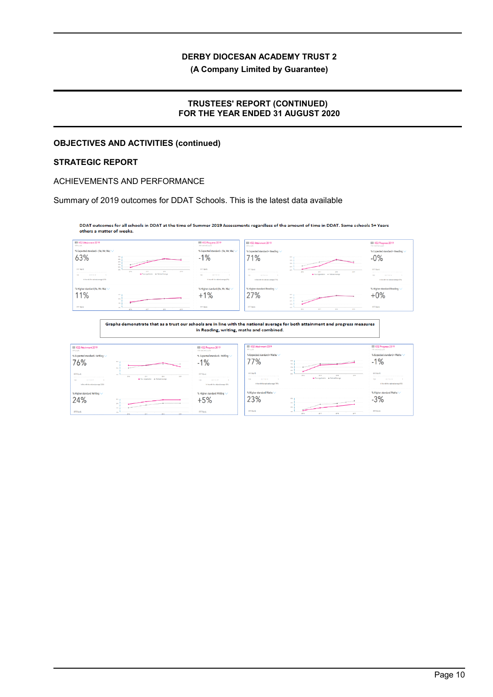**(A Company Limited by Guarantee)**

### **TRUSTEES' REPORT (CONTINUED) FOR THE YEAR ENDED 31 AUGUST 2020**

## **OBJECTIVES AND ACTIVITIES (continued)**

## **STRATEGIC REPORT**

#### ACHIEVEMENTS AND PERFORMANCE

Summary of 2019 outcomes for DDAT Schools. This is the latest data available

DDAT outcomes for all schools in DDAT at the time of Summer 2019 Assessments regardless of the amount of time in DDAT. Some schools 5+ Years others a matter of weeks.



Graphs demonstrate that as a trust our schools are in line with the national average for both attainment and progress measures in Reading, writing, maths and combined.

| EE KS2 Attainment 2019<br>609 pupils                                        |                                                                                                                                                                                                                                                                                                                                                                                                                                                                                            | 03 KS2 Progress 2019<br>768 metched quality                                  | EE KS2 Attainment 2019<br>109 papils            |                                                                                                                                                                                                                                                                                                                                                                                                   | EEI KS2 Progress 2019<br>758 metabod pupils                |
|-----------------------------------------------------------------------------|--------------------------------------------------------------------------------------------------------------------------------------------------------------------------------------------------------------------------------------------------------------------------------------------------------------------------------------------------------------------------------------------------------------------------------------------------------------------------------------------|------------------------------------------------------------------------------|-------------------------------------------------|---------------------------------------------------------------------------------------------------------------------------------------------------------------------------------------------------------------------------------------------------------------------------------------------------------------------------------------------------------------------------------------------------|------------------------------------------------------------|
| % Expected standard+ Writing V                                              |                                                                                                                                                                                                                                                                                                                                                                                                                                                                                            | % Expected standard+ Writing                                                 | % Expected standard+ Maths                      |                                                                                                                                                                                                                                                                                                                                                                                                   | % Expected standard+ Maths $\vee$                          |
| 76%                                                                         | <b>HEND</b>                                                                                                                                                                                                                                                                                                                                                                                                                                                                                | $-1%$                                                                        | 77%                                             | ALC: U<br>design and contract the company<br><b>CALLS:</b>                                                                                                                                                                                                                                                                                                                                        | $-1%$                                                      |
|                                                                             | PERSONAL                                                                                                                                                                                                                                                                                                                                                                                                                                                                                   |                                                                              |                                                 | 20.96<br>$\sim$                                                                                                                                                                                                                                                                                                                                                                                   |                                                            |
| FFT Rank                                                                    | 100<br>2010<br>2014<br>227<br>2012<br>+ Top crashetter + Nettent Avenue                                                                                                                                                                                                                                                                                                                                                                                                                    | <b>FFT Ronk</b>                                                              | FFT Ronk<br><b>AFTER #</b><br>$100 -$<br>$\sim$ | and the<br>20M<br>22.8<br>2279<br>2011<br>· Your experience - · National Avenue                                                                                                                                                                                                                                                                                                                   | <b>FFT Rank</b><br>500                                     |
| 2001<br><b>GETTIN</b> IN<br>$-1$<br>In low with the net lonal average (70%) |                                                                                                                                                                                                                                                                                                                                                                                                                                                                                            | <b>SETTER P.</b><br>100<br>$\sim$<br>In line with the national annuals (250) | In line with the national average (79%)         |                                                                                                                                                                                                                                                                                                                                                                                                   | <b>BETTER IN</b><br>In Tex with the national everage (252) |
|                                                                             |                                                                                                                                                                                                                                                                                                                                                                                                                                                                                            |                                                                              |                                                 |                                                                                                                                                                                                                                                                                                                                                                                                   |                                                            |
| % Higher standard Writing                                                   |                                                                                                                                                                                                                                                                                                                                                                                                                                                                                            | % Higher standard Writing                                                    | % Higher standard Maths \                       |                                                                                                                                                                                                                                                                                                                                                                                                   | % Higher standard Maths                                    |
| 24%                                                                         | 25%                                                                                                                                                                                                                                                                                                                                                                                                                                                                                        | $+5%$                                                                        | 23%                                             | 25.5                                                                                                                                                                                                                                                                                                                                                                                              | $-3%$                                                      |
|                                                                             | $\label{eq:2.1} \begin{split} \frac{1}{2} \left( \frac{1}{2} \left( \frac{1}{2} \left( \frac{1}{2} \right) \left( \frac{1}{2} \right) \left( \frac{1}{2} \right) \left( \frac{1}{2} \right) \left( \frac{1}{2} \right) \left( \frac{1}{2} \right) \left( \frac{1}{2} \right) \left( \frac{1}{2} \right) \left( \frac{1}{2} \right) \left( \frac{1}{2} \right) \left( \frac{1}{2} \right) \left( \frac{1}{2} \right) \left( \frac{1}{2} \right) \left( \frac{1}{2}$<br>and in<br><b>SIG</b> |                                                                              |                                                 | 29.91<br>$A = \frac{1}{2} \left( \frac{1}{2} \sum_{i=1}^n \frac{1}{2} \left( \frac{1}{2} \sum_{i=1}^n \frac{1}{2} \left( \frac{1}{2} \sum_{i=1}^n \frac{1}{2} \right) \right) + \sum_{i=1}^n \frac{1}{2} \sum_{i=1}^n \frac{1}{2} \sum_{i=1}^n \frac{1}{2} \sum_{i=1}^n \frac{1}{2} \sum_{i=1}^n \frac{1}{2} \sum_{i=1}^n \frac{1}{2} \sum_{i=1}^n \frac{1}{2} \sum_{i=1}^n \frac{1}{$<br>$56$ %. |                                                            |
| FFT Rank                                                                    | <b>STR</b><br><b>MAY</b><br>2019<br>3016<br>2010                                                                                                                                                                                                                                                                                                                                                                                                                                           | <b>FFT Rock</b>                                                              | FFT Ronk                                        | 12%<br>2219<br>227.9<br>2014<br>201T                                                                                                                                                                                                                                                                                                                                                              | FFT Rank                                                   |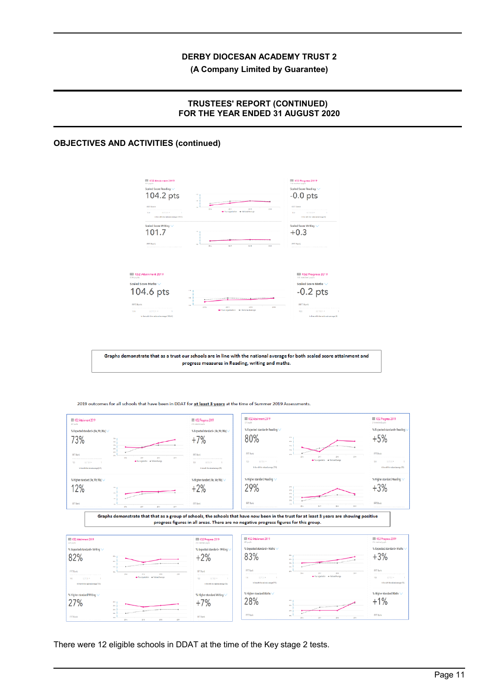### **(A Company Limited by Guarantee)**

### **TRUSTEES' REPORT (CONTINUED) FOR THE YEAR ENDED 31 AUGUST 2020**

## **OBJECTIVES AND ACTIVITIES (continued)**



Graphs demonstrate that as a trust our schools are in line with the national average for both scaled score attainment and progress measures in Reading, writing and maths.

KS2 Attainment 2019 EL KS2 Progress 2019 EE KS2 Attainment 2019 EE KS2 Progress 2019 % Expected standard+ Reading % Expected standard+ Reading % Expected standard+ (Re, Wr, Ma) % Expected standard+ (Re, Wr, Ma) 80%  $+5%$ 73%  $+7%$ 医胃肾炎炎 **FFT** Ran **FFTRan** In line with the red % Higher standard (Re Wr Ma) % Higher standard (Re Wr Ma) % Higher standard Reading % Higher standard Reading 29%  $+3%$ 12%  $+2%$ **FFRenk PPT Rank** FFT Rank **FFT Renk** Graphs demonstrate that that as a group of schools, the schools that have now been in the trust for at least 3 years are showing positive progress figures in all areas. There are no negative progress figures for this group. Ell KS2 Attainment 2019 **ED** KS2 Attoinment 2019 III KS2 Progress 2019 **INTEREST Progress 2019** % Expected standard+ Math % Expected standard+ M % Expected standard+ Wr % Expected standard+ Writing 83%  $+3%$ 82%  $+2%$ **EFT Rank** FFT Ran  $\frac{1}{320}$ intor + Net  $100$ % Higher star % Higher standard Math .<br>X Highe % Higher standard Writing 28%  $+1%$ 27%  $+7%$ .<br>FFT Rank FFT Rank -<br>FFT Rank **FFT Real** 

2019 outcomes for all schools that have been in DDAT for at least 3 years at the time of Summer 2019 Assessments.

There were 12 eligible schools in DDAT at the time of the Key stage 2 tests.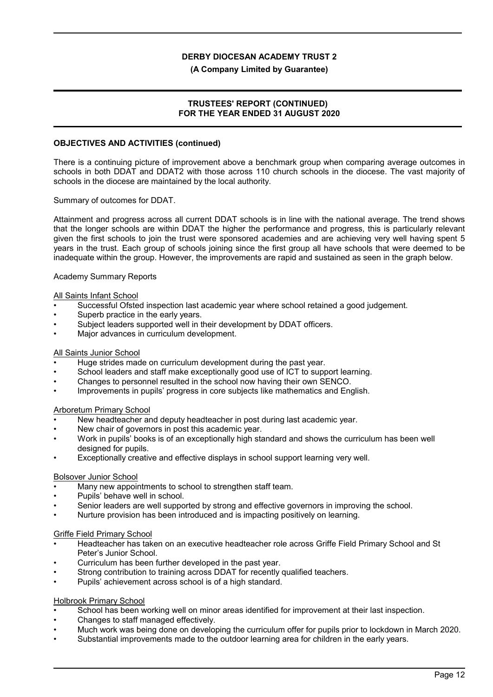#### **(A Company Limited by Guarantee)**

### **TRUSTEES' REPORT (CONTINUED) FOR THE YEAR ENDED 31 AUGUST 2020**

#### **OBJECTIVES AND ACTIVITIES (continued)**

There is a continuing picture of improvement above a benchmark group when comparing average outcomes in schools in both DDAT and DDAT2 with those across 110 church schools in the diocese. The vast majority of schools in the diocese are maintained by the local authority.

Summary of outcomes for DDAT.

Attainment and progress across all current DDAT schools is in line with the national average. The trend shows that the longer schools are within DDAT the higher the performance and progress, this is particularly relevant given the first schools to join the trust were sponsored academies and are achieving very well having spent 5 years in the trust. Each group of schools joining since the first group all have schools that were deemed to be inadequate within the group. However, the improvements are rapid and sustained as seen in the graph below.

Academy Summary Reports

### All Saints Infant School

- Successful Ofsted inspection last academic year where school retained a good judgement.
- Superb practice in the early years.
- Subject leaders supported well in their development by DDAT officers.
- Major advances in curriculum development.

#### All Saints Junior School

- Huge strides made on curriculum development during the past year.
- School leaders and staff make exceptionally good use of ICT to support learning.
- Changes to personnel resulted in the school now having their own SENCO.
- Improvements in pupils' progress in core subjects like mathematics and English.

#### Arboretum Primary School

- New headteacher and deputy headteacher in post during last academic year.
- New chair of governors in post this academic year.
- Work in pupils' books is of an exceptionally high standard and shows the curriculum has been well designed for pupils.
- Exceptionally creative and effective displays in school support learning very well.

#### Bolsover Junior School

- Many new appointments to school to strengthen staff team.
- Pupils' behave well in school.
- Senior leaders are well supported by strong and effective governors in improving the school.
- Nurture provision has been introduced and is impacting positively on learning.

#### Griffe Field Primary School

- Headteacher has taken on an executive headteacher role across Griffe Field Primary School and St Peter's Junior School.
- Curriculum has been further developed in the past year.
- Strong contribution to training across DDAT for recently qualified teachers.
- Pupils' achievement across school is of a high standard.

### Holbrook Primary School

- School has been working well on minor areas identified for improvement at their last inspection.
- Changes to staff managed effectively.
- Much work was being done on developing the curriculum offer for pupils prior to lockdown in March 2020.
- Substantial improvements made to the outdoor learning area for children in the early years.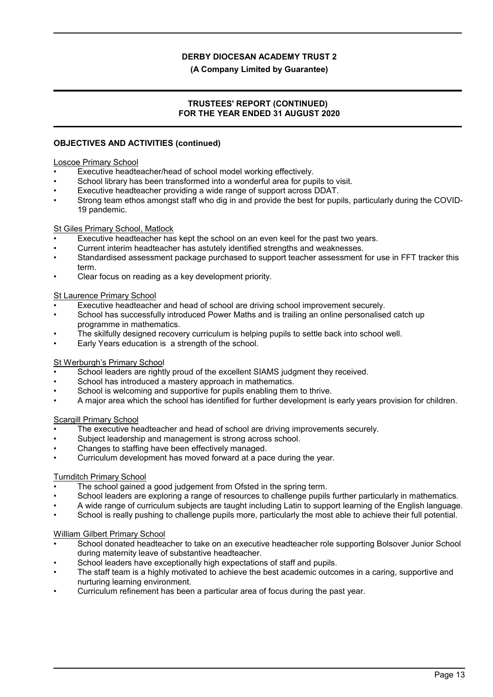#### **(A Company Limited by Guarantee)**

### **TRUSTEES' REPORT (CONTINUED) FOR THE YEAR ENDED 31 AUGUST 2020**

### **OBJECTIVES AND ACTIVITIES (continued)**

#### Loscoe Primary School

- Executive headteacher/head of school model working effectively.
- School library has been transformed into a wonderful area for pupils to visit.
- Executive headteacher providing a wide range of support across DDAT.
- Strong team ethos amongst staff who dig in and provide the best for pupils, particularly during the COVID-19 pandemic.

#### St Giles Primary School, Matlock

- Executive headteacher has kept the school on an even keel for the past two years.
- Current interim headteacher has astutely identified strengths and weaknesses.
- Standardised assessment package purchased to support teacher assessment for use in FFT tracker this term.
- Clear focus on reading as a key development priority.

### St Laurence Primary School

- Executive headteacher and head of school are driving school improvement securely.
- School has successfully introduced Power Maths and is trailing an online personalised catch up programme in mathematics.
- The skilfully designed recovery curriculum is helping pupils to settle back into school well.
- Early Years education is a strength of the school.

#### St Werburgh's Primary School

- School leaders are rightly proud of the excellent SIAMS judgment they received.
- School has introduced a mastery approach in mathematics.
- School is welcoming and supportive for pupils enabling them to thrive.
- A major area which the school has identified for further development is early years provision for children.

#### Scargill Primary School

- The executive headteacher and head of school are driving improvements securely.
- Subject leadership and management is strong across school.
- Changes to staffing have been effectively managed.
- Curriculum development has moved forward at a pace during the year.

### Turnditch Primary School

- The school gained a good judgement from Ofsted in the spring term.
- School leaders are exploring a range of resources to challenge pupils further particularly in mathematics.
- A wide range of curriculum subjects are taught including Latin to support learning of the English language.
- School is really pushing to challenge pupils more, particularly the most able to achieve their full potential.

#### William Gilbert Primary School

- School donated headteacher to take on an executive headteacher role supporting Bolsover Junior School during maternity leave of substantive headteacher.
- School leaders have exceptionally high expectations of staff and pupils.
- The staff team is a highly motivated to achieve the best academic outcomes in a caring, supportive and nurturing learning environment.
- Curriculum refinement has been a particular area of focus during the past year.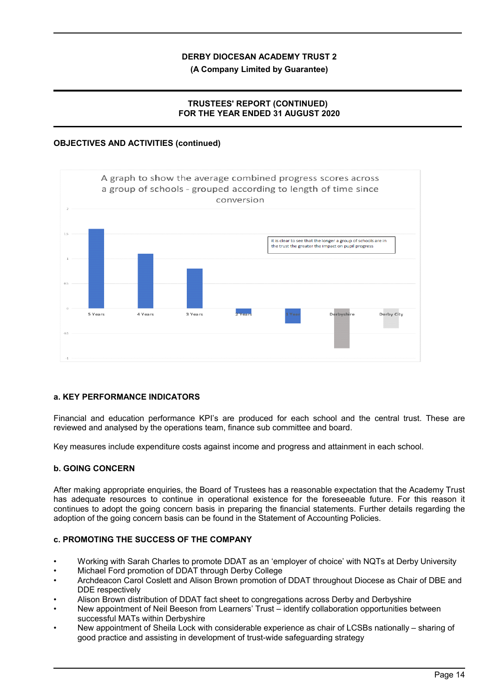**(A Company Limited by Guarantee)**

## **TRUSTEES' REPORT (CONTINUED) FOR THE YEAR ENDED 31 AUGUST 2020**

## **OBJECTIVES AND ACTIVITIES (continued)**



## **a. KEY PERFORMANCE INDICATORS**

Financial and education performance KPI's are produced for each school and the central trust. These are reviewed and analysed by the operations team, finance sub committee and board.

Key measures include expenditure costs against income and progress and attainment in each school.

### **b. GOING CONCERN**

After making appropriate enquiries, the Board of Trustees has a reasonable expectation that the Academy Trust has adequate resources to continue in operational existence for the foreseeable future. For this reason it continues to adopt the going concern basis in preparing the financial statements. Further details regarding the adoption of the going concern basis can be found in the Statement of Accounting Policies.

## **c. PROMOTING THE SUCCESS OF THE COMPANY**

- Working with Sarah Charles to promote DDAT as an 'employer of choice' with NQTs at Derby University
- Michael Ford promotion of DDAT through Derby College
- Archdeacon Carol Coslett and Alison Brown promotion of DDAT throughout Diocese as Chair of DBE and DDE respectively
- Alison Brown distribution of DDAT fact sheet to congregations across Derby and Derbyshire
- New appointment of Neil Beeson from Learners' Trust identify collaboration opportunities between successful MATs within Derbyshire
- New appointment of Sheila Lock with considerable experience as chair of LCSBs nationally sharing of good practice and assisting in development of trust-wide safeguarding strategy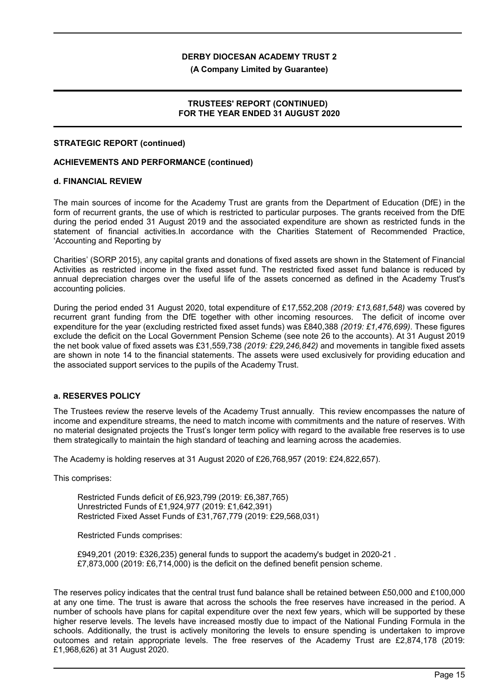**(A Company Limited by Guarantee)**

### **TRUSTEES' REPORT (CONTINUED) FOR THE YEAR ENDED 31 AUGUST 2020**

#### **STRATEGIC REPORT (continued)**

#### **ACHIEVEMENTS AND PERFORMANCE (continued)**

#### **d. FINANCIAL REVIEW**

The main sources of income for the Academy Trust are grants from the Department of Education (DfE) in the form of recurrent grants, the use of which is restricted to particular purposes. The grants received from the DfE during the period ended 31 August 2019 and the associated expenditure are shown as restricted funds in the statement of financial activities.In accordance with the Charities Statement of Recommended Practice, 'Accounting and Reporting by

Charities' (SORP 2015), any capital grants and donations of fixed assets are shown in the Statement of Financial Activities as restricted income in the fixed asset fund. The restricted fixed asset fund balance is reduced by annual depreciation charges over the useful life of the assets concerned as defined in the Academy Trust's accounting policies.

During the period ended 31 August 2020, total expenditure of £17,552,208 *(2019: £13,681,548)* was covered by recurrent grant funding from the DfE together with other incoming resources. The deficit of income over expenditure for the year (excluding restricted fixed asset funds) was £840,388 *(2019: £1,476,699)*. These figures exclude the deficit on the Local Government Pension Scheme (see note 26 to the accounts). At 31 August 2019 the net book value of fixed assets was £31,559,738 *(2019: £29,246,842)* and movements in tangible fixed assets are shown in note 14 to the financial statements. The assets were used exclusively for providing education and the associated support services to the pupils of the Academy Trust.

#### **a. RESERVES POLICY**

The Trustees review the reserve levels of the Academy Trust annually. This review encompasses the nature of income and expenditure streams, the need to match income with commitments and the nature of reserves. With no material designated projects the Trust's longer term policy with regard to the available free reserves is to use them strategically to maintain the high standard of teaching and learning across the academies.

The Academy is holding reserves at 31 August 2020 of £26,768,957 (2019: £24,822,657).

This comprises:

Restricted Funds deficit of £6,923,799 (2019: £6,387,765) Unrestricted Funds of £1,924,977 (2019: £1,642,391) Restricted Fixed Asset Funds of £31,767,779 (2019: £29,568,031)

Restricted Funds comprises:

£949,201 (2019: £326,235) general funds to support the academy's budget in 2020-21 . £7,873,000 (2019: £6,714,000) is the deficit on the defined benefit pension scheme.

The reserves policy indicates that the central trust fund balance shall be retained between £50,000 and £100,000 at any one time. The trust is aware that across the schools the free reserves have increased in the period. A number of schools have plans for capital expenditure over the next few years, which will be supported by these higher reserve levels. The levels have increased mostly due to impact of the National Funding Formula in the schools. Additionally, the trust is actively monitoring the levels to ensure spending is undertaken to improve outcomes and retain appropriate levels. The free reserves of the Academy Trust are £2,874,178 (2019: £1,968,626) at 31 August 2020.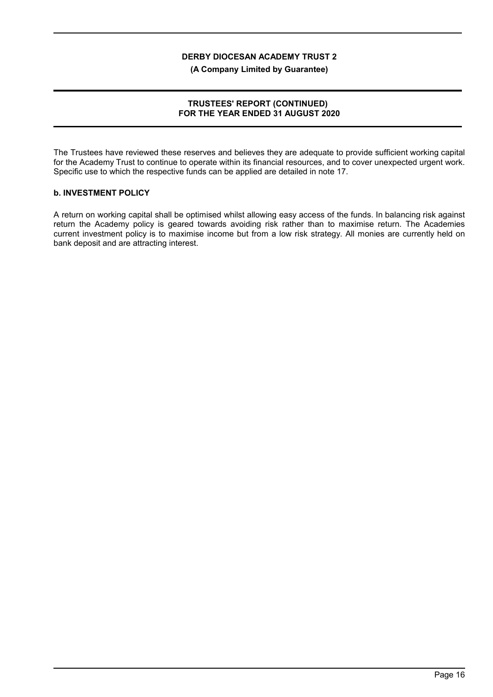**(A Company Limited by Guarantee)**

### **TRUSTEES' REPORT (CONTINUED) FOR THE YEAR ENDED 31 AUGUST 2020**

The Trustees have reviewed these reserves and believes they are adequate to provide sufficient working capital for the Academy Trust to continue to operate within its financial resources, and to cover unexpected urgent work. Specific use to which the respective funds can be applied are detailed in note 17.

#### **b. INVESTMENT POLICY**

A return on working capital shall be optimised whilst allowing easy access of the funds. In balancing risk against return the Academy policy is geared towards avoiding risk rather than to maximise return. The Academies current investment policy is to maximise income but from a low risk strategy. All monies are currently held on bank deposit and are attracting interest.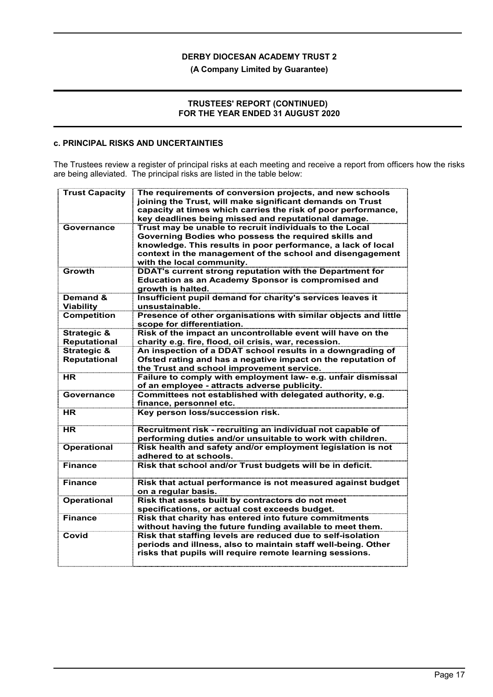### **(A Company Limited by Guarantee)**

### **TRUSTEES' REPORT (CONTINUED) FOR THE YEAR ENDED 31 AUGUST 2020**

## **c. PRINCIPAL RISKS AND UNCERTAINTIES**

The Trustees review a register of principal risks at each meeting and receive a report from officers how the risks are being alleviated. The principal risks are listed in the table below:

| <b>Trust Capacity</b>                         | The requirements of conversion projects, and new schools<br>joining the Trust, will make significant demands on Trust<br>capacity at times which carries the risk of poor performance,<br>key deadlines being missed and reputational damage.                             |
|-----------------------------------------------|---------------------------------------------------------------------------------------------------------------------------------------------------------------------------------------------------------------------------------------------------------------------------|
| Governance                                    | Trust may be unable to recruit individuals to the Local<br>Governing Bodies who possess the required skills and<br>knowledge. This results in poor performance, a lack of local<br>context in the management of the school and disengagement<br>with the local community. |
| Growth                                        | <b>DDAT's current strong reputation with the Department for</b><br><b>Education as an Academy Sponsor is compromised and</b><br>growth is halted.                                                                                                                         |
| Demand &<br><b>Viability</b>                  | Insufficient pupil demand for charity's services leaves it<br>unsustainable.                                                                                                                                                                                              |
| <b>Competition</b>                            | Presence of other organisations with similar objects and little<br>scope for differentiation.                                                                                                                                                                             |
| <b>Strategic &amp;</b><br><b>Reputational</b> | Risk of the impact an uncontrollable event will have on the<br>charity e.g. fire, flood, oil crisis, war, recession.                                                                                                                                                      |
| <b>Strategic &amp;</b><br><b>Reputational</b> | An inspection of a DDAT school results in a downgrading of<br>Ofsted rating and has a negative impact on the reputation of<br>the Trust and school improvement service.                                                                                                   |
| HR.                                           | Failure to comply with employment law- e.g. unfair dismissal<br>of an employee - attracts adverse publicity.                                                                                                                                                              |
| Governance                                    | Committees not established with delegated authority, e.g.<br>finance, personnel etc.                                                                                                                                                                                      |
| HR                                            | Key person loss/succession risk.                                                                                                                                                                                                                                          |
| HR.                                           | Recruitment risk - recruiting an individual not capable of<br>performing duties and/or unsuitable to work with children.                                                                                                                                                  |
| <b>Operational</b>                            | Risk health and safety and/or employment legislation is not<br>adhered to at schools.                                                                                                                                                                                     |
| Finance                                       | Risk that school and/or Trust budgets will be in deficit.                                                                                                                                                                                                                 |
| <b>Finance</b>                                | Risk that actual performance is not measured against budget<br>on a regular basis.                                                                                                                                                                                        |
| <b>Operational</b>                            | Risk that assets built by contractors do not meet<br>specifications, or actual cost exceeds budget.                                                                                                                                                                       |
| <b>Finance</b>                                | Risk that charity has entered into future commitments<br>without having the future funding available to meet them.                                                                                                                                                        |
| Covid                                         | Risk that staffing levels are reduced due to self-isolation<br>periods and illness, also to maintain staff well-being. Other<br>risks that pupils will require remote learning sessions.                                                                                  |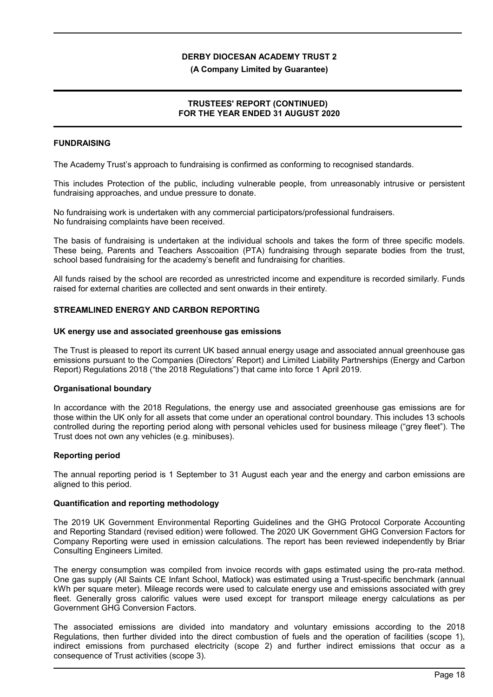#### **(A Company Limited by Guarantee)**

### **TRUSTEES' REPORT (CONTINUED) FOR THE YEAR ENDED 31 AUGUST 2020**

### **FUNDRAISING**

The Academy Trust's approach to fundraising is confirmed as conforming to recognised standards.

This includes Protection of the public, including vulnerable people, from unreasonably intrusive or persistent fundraising approaches, and undue pressure to donate.

No fundraising work is undertaken with any commercial participators/professional fundraisers. No fundraising complaints have been received.

The basis of fundraising is undertaken at the individual schools and takes the form of three specific models. These being, Parents and Teachers Asscoaition (PTA) fundraising through separate bodies from the trust, school based fundraising for the academy's benefit and fundraising for charities.

All funds raised by the school are recorded as unrestricted income and expenditure is recorded similarly. Funds raised for external charities are collected and sent onwards in their entirety.

### **STREAMLINED ENERGY AND CARBON REPORTING**

#### **UK energy use and associated greenhouse gas emissions**

The Trust is pleased to report its current UK based annual energy usage and associated annual greenhouse gas emissions pursuant to the Companies (Directors' Report) and Limited Liability Partnerships (Energy and Carbon Report) Regulations 2018 ("the 2018 Regulations") that came into force 1 April 2019.

#### **Organisational boundary**

In accordance with the 2018 Regulations, the energy use and associated greenhouse gas emissions are for those within the UK only for all assets that come under an operational control boundary. This includes 13 schools controlled during the reporting period along with personal vehicles used for business mileage ("grey fleet"). The Trust does not own any vehicles (e.g. minibuses).

#### **Reporting period**

The annual reporting period is 1 September to 31 August each year and the energy and carbon emissions are aligned to this period.

#### **Quantification and reporting methodology**

The 2019 UK Government Environmental Reporting Guidelines and the GHG Protocol Corporate Accounting and Reporting Standard (revised edition) were followed. The 2020 UK Government GHG Conversion Factors for Company Reporting were used in emission calculations. The report has been reviewed independently by Briar Consulting Engineers Limited.

The energy consumption was compiled from invoice records with gaps estimated using the pro-rata method. One gas supply (All Saints CE Infant School, Matlock) was estimated using a Trust-specific benchmark (annual kWh per square meter). Mileage records were used to calculate energy use and emissions associated with grey fleet. Generally gross calorific values were used except for transport mileage energy calculations as per Government GHG Conversion Factors.

The associated emissions are divided into mandatory and voluntary emissions according to the 2018 Regulations, then further divided into the direct combustion of fuels and the operation of facilities (scope 1), indirect emissions from purchased electricity (scope 2) and further indirect emissions that occur as a consequence of Trust activities (scope 3).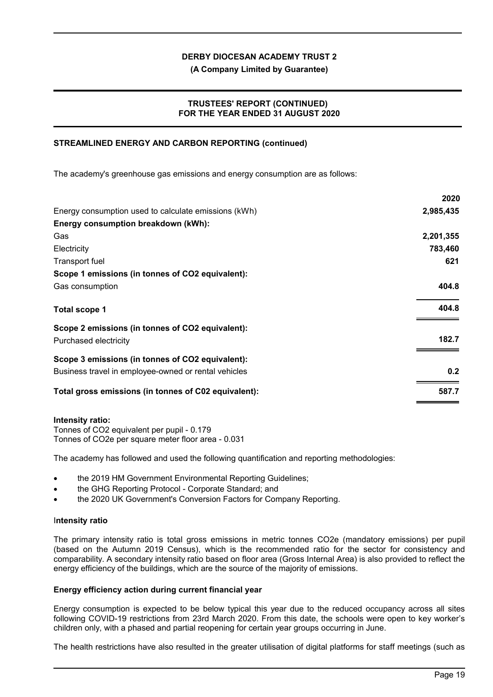**(A Company Limited by Guarantee)**

### **TRUSTEES' REPORT (CONTINUED) FOR THE YEAR ENDED 31 AUGUST 2020**

### **STREAMLINED ENERGY AND CARBON REPORTING (continued)**

The academy's greenhouse gas emissions and energy consumption are as follows:

|                                                      | ZUZU      |
|------------------------------------------------------|-----------|
| Energy consumption used to calculate emissions (kWh) | 2,985,435 |
| Energy consumption breakdown (kWh):                  |           |
| Gas                                                  | 2,201,355 |
| Electricity                                          | 783,460   |
| Transport fuel                                       | 621       |
| Scope 1 emissions (in tonnes of CO2 equivalent):     |           |
| Gas consumption                                      | 404.8     |
| <b>Total scope 1</b>                                 | 404.8     |
| Scope 2 emissions (in tonnes of CO2 equivalent):     |           |
| Purchased electricity                                | 182.7     |
| Scope 3 emissions (in tonnes of CO2 equivalent):     |           |
| Business travel in employee-owned or rental vehicles | 0.2       |
| Total gross emissions (in tonnes of C02 equivalent): | 587.7     |
|                                                      |           |

#### **Intensity ratio:**

Tonnes of CO2 equivalent per pupil - 0.179 Tonnes of CO2e per square meter floor area - 0.031

The academy has followed and used the following quantification and reporting methodologies:

- the 2019 HM Government Environmental Reporting Guidelines;
- the GHG Reporting Protocol Corporate Standard; and
- the 2020 UK Government's Conversion Factors for Company Reporting.

### I**ntensity ratio**

The primary intensity ratio is total gross emissions in metric tonnes CO2e (mandatory emissions) per pupil (based on the Autumn 2019 Census), which is the recommended ratio for the sector for consistency and comparability. A secondary intensity ratio based on floor area (Gross Internal Area) is also provided to reflect the energy efficiency of the buildings, which are the source of the majority of emissions.

### **Energy efficiency action during current financial year**

Energy consumption is expected to be below typical this year due to the reduced occupancy across all sites following COVID-19 restrictions from 23rd March 2020. From this date, the schools were open to key worker's children only, with a phased and partial reopening for certain year groups occurring in June.

The health restrictions have also resulted in the greater utilisation of digital platforms for staff meetings (such as

**2020**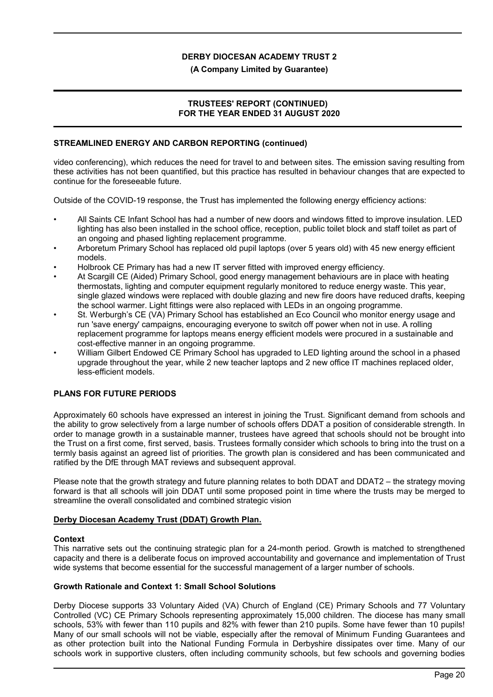#### **(A Company Limited by Guarantee)**

### **TRUSTEES' REPORT (CONTINUED) FOR THE YEAR ENDED 31 AUGUST 2020**

### **STREAMLINED ENERGY AND CARBON REPORTING (continued)**

video conferencing), which reduces the need for travel to and between sites. The emission saving resulting from these activities has not been quantified, but this practice has resulted in behaviour changes that are expected to continue for the foreseeable future.

Outside of the COVID-19 response, the Trust has implemented the following energy efficiency actions:

- All Saints CE Infant School has had a number of new doors and windows fitted to improve insulation. LED lighting has also been installed in the school office, reception, public toilet block and staff toilet as part of an ongoing and phased lighting replacement programme.
- Arboretum Primary School has replaced old pupil laptops (over 5 years old) with 45 new energy efficient models.
- Holbrook CE Primary has had a new IT server fitted with improved energy efficiency.
- At Scargill CE (Aided) Primary School, good energy management behaviours are in place with heating thermostats, lighting and computer equipment regularly monitored to reduce energy waste. This year, single glazed windows were replaced with double glazing and new fire doors have reduced drafts, keeping the school warmer. Light fittings were also replaced with LEDs in an ongoing programme.
- St. Werburgh's CE (VA) Primary School has established an Eco Council who monitor energy usage and run 'save energy' campaigns, encouraging everyone to switch off power when not in use. A rolling replacement programme for laptops means energy efficient models were procured in a sustainable and cost-effective manner in an ongoing programme.
- William Gilbert Endowed CE Primary School has upgraded to LED lighting around the school in a phased upgrade throughout the year, while 2 new teacher laptops and 2 new office IT machines replaced older, less-efficient models.

### **PLANS FOR FUTURE PERIODS**

Approximately 60 schools have expressed an interest in joining the Trust. Significant demand from schools and the ability to grow selectively from a large number of schools offers DDAT a position of considerable strength. In order to manage growth in a sustainable manner, trustees have agreed that schools should not be brought into the Trust on a first come, first served, basis. Trustees formally consider which schools to bring into the trust on a termly basis against an agreed list of priorities. The growth plan is considered and has been communicated and ratified by the DfE through MAT reviews and subsequent approval.

Please note that the growth strategy and future planning relates to both DDAT and DDAT2 – the strategy moving forward is that all schools will join DDAT until some proposed point in time where the trusts may be merged to streamline the overall consolidated and combined strategic vision

### **Derby Diocesan Academy Trust (DDAT) Growth Plan.**

#### **Context**

This narrative sets out the continuing strategic plan for a 24-month period. Growth is matched to strengthened capacity and there is a deliberate focus on improved accountability and governance and implementation of Trust wide systems that become essential for the successful management of a larger number of schools.

#### **Growth Rationale and Context 1: Small School Solutions**

Derby Diocese supports 33 Voluntary Aided (VA) Church of England (CE) Primary Schools and 77 Voluntary Controlled (VC) CE Primary Schools representing approximately 15,000 children. The diocese has many small schools, 53% with fewer than 110 pupils and 82% with fewer than 210 pupils. Some have fewer than 10 pupils! Many of our small schools will not be viable, especially after the removal of Minimum Funding Guarantees and as other protection built into the National Funding Formula in Derbyshire dissipates over time. Many of our schools work in supportive clusters, often including community schools, but few schools and governing bodies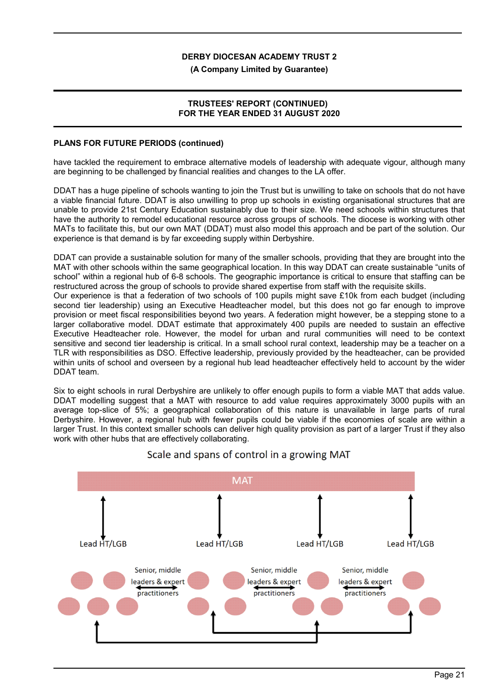#### **(A Company Limited by Guarantee)**

### **TRUSTEES' REPORT (CONTINUED) FOR THE YEAR ENDED 31 AUGUST 2020**

#### **PLANS FOR FUTURE PERIODS (continued)**

have tackled the requirement to embrace alternative models of leadership with adequate vigour, although many are beginning to be challenged by financial realities and changes to the LA offer.

DDAT has a huge pipeline of schools wanting to join the Trust but is unwilling to take on schools that do not have a viable financial future. DDAT is also unwilling to prop up schools in existing organisational structures that are unable to provide 21st Century Education sustainably due to their size. We need schools within structures that have the authority to remodel educational resource across groups of schools. The diocese is working with other MATs to facilitate this, but our own MAT (DDAT) must also model this approach and be part of the solution. Our experience is that demand is by far exceeding supply within Derbyshire.

DDAT can provide a sustainable solution for many of the smaller schools, providing that they are brought into the MAT with other schools within the same geographical location. In this way DDAT can create sustainable "units of school" within a regional hub of 6-8 schools. The geographic importance is critical to ensure that staffing can be restructured across the group of schools to provide shared expertise from staff with the requisite skills.

Our experience is that a federation of two schools of 100 pupils might save £10k from each budget (including second tier leadership) using an Executive Headteacher model, but this does not go far enough to improve provision or meet fiscal responsibilities beyond two years. A federation might however, be a stepping stone to a larger collaborative model. DDAT estimate that approximately 400 pupils are needed to sustain an effective Executive Headteacher role. However, the model for urban and rural communities will need to be context sensitive and second tier leadership is critical. In a small school rural context, leadership may be a teacher on a TLR with responsibilities as DSO. Effective leadership, previously provided by the headteacher, can be provided within units of school and overseen by a regional hub lead headteacher effectively held to account by the wider DDAT team.

Six to eight schools in rural Derbyshire are unlikely to offer enough pupils to form a viable MAT that adds value. DDAT modelling suggest that a MAT with resource to add value requires approximately 3000 pupils with an average top-slice of 5%; a geographical collaboration of this nature is unavailable in large parts of rural Derbyshire. However, a regional hub with fewer pupils could be viable if the economies of scale are within a larger Trust. In this context smaller schools can deliver high quality provision as part of a larger Trust if they also work with other hubs that are effectively collaborating.



## Scale and spans of control in a growing MAT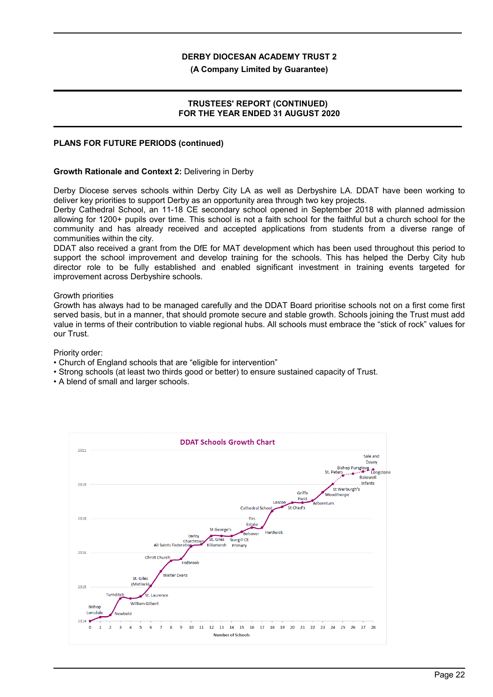#### **(A Company Limited by Guarantee)**

### **TRUSTEES' REPORT (CONTINUED) FOR THE YEAR ENDED 31 AUGUST 2020**

#### **PLANS FOR FUTURE PERIODS (continued)**

#### **Growth Rationale and Context 2:** Delivering in Derby

Derby Diocese serves schools within Derby City LA as well as Derbyshire LA. DDAT have been working to deliver key priorities to support Derby as an opportunity area through two key projects.

Derby Cathedral School, an 11-18 CE secondary school opened in September 2018 with planned admission allowing for 1200+ pupils over time. This school is not a faith school for the faithful but a church school for the community and has already received and accepted applications from students from a diverse range of communities within the city.

DDAT also received a grant from the DfE for MAT development which has been used throughout this period to support the school improvement and develop training for the schools. This has helped the Derby City hub director role to be fully established and enabled significant investment in training events targeted for improvement across Derbyshire schools.

#### Growth priorities

Growth has always had to be managed carefully and the DDAT Board prioritise schools not on a first come first served basis, but in a manner, that should promote secure and stable growth. Schools joining the Trust must add value in terms of their contribution to viable regional hubs. All schools must embrace the "stick of rock" values for our Trust.

Priority order:

- Church of England schools that are "eligible for intervention"
- Strong schools (at least two thirds good or better) to ensure sustained capacity of Trust.
- A blend of small and larger schools.

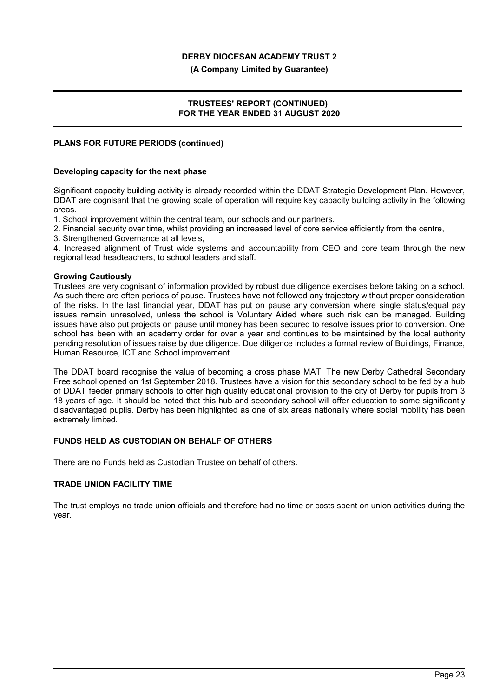#### **(A Company Limited by Guarantee)**

### **TRUSTEES' REPORT (CONTINUED) FOR THE YEAR ENDED 31 AUGUST 2020**

#### **PLANS FOR FUTURE PERIODS (continued)**

#### **Developing capacity for the next phase**

Significant capacity building activity is already recorded within the DDAT Strategic Development Plan. However, DDAT are cognisant that the growing scale of operation will require key capacity building activity in the following areas.

1. School improvement within the central team, our schools and our partners.

2. Financial security over time, whilst providing an increased level of core service efficiently from the centre,

3. Strengthened Governance at all levels,

4. Increased alignment of Trust wide systems and accountability from CEO and core team through the new regional lead headteachers, to school leaders and staff.

#### **Growing Cautiously**

Trustees are very cognisant of information provided by robust due diligence exercises before taking on a school. As such there are often periods of pause. Trustees have not followed any trajectory without proper consideration of the risks. In the last financial year, DDAT has put on pause any conversion where single status/equal pay issues remain unresolved, unless the school is Voluntary Aided where such risk can be managed. Building issues have also put projects on pause until money has been secured to resolve issues prior to conversion. One school has been with an academy order for over a year and continues to be maintained by the local authority pending resolution of issues raise by due diligence. Due diligence includes a formal review of Buildings, Finance, Human Resource, ICT and School improvement.

The DDAT board recognise the value of becoming a cross phase MAT. The new Derby Cathedral Secondary Free school opened on 1st September 2018. Trustees have a vision for this secondary school to be fed by a hub of DDAT feeder primary schools to offer high quality educational provision to the city of Derby for pupils from 3 18 years of age. It should be noted that this hub and secondary school will offer education to some significantly disadvantaged pupils. Derby has been highlighted as one of six areas nationally where social mobility has been extremely limited.

### **FUNDS HELD AS CUSTODIAN ON BEHALF OF OTHERS**

There are no Funds held as Custodian Trustee on behalf of others.

### **TRADE UNION FACILITY TIME**

The trust employs no trade union officials and therefore had no time or costs spent on union activities during the year.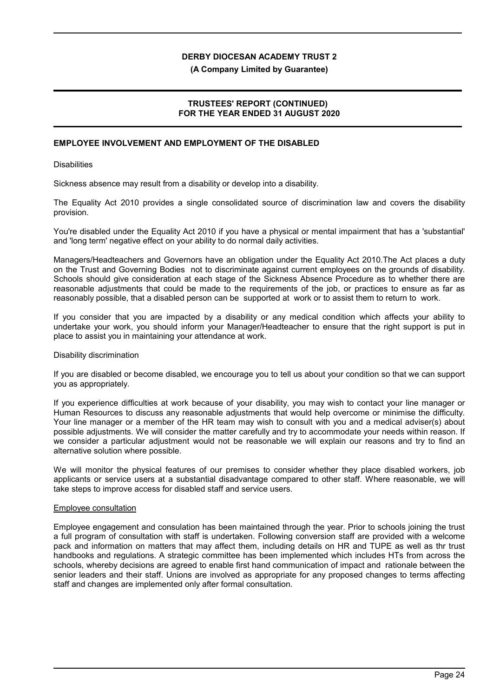#### **(A Company Limited by Guarantee)**

### **TRUSTEES' REPORT (CONTINUED) FOR THE YEAR ENDED 31 AUGUST 2020**

## **EMPLOYEE INVOLVEMENT AND EMPLOYMENT OF THE DISABLED**

**Disabilities** 

Sickness absence may result from a disability or develop into a disability.

The Equality Act 2010 provides a single consolidated source of discrimination law and covers the disability provision.

You're disabled under the Equality Act 2010 if you have a physical or mental impairment that has a 'substantial' and 'long term' negative effect on your ability to do normal daily activities.

Managers/Headteachers and Governors have an obligation under the Equality Act 2010.The Act places a duty on the Trust and Governing Bodies not to discriminate against current employees on the grounds of disability. Schools should give consideration at each stage of the Sickness Absence Procedure as to whether there are reasonable adjustments that could be made to the requirements of the job, or practices to ensure as far as reasonably possible, that a disabled person can be supported at work or to assist them to return to work.

If you consider that you are impacted by a disability or any medical condition which affects your ability to undertake your work, you should inform your Manager/Headteacher to ensure that the right support is put in place to assist you in maintaining your attendance at work.

#### Disability discrimination

If you are disabled or become disabled, we encourage you to tell us about your condition so that we can support you as appropriately.

If you experience difficulties at work because of your disability, you may wish to contact your line manager or Human Resources to discuss any reasonable adjustments that would help overcome or minimise the difficulty. Your line manager or a member of the HR team may wish to consult with you and a medical adviser(s) about possible adjustments. We will consider the matter carefully and try to accommodate your needs within reason. If we consider a particular adjustment would not be reasonable we will explain our reasons and try to find an alternative solution where possible.

We will monitor the physical features of our premises to consider whether they place disabled workers, job applicants or service users at a substantial disadvantage compared to other staff. Where reasonable, we will take steps to improve access for disabled staff and service users.

#### Employee consultation

Employee engagement and consulation has been maintained through the year. Prior to schools joining the trust a full program of consultation with staff is undertaken. Following conversion staff are provided with a welcome pack and information on matters that may affect them, including details on HR and TUPE as well as thr trust handbooks and regulations. A strategic committee has been implemented which includes HTs from across the schools, whereby decisions are agreed to enable first hand communication of impact and rationale between the senior leaders and their staff. Unions are involved as appropriate for any proposed changes to terms affecting staff and changes are implemented only after formal consultation.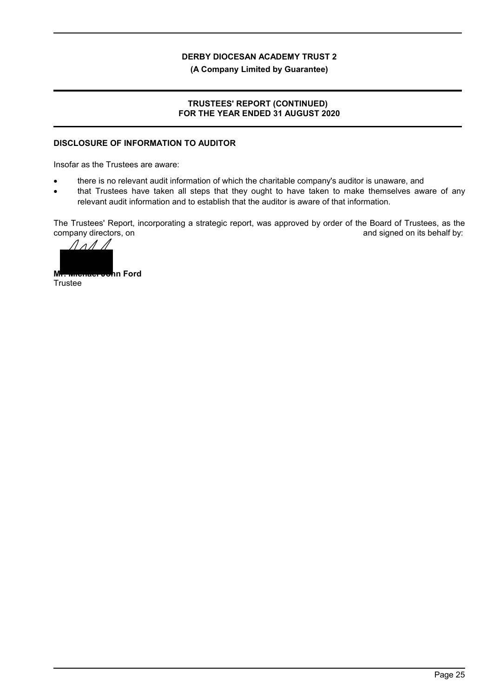**(A Company Limited by Guarantee)**

### **TRUSTEES' REPORT (CONTINUED) FOR THE YEAR ENDED 31 AUGUST 2020**

## **DISCLOSURE OF INFORMATION TO AUDITOR**

Insofar as the Trustees are aware:

- there is no relevant audit information of which the charitable company's auditor is unaware, and
- that Trustees have taken all steps that they ought to have taken to make themselves aware of any relevant audit information and to establish that the auditor is aware of that information.

The Trustees' Report, incorporating a strategic report, was approved by order of the Board of Trustees, as the company directors, on  $\blacksquare$ 



**Trustee**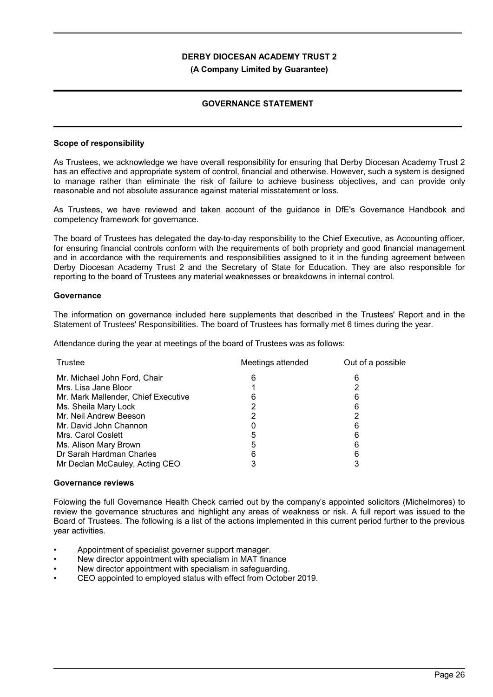#### **(A Company Limited by Guarantee)**

### **GOVERNANCE STATEMENT**

#### **Scope of responsibility**

As Trustees, we acknowledge we have overall responsibility for ensuring that Derby Diocesan Academy Trust 2 has an effective and appropriate system of control, financial and otherwise. However, such a system is designed to manage rather than eliminate the risk of failure to achieve business objectives, and can provide only reasonable and not absolute assurance against material misstatement or loss.

As Trustees, we have reviewed and taken account of the guidance in DfE's Governance Handbook and competency framework for governance.

The board of Trustees has delegated the day-to-day responsibility to the Chief Executive, as Accounting officer, for ensuring financial controls conform with the requirements of both propriety and good financial management and in accordance with the requirements and responsibilities assigned to it in the funding agreement between Derby Diocesan Academy Trust 2 and the Secretary of State for Education. They are also responsible for reporting to the board of Trustees any material weaknesses or breakdowns in internal control.

#### **Governance**

The information on governance included here supplements that described in the Trustees' Report and in the Statement of Trustees' Responsibilities. The board of Trustees has formally met 6 times during the year.

Attendance during the year at meetings of the board of Trustees was as follows:

| Trustee                             | Meetings attended | Out of a possible |
|-------------------------------------|-------------------|-------------------|
| Mr. Michael John Ford, Chair        |                   |                   |
| Mrs. Lisa Jane Bloor                |                   |                   |
| Mr. Mark Mallender, Chief Executive |                   |                   |
| Ms. Sheila Mary Lock                |                   |                   |
| Mr. Neil Andrew Beeson              |                   |                   |
| Mr. David John Channon              |                   |                   |
| Mrs. Carol Coslett                  |                   |                   |
| Ms. Alison Mary Brown               |                   |                   |
| Dr Sarah Hardman Charles            |                   |                   |
| Mr Declan McCauley, Acting CEO      |                   |                   |

#### **Governance reviews**

Folowing the full Governance Health Check carried out by the company's appointed solicitors (Michelmores) to review the governance structures and highlight any areas of weakness or risk. A full report was issued to the Board of Trustees. The following is a list of the actions implemented in this current period further to the previous year activities.

- Appointment of specialist governer support manager.
- New director appointment with specialism in MAT finance
- New director appointment with specialism in safeguarding.
- CEO appointed to employed status with effect from October 2019.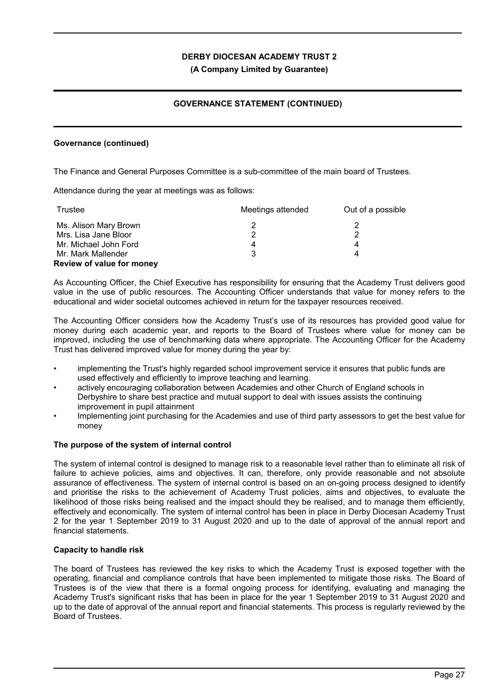**(A Company Limited by Guarantee)**

## **GOVERNANCE STATEMENT (CONTINUED)**

### **Governance (continued)**

The Finance and General Purposes Committee is a sub-committee of the main board of Trustees.

Attendance during the year at meetings was as follows:

| Trustee                          | Meetings attended | Out of a possible |
|----------------------------------|-------------------|-------------------|
| Ms. Alison Mary Brown            |                   |                   |
| Mrs. Lisa Jane Bloor             | າ                 | ാ                 |
| Mr. Michael John Ford            | 4                 | 4                 |
| Mr. Mark Mallender               | 3                 | 4                 |
| <b>Review of value for money</b> |                   |                   |

As Accounting Officer, the Chief Executive has responsibility for ensuring that the Academy Trust delivers good value in the use of public resources. The Accounting Officer understands that value for money refers to the educational and wider societal outcomes achieved in return for the taxpayer resources received.

The Accounting Officer considers how the Academy Trust's use of its resources has provided good value for money during each academic year, and reports to the Board of Trustees where value for money can be improved, including the use of benchmarking data where appropriate. The Accounting Officer for the Academy Trust has delivered improved value for money during the year by:

- implementing the Trust's highly regarded school improvement service it ensures that public funds are used effectively and efficiently to improve teaching and learning.
- actively encouraging collaboration between Academies and other Church of England schools in Derbyshire to share best practice and mutual support to deal with issues assists the continuing improvement in pupil attainment
- Implementing joint purchasing for the Academies and use of third party assessors to get the best value for money

#### **The purpose of the system of internal control**

The system of internal control is designed to manage risk to a reasonable level rather than to eliminate all risk of failure to achieve policies, aims and objectives. It can, therefore, only provide reasonable and not absolute assurance of effectiveness. The system of internal control is based on an on-going process designed to identify and prioritise the risks to the achievement of Academy Trust policies, aims and objectives, to evaluate the likelihood of those risks being realised and the impact should they be realised, and to manage them efficiently, effectively and economically. The system of internal control has been in place in Derby Diocesan Academy Trust 2 for the year 1 September 2019 to 31 August 2020 and up to the date of approval of the annual report and financial statements.

### **Capacity to handle risk**

The board of Trustees has reviewed the key risks to which the Academy Trust is exposed together with the operating, financial and compliance controls that have been implemented to mitigate those risks. The Board of Trustees is of the view that there is a formal ongoing process for identifying, evaluating and managing the Academy Trust's significant risks that has been in place for the year 1 September 2019 to 31 August 2020 and up to the date of approval of the annual report and financial statements. This process is regularly reviewed by the Board of Trustees.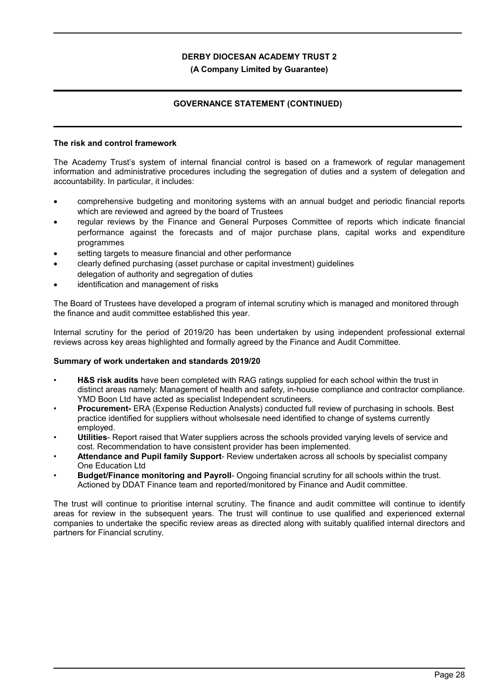#### **(A Company Limited by Guarantee)**

## **GOVERNANCE STATEMENT (CONTINUED)**

#### **The risk and control framework**

The Academy Trust's system of internal financial control is based on a framework of regular management information and administrative procedures including the segregation of duties and a system of delegation and accountability. In particular, it includes:

- comprehensive budgeting and monitoring systems with an annual budget and periodic financial reports which are reviewed and agreed by the board of Trustees
- regular reviews by the Finance and General Purposes Committee of reports which indicate financial performance against the forecasts and of major purchase plans, capital works and expenditure programmes
- setting targets to measure financial and other performance
- clearly defined purchasing (asset purchase or capital investment) guidelines delegation of authority and segregation of duties
- identification and management of risks

The Board of Trustees have developed a program of internal scrutiny which is managed and monitored through the finance and audit committee established this year.

Internal scrutiny for the period of 2019/20 has been undertaken by using independent professional external reviews across key areas highlighted and formally agreed by the Finance and Audit Committee.

### **Summary of work undertaken and standards 2019/20**

- **H&S risk audits** have been completed with RAG ratings supplied for each school within the trust in distinct areas namely: Management of health and safety, in-house compliance and contractor compliance. YMD Boon Ltd have acted as specialist Independent scrutineers.
- **Procurement-** ERA (Expense Reduction Analysts) conducted full review of purchasing in schools. Best practice identified for suppliers without wholsesale need identified to change of systems currently employed.
- **Utilities** Report raised that Water suppliers across the schools provided varying levels of service and cost. Recommendation to have consistent provider has been implemented.
- **Attendance and Pupil family Support** Review undertaken across all schools by specialist company One Education Ltd
- **Budget/Finance monitoring and Payroll** Ongoing financial scrutiny for all schools within the trust. Actioned by DDAT Finance team and reported/monitored by Finance and Audit committee.

The trust will continue to prioritise internal scrutiny. The finance and audit committee will continue to identify areas for review in the subsequent years. The trust will continue to use qualified and experienced external companies to undertake the specific review areas as directed along with suitably qualified internal directors and partners for Financial scrutiny.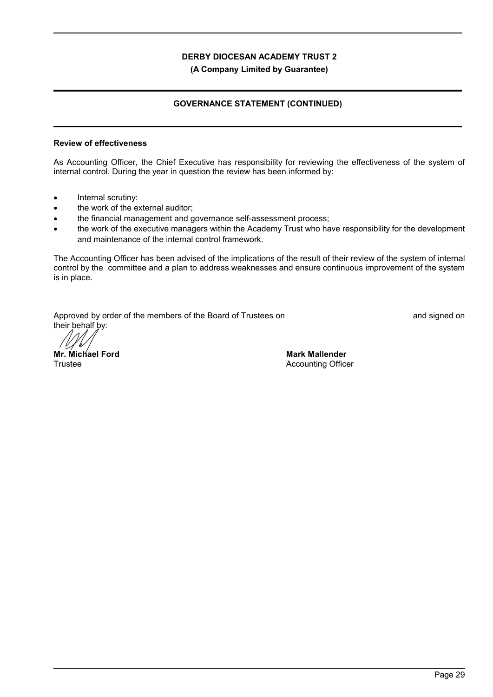**(A Company Limited by Guarantee)**

### **GOVERNANCE STATEMENT (CONTINUED)**

#### **Review of effectiveness**

As Accounting Officer, the Chief Executive has responsibility for reviewing the effectiveness of the system of internal control. During the year in question the review has been informed by:

- Internal scrutiny:
- the work of the external auditor;
- the financial management and governance self-assessment process;
- the work of the executive managers within the Academy Trust who have responsibility for the development and maintenance of the internal control framework.

The Accounting Officer has been advised of the implications of the result of their review of the system of internal control by the committee and a plan to address weaknesses and ensure continuous improvement of the system is in place.

Approved by order of the members of the Board of Trustees on **Approved Strustees** on and signed on their behalf by:

**Mr. Michael Ford** Trustee

**Mark Mallender** Accounting Officer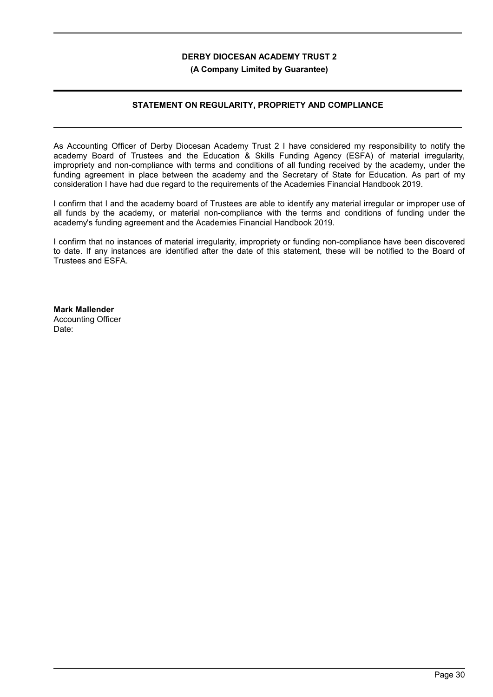**(A Company Limited by Guarantee)**

### **STATEMENT ON REGULARITY, PROPRIETY AND COMPLIANCE**

As Accounting Officer of Derby Diocesan Academy Trust 2 I have considered my responsibility to notify the academy Board of Trustees and the Education & Skills Funding Agency (ESFA) of material irregularity, impropriety and non-compliance with terms and conditions of all funding received by the academy, under the funding agreement in place between the academy and the Secretary of State for Education. As part of my consideration I have had due regard to the requirements of the Academies Financial Handbook 2019.

I confirm that I and the academy board of Trustees are able to identify any material irregular or improper use of all funds by the academy, or material non-compliance with the terms and conditions of funding under the academy's funding agreement and the Academies Financial Handbook 2019.

I confirm that no instances of material irregularity, impropriety or funding non-compliance have been discovered to date. If any instances are identified after the date of this statement, these will be notified to the Board of Trustees and ESFA.

**Mark Mallender** Accounting Officer Date: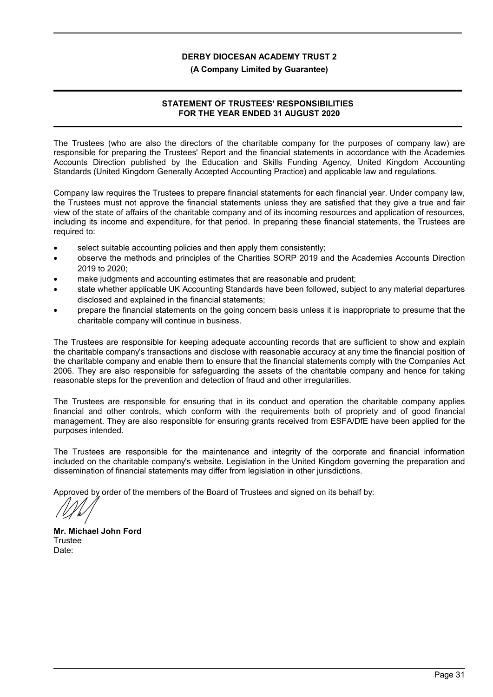#### **(A Company Limited by Guarantee)**

### **STATEMENT OF TRUSTEES' RESPONSIBILITIES FOR THE YEAR ENDED 31 AUGUST 2020**

The Trustees (who are also the directors of the charitable company for the purposes of company law) are responsible for preparing the Trustees' Report and the financial statements in accordance with the Academies Accounts Direction published by the Education and Skills Funding Agency, United Kingdom Accounting Standards (United Kingdom Generally Accepted Accounting Practice) and applicable law and regulations.

Company law requires the Trustees to prepare financial statements for each financial year. Under company law, the Trustees must not approve the financial statements unless they are satisfied that they give a true and fair view of the state of affairs of the charitable company and of its incoming resources and application of resources, including its income and expenditure, for that period. In preparing these financial statements, the Trustees are required to:

- select suitable accounting policies and then apply them consistently;
- observe the methods and principles of the Charities SORP 2019 and the Academies Accounts Direction 2019 to 2020;
- make judgments and accounting estimates that are reasonable and prudent;
- state whether applicable UK Accounting Standards have been followed, subject to any material departures disclosed and explained in the financial statements;
- prepare the financial statements on the going concern basis unless it is inappropriate to presume that the charitable company will continue in business.

The Trustees are responsible for keeping adequate accounting records that are sufficient to show and explain the charitable company's transactions and disclose with reasonable accuracy at any time the financial position of the charitable company and enable them to ensure that the financial statements comply with the Companies Act 2006. They are also responsible for safeguarding the assets of the charitable company and hence for taking reasonable steps for the prevention and detection of fraud and other irregularities.

The Trustees are responsible for ensuring that in its conduct and operation the charitable company applies financial and other controls, which conform with the requirements both of propriety and of good financial management. They are also responsible for ensuring grants received from ESFA/DfE have been applied for the purposes intended.

The Trustees are responsible for the maintenance and integrity of the corporate and financial information included on the charitable company's website. Legislation in the United Kingdom governing the preparation and dissemination of financial statements may differ from legislation in other jurisdictions.

Approved by order of the members of the Board of Trustees and signed on its behalf by:

**Mr. Michael John Ford** Trustee Date: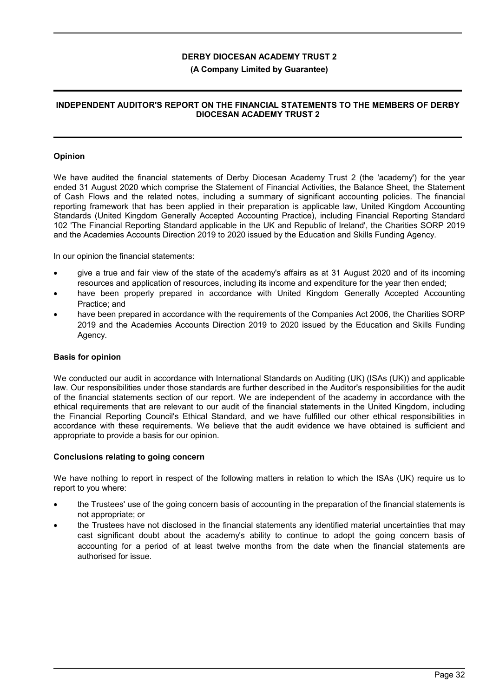#### **(A Company Limited by Guarantee)**

### **INDEPENDENT AUDITOR'S REPORT ON THE FINANCIAL STATEMENTS TO THE MEMBERS OF DERBY DIOCESAN ACADEMY TRUST 2**

#### **Opinion**

We have audited the financial statements of Derby Diocesan Academy Trust 2 (the 'academy') for the year ended 31 August 2020 which comprise the Statement of Financial Activities, the Balance Sheet, the Statement of Cash Flows and the related notes, including a summary of significant accounting policies. The financial reporting framework that has been applied in their preparation is applicable law, United Kingdom Accounting Standards (United Kingdom Generally Accepted Accounting Practice), including Financial Reporting Standard 102 'The Financial Reporting Standard applicable in the UK and Republic of Ireland', the Charities SORP 2019 and the Academies Accounts Direction 2019 to 2020 issued by the Education and Skills Funding Agency.

In our opinion the financial statements:

- give a true and fair view of the state of the academy's affairs as at 31 August 2020 and of its incoming resources and application of resources, including its income and expenditure for the year then ended;
- have been properly prepared in accordance with United Kingdom Generally Accepted Accounting Practice; and
- have been prepared in accordance with the requirements of the Companies Act 2006, the Charities SORP 2019 and the Academies Accounts Direction 2019 to 2020 issued by the Education and Skills Funding Agency.

#### **Basis for opinion**

We conducted our audit in accordance with International Standards on Auditing (UK) (ISAs (UK)) and applicable law. Our responsibilities under those standards are further described in the Auditor's responsibilities for the audit of the financial statements section of our report. We are independent of the academy in accordance with the ethical requirements that are relevant to our audit of the financial statements in the United Kingdom, including the Financial Reporting Council's Ethical Standard, and we have fulfilled our other ethical responsibilities in accordance with these requirements. We believe that the audit evidence we have obtained is sufficient and appropriate to provide a basis for our opinion.

#### **Conclusions relating to going concern**

We have nothing to report in respect of the following matters in relation to which the ISAs (UK) require us to report to you where:

- the Trustees' use of the going concern basis of accounting in the preparation of the financial statements is not appropriate; or
- the Trustees have not disclosed in the financial statements any identified material uncertainties that may cast significant doubt about the academy's ability to continue to adopt the going concern basis of accounting for a period of at least twelve months from the date when the financial statements are authorised for issue.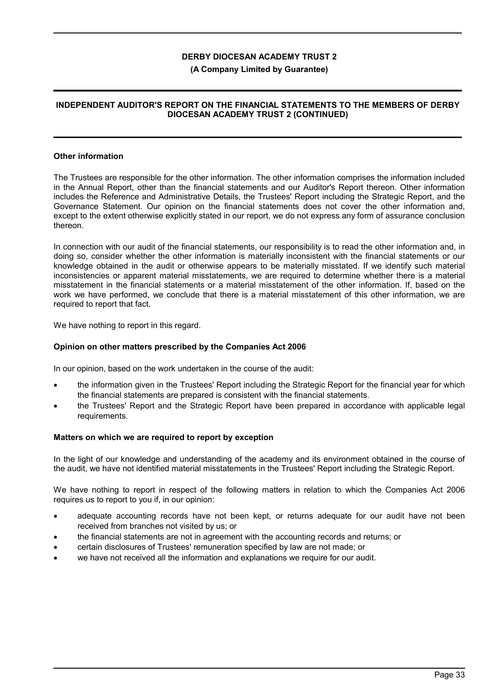#### **(A Company Limited by Guarantee)**

### **INDEPENDENT AUDITOR'S REPORT ON THE FINANCIAL STATEMENTS TO THE MEMBERS OF DERBY DIOCESAN ACADEMY TRUST 2 (CONTINUED)**

#### **Other information**

The Trustees are responsible for the other information. The other information comprises the information included in the Annual Report, other than the financial statements and our Auditor's Report thereon. Other information includes the Reference and Administrative Details, the Trustees' Report including the Strategic Report, and the Governance Statement. Our opinion on the financial statements does not cover the other information and, except to the extent otherwise explicitly stated in our report, we do not express any form of assurance conclusion thereon.

In connection with our audit of the financial statements, our responsibility is to read the other information and, in doing so, consider whether the other information is materially inconsistent with the financial statements or our knowledge obtained in the audit or otherwise appears to be materially misstated. If we identify such material inconsistencies or apparent material misstatements, we are required to determine whether there is a material misstatement in the financial statements or a material misstatement of the other information. If, based on the work we have performed, we conclude that there is a material misstatement of this other information, we are required to report that fact.

We have nothing to report in this regard.

#### **Opinion on other matters prescribed by the Companies Act 2006**

In our opinion, based on the work undertaken in the course of the audit:

- the information given in the Trustees' Report including the Strategic Report for the financial year for which the financial statements are prepared is consistent with the financial statements.
- the Trustees' Report and the Strategic Report have been prepared in accordance with applicable legal requirements.

#### **Matters on which we are required to report by exception**

In the light of our knowledge and understanding of the academy and its environment obtained in the course of the audit, we have not identified material misstatements in the Trustees' Report including the Strategic Report.

We have nothing to report in respect of the following matters in relation to which the Companies Act 2006 requires us to report to you if, in our opinion:

- adequate accounting records have not been kept, or returns adequate for our audit have not been received from branches not visited by us; or
- the financial statements are not in agreement with the accounting records and returns; or
- certain disclosures of Trustees' remuneration specified by law are not made; or
- we have not received all the information and explanations we require for our audit.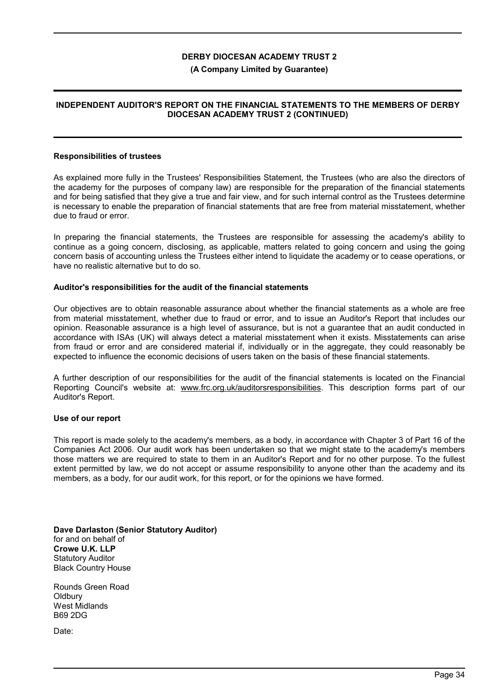#### **(A Company Limited by Guarantee)**

### **INDEPENDENT AUDITOR'S REPORT ON THE FINANCIAL STATEMENTS TO THE MEMBERS OF DERBY DIOCESAN ACADEMY TRUST 2 (CONTINUED)**

### **Responsibilities of trustees**

As explained more fully in the Trustees' Responsibilities Statement, the Trustees (who are also the directors of the academy for the purposes of company law) are responsible for the preparation of the financial statements and for being satisfied that they give a true and fair view, and for such internal control as the Trustees determine is necessary to enable the preparation of financial statements that are free from material misstatement, whether due to fraud or error.

In preparing the financial statements, the Trustees are responsible for assessing the academy's ability to continue as a going concern, disclosing, as applicable, matters related to going concern and using the going concern basis of accounting unless the Trustees either intend to liquidate the academy or to cease operations, or have no realistic alternative but to do so.

#### **Auditor's responsibilities for the audit of the financial statements**

Our objectives are to obtain reasonable assurance about whether the financial statements as a whole are free from material misstatement, whether due to fraud or error, and to issue an Auditor's Report that includes our opinion. Reasonable assurance is a high level of assurance, but is not a guarantee that an audit conducted in accordance with ISAs (UK) will always detect a material misstatement when it exists. Misstatements can arise from fraud or error and are considered material if, individually or in the aggregate, they could reasonably be expected to influence the economic decisions of users taken on the basis of these financial statements.

A further description of our responsibilities for the audit of the financial statements is located on the Financial Reporting Council's website at: www.frc.org.uk/auditorsresponsibilities. This description forms part of our Auditor's Report.

#### **Use of our report**

This report is made solely to the academy's members, as a body, in accordance with Chapter 3 of Part 16 of the Companies Act 2006. Our audit work has been undertaken so that we might state to the academy's members those matters we are required to state to them in an Auditor's Report and for no other purpose. To the fullest extent permitted by law, we do not accept or assume responsibility to anyone other than the academy and its members, as a body, for our audit work, for this report, or for the opinions we have formed.

**Dave Darlaston (Senior Statutory Auditor)** for and on behalf of **Crowe U.K. LLP** Statutory Auditor Black Country House

Rounds Green Road **Oldburv** West Midlands B69 2DG

Date: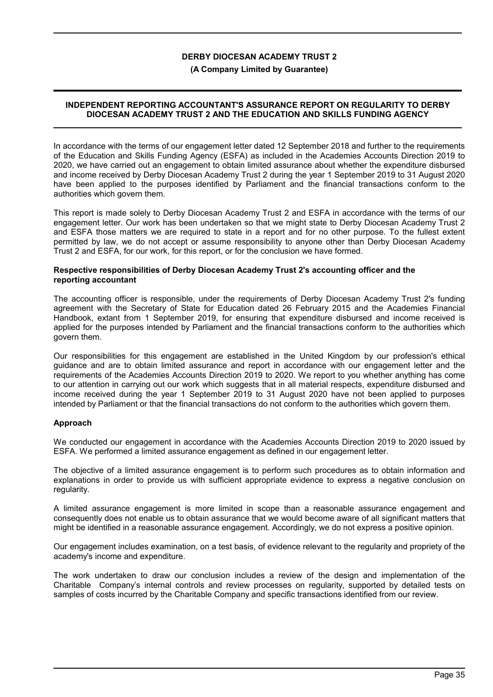### **(A Company Limited by Guarantee)**

### **INDEPENDENT REPORTING ACCOUNTANT'S ASSURANCE REPORT ON REGULARITY TO DERBY DIOCESAN ACADEMY TRUST 2 AND THE EDUCATION AND SKILLS FUNDING AGENCY**

In accordance with the terms of our engagement letter dated 12 September 2018 and further to the requirements of the Education and Skills Funding Agency (ESFA) as included in the Academies Accounts Direction 2019 to 2020, we have carried out an engagement to obtain limited assurance about whether the expenditure disbursed and income received by Derby Diocesan Academy Trust 2 during the year 1 September 2019 to 31 August 2020 have been applied to the purposes identified by Parliament and the financial transactions conform to the authorities which govern them.

This report is made solely to Derby Diocesan Academy Trust 2 and ESFA in accordance with the terms of our engagement letter. Our work has been undertaken so that we might state to Derby Diocesan Academy Trust 2 and ESFA those matters we are required to state in a report and for no other purpose. To the fullest extent permitted by law, we do not accept or assume responsibility to anyone other than Derby Diocesan Academy Trust 2 and ESFA, for our work, for this report, or for the conclusion we have formed.

### **Respective responsibilities of Derby Diocesan Academy Trust 2's accounting officer and the reporting accountant**

The accounting officer is responsible, under the requirements of Derby Diocesan Academy Trust 2's funding agreement with the Secretary of State for Education dated 26 February 2015 and the Academies Financial Handbook, extant from 1 September 2019, for ensuring that expenditure disbursed and income received is applied for the purposes intended by Parliament and the financial transactions conform to the authorities which govern them.

Our responsibilities for this engagement are established in the United Kingdom by our profession's ethical guidance and are to obtain limited assurance and report in accordance with our engagement letter and the requirements of the Academies Accounts Direction 2019 to 2020. We report to you whether anything has come to our attention in carrying out our work which suggests that in all material respects, expenditure disbursed and income received during the year 1 September 2019 to 31 August 2020 have not been applied to purposes intended by Parliament or that the financial transactions do not conform to the authorities which govern them.

## **Approach**

We conducted our engagement in accordance with the Academies Accounts Direction 2019 to 2020 issued by ESFA. We performed a limited assurance engagement as defined in our engagement letter.

The objective of a limited assurance engagement is to perform such procedures as to obtain information and explanations in order to provide us with sufficient appropriate evidence to express a negative conclusion on regularity.

A limited assurance engagement is more limited in scope than a reasonable assurance engagement and consequently does not enable us to obtain assurance that we would become aware of all significant matters that might be identified in a reasonable assurance engagement. Accordingly, we do not express a positive opinion.

Our engagement includes examination, on a test basis, of evidence relevant to the regularity and propriety of the academy's income and expenditure.

The work undertaken to draw our conclusion includes a review of the design and implementation of the Charitable Company's internal controls and review processes on regularity, supported by detailed tests on samples of costs incurred by the Charitable Company and specific transactions identified from our review.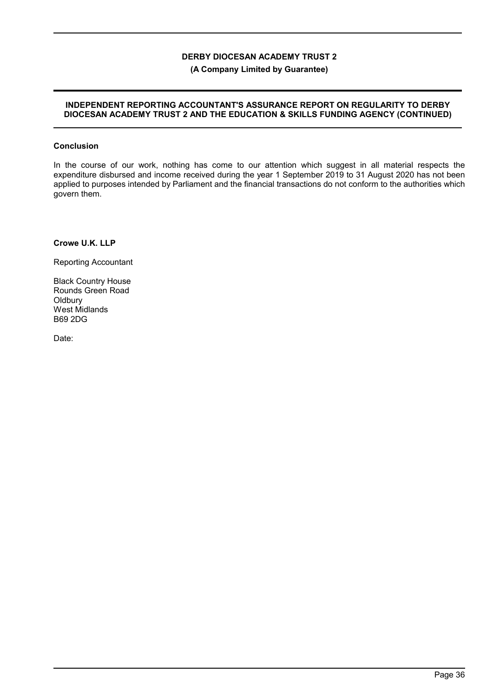## **(A Company Limited by Guarantee)**

### **INDEPENDENT REPORTING ACCOUNTANT'S ASSURANCE REPORT ON REGULARITY TO DERBY DIOCESAN ACADEMY TRUST 2 AND THE EDUCATION & SKILLS FUNDING AGENCY (CONTINUED)**

### **Conclusion**

In the course of our work, nothing has come to our attention which suggest in all material respects the expenditure disbursed and income received during the year 1 September 2019 to 31 August 2020 has not been applied to purposes intended by Parliament and the financial transactions do not conform to the authorities which govern them.

**Crowe U.K. LLP**

Reporting Accountant

Black Country House Rounds Green Road **Oldbury** West Midlands B69 2DG

Date: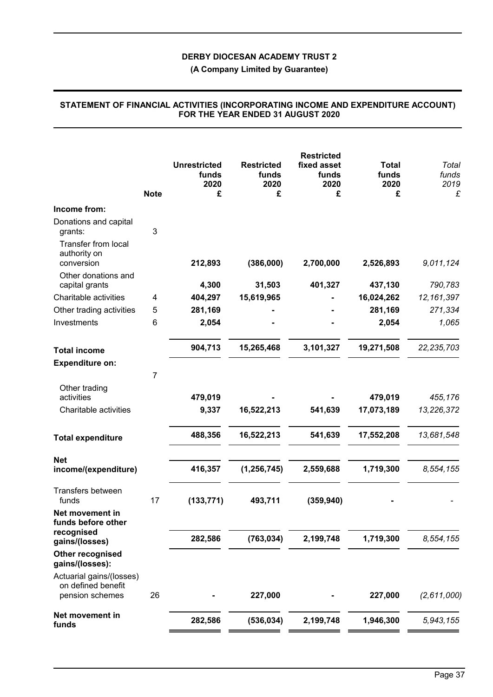**(A Company Limited by Guarantee)**

| <b>Note</b>    | <b>Unrestricted</b><br>funds<br>2020<br>£ | <b>Restricted</b><br>funds<br>2020<br>£                  | <b>Restricted</b><br>fixed asset<br>funds<br>2020<br>£ | <b>Total</b><br>funds<br>2020<br>£ | Total<br>funds<br>2019<br>£                                        |
|----------------|-------------------------------------------|----------------------------------------------------------|--------------------------------------------------------|------------------------------------|--------------------------------------------------------------------|
|                |                                           |                                                          |                                                        |                                    |                                                                    |
| 3              |                                           |                                                          |                                                        |                                    |                                                                    |
|                | 212,893                                   | (386,000)                                                | 2,700,000                                              | 2,526,893                          | 9,011,124                                                          |
|                |                                           |                                                          |                                                        |                                    |                                                                    |
|                |                                           |                                                          |                                                        |                                    | 790,783<br>12, 161, 397                                            |
|                |                                           |                                                          |                                                        |                                    | 271,334                                                            |
|                |                                           |                                                          |                                                        |                                    | 1,065                                                              |
|                |                                           |                                                          |                                                        |                                    |                                                                    |
|                | 904,713                                   | 15,265,468                                               | 3,101,327                                              | 19,271,508                         | 22, 235, 703                                                       |
|                |                                           |                                                          |                                                        |                                    |                                                                    |
| $\overline{7}$ |                                           |                                                          |                                                        |                                    |                                                                    |
|                |                                           |                                                          |                                                        |                                    | 455,176                                                            |
|                |                                           |                                                          |                                                        |                                    | 13,226,372                                                         |
|                |                                           |                                                          |                                                        |                                    |                                                                    |
|                | 488,356                                   | 16,522,213                                               | 541,639                                                | 17,552,208                         | 13,681,548                                                         |
|                |                                           |                                                          |                                                        |                                    |                                                                    |
|                | 416,357                                   | (1, 256, 745)                                            | 2,559,688                                              | 1,719,300                          | 8,554,155                                                          |
| 17             | (133, 771)                                | 493,711                                                  | (359, 940)                                             |                                    |                                                                    |
|                |                                           |                                                          |                                                        |                                    |                                                                    |
|                | 282,586                                   | (763, 034)                                               | 2,199,748                                              | 1,719,300                          | 8,554,155                                                          |
|                |                                           |                                                          |                                                        |                                    |                                                                    |
| 26             |                                           | 227,000                                                  |                                                        | 227,000                            | (2,611,000)                                                        |
|                | 282,586                                   | (536, 034)                                               | 2,199,748                                              | 1,946,300                          | 5,943,155                                                          |
|                | 4<br>5<br>6                               | 4,300<br>404,297<br>281,169<br>2,054<br>479,019<br>9,337 | 31,503<br>15,619,965<br>16,522,213                     | 401,327<br>541,639                 | 437,130<br>16,024,262<br>281,169<br>2,054<br>479,019<br>17,073,189 |

### **STATEMENT OF FINANCIAL ACTIVITIES (INCORPORATING INCOME AND EXPENDITURE ACCOUNT) FOR THE YEAR ENDED 31 AUGUST 2020**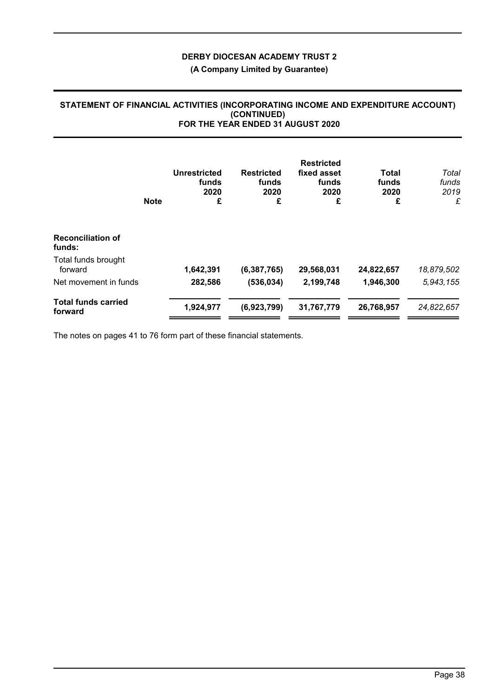# **(A Company Limited by Guarantee)**

## **STATEMENT OF FINANCIAL ACTIVITIES (INCORPORATING INCOME AND EXPENDITURE ACCOUNT) (CONTINUED) FOR THE YEAR ENDED 31 AUGUST 2020**

|                                       | <b>Note</b> | <b>Unrestricted</b><br>funds<br>2020<br>£ | <b>Restricted</b><br>funds<br>2020<br>£ | <b>Restricted</b><br>fixed asset<br>funds<br>2020<br>£ | Total<br>funds<br>2020<br>£ | Total<br>funds<br>2019<br>£ |
|---------------------------------------|-------------|-------------------------------------------|-----------------------------------------|--------------------------------------------------------|-----------------------------|-----------------------------|
| <b>Reconciliation of</b><br>funds:    |             |                                           |                                         |                                                        |                             |                             |
| Total funds brought<br>forward        |             | 1,642,391                                 | (6, 387, 765)                           | 29,568,031                                             | 24,822,657                  | 18,879,502                  |
| Net movement in funds                 |             | 282,586                                   | (536, 034)                              | 2,199,748                                              | 1,946,300                   | 5,943,155                   |
| <b>Total funds carried</b><br>forward |             | 1,924,977                                 | (6,923,799)                             | 31,767,779                                             | 26,768,957                  | 24,822,657                  |

The notes on pages 41 to 76 form part of these financial statements.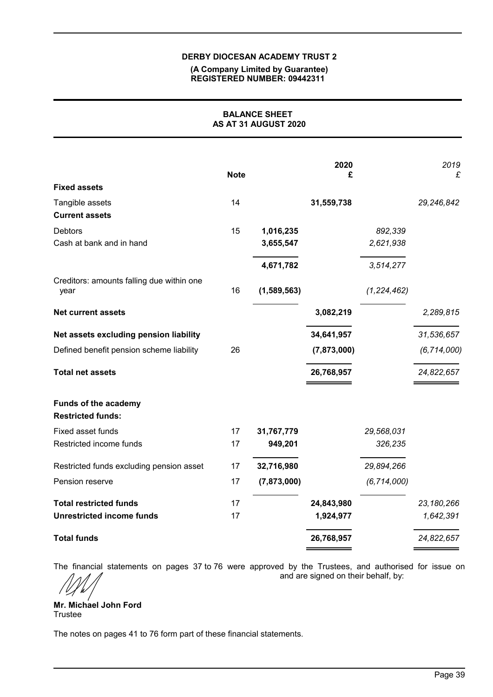### **(A Company Limited by Guarantee) REGISTERED NUMBER: 09442311**

# **BALANCE SHEET AS AT 31 AUGUST 2020**

| <b>Fixed assets</b>                                     | <b>Note</b> |             | 2020<br>£   |               | 2019<br>£     |
|---------------------------------------------------------|-------------|-------------|-------------|---------------|---------------|
| Tangible assets                                         | 14          |             | 31,559,738  |               | 29,246,842    |
| <b>Current assets</b>                                   |             |             |             |               |               |
| Debtors                                                 | 15          | 1,016,235   |             | 892,339       |               |
| Cash at bank and in hand                                |             | 3,655,547   |             | 2,621,938     |               |
|                                                         |             | 4,671,782   |             | 3,514,277     |               |
| Creditors: amounts falling due within one               |             |             |             |               |               |
| year                                                    | 16          | (1,589,563) |             | (1, 224, 462) |               |
| <b>Net current assets</b>                               |             |             | 3,082,219   |               | 2,289,815     |
| Net assets excluding pension liability                  |             |             | 34,641,957  |               | 31,536,657    |
| Defined benefit pension scheme liability                | 26          |             | (7,873,000) |               | (6, 714, 000) |
| <b>Total net assets</b>                                 |             |             | 26,768,957  |               | 24,822,657    |
| <b>Funds of the academy</b><br><b>Restricted funds:</b> |             |             |             |               |               |
| Fixed asset funds                                       | 17          | 31,767,779  |             | 29,568,031    |               |
| Restricted income funds                                 | 17          | 949,201     |             | 326,235       |               |
| Restricted funds excluding pension asset                | 17          | 32,716,980  |             | 29,894,266    |               |
| Pension reserve                                         | 17          | (7,873,000) |             | (6, 714, 000) |               |
| <b>Total restricted funds</b>                           | 17          |             | 24,843,980  |               | 23, 180, 266  |
| <b>Unrestricted income funds</b>                        | 17          |             | 1,924,977   |               | 1,642,391     |
| <b>Total funds</b>                                      |             |             | 26,768,957  |               | 24,822,657    |

The financial statements on pages 37 to 76 were approved by the Trustees, and authorised for issue on

and are signed on their behalf, by:

**Mr. Michael John Ford Trustee** 

The notes on pages 41 to 76 form part of these financial statements.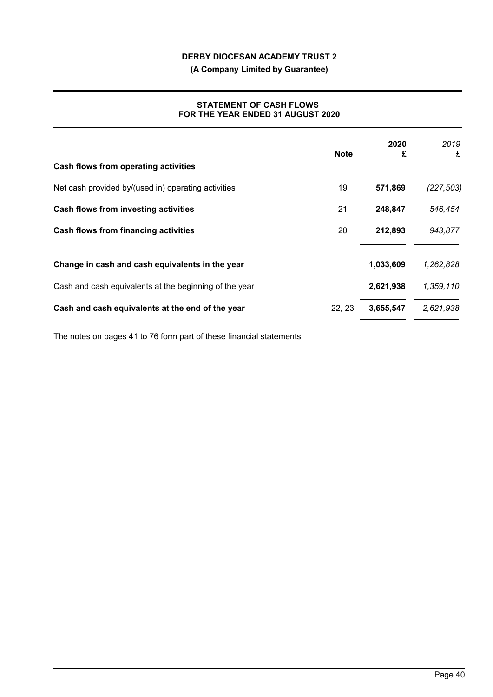**(A Company Limited by Guarantee)**

# **STATEMENT OF CASH FLOWS FOR THE YEAR ENDED 31 AUGUST 2020**

|                                                        | <b>Note</b> | 2020<br>£ | 2019<br>£  |
|--------------------------------------------------------|-------------|-----------|------------|
| Cash flows from operating activities                   |             |           |            |
| Net cash provided by/(used in) operating activities    | 19          | 571,869   | (227, 503) |
| Cash flows from investing activities                   | 21          | 248,847   | 546,454    |
| Cash flows from financing activities                   | 20          | 212,893   | 943,877    |
| Change in cash and cash equivalents in the year        |             | 1,033,609 | 1,262,828  |
| Cash and cash equivalents at the beginning of the year |             | 2,621,938 | 1,359,110  |
| Cash and cash equivalents at the end of the year       | 22, 23      | 3,655,547 | 2,621,938  |

The notes on pages 41 to 76 form part of these financial statements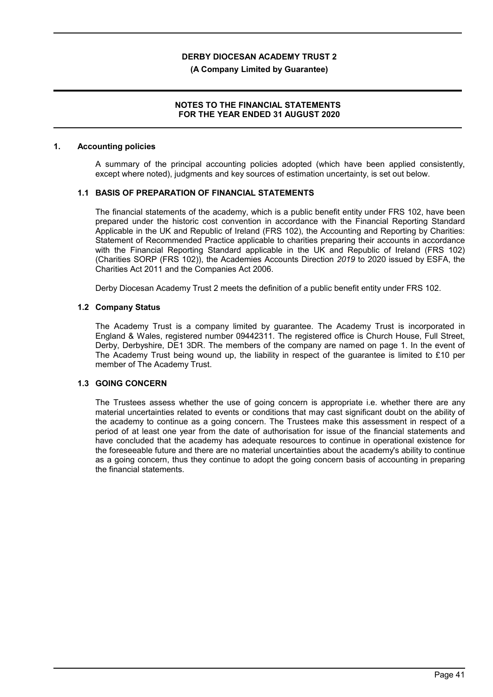### **(A Company Limited by Guarantee)**

## **NOTES TO THE FINANCIAL STATEMENTS FOR THE YEAR ENDED 31 AUGUST 2020**

### **1. Accounting policies**

A summary of the principal accounting policies adopted (which have been applied consistently, except where noted), judgments and key sources of estimation uncertainty, is set out below.

### **1.1 BASIS OF PREPARATION OF FINANCIAL STATEMENTS**

The financial statements of the academy, which is a public benefit entity under FRS 102, have been prepared under the historic cost convention in accordance with the Financial Reporting Standard Applicable in the UK and Republic of Ireland (FRS 102), the Accounting and Reporting by Charities: Statement of Recommended Practice applicable to charities preparing their accounts in accordance with the Financial Reporting Standard applicable in the UK and Republic of Ireland (FRS 102) (Charities SORP (FRS 102)), the Academies Accounts Direction *2019* to 2020 issued by ESFA, the Charities Act 2011 and the Companies Act 2006.

Derby Diocesan Academy Trust 2 meets the definition of a public benefit entity under FRS 102.

### **1.2 Company Status**

The Academy Trust is a company limited by guarantee. The Academy Trust is incorporated in England & Wales, registered number 09442311. The registered office is Church House, Full Street, Derby, Derbyshire, DE1 3DR. The members of the company are named on page 1. In the event of The Academy Trust being wound up, the liability in respect of the guarantee is limited to £10 per member of The Academy Trust.

## **1.3 GOING CONCERN**

The Trustees assess whether the use of going concern is appropriate i.e. whether there are any material uncertainties related to events or conditions that may cast significant doubt on the ability of the academy to continue as a going concern. The Trustees make this assessment in respect of a period of at least one year from the date of authorisation for issue of the financial statements and have concluded that the academy has adequate resources to continue in operational existence for the foreseeable future and there are no material uncertainties about the academy's ability to continue as a going concern, thus they continue to adopt the going concern basis of accounting in preparing the financial statements.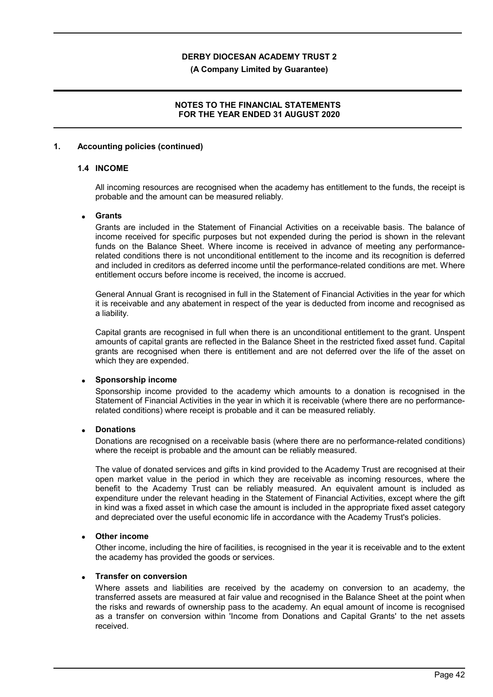### **(A Company Limited by Guarantee)**

## **NOTES TO THE FINANCIAL STATEMENTS FOR THE YEAR ENDED 31 AUGUST 2020**

### **1. Accounting policies (continued)**

### **1.4 INCOME**

All incoming resources are recognised when the academy has entitlement to the funds, the receipt is probable and the amount can be measured reliably.

### **Grants**

Grants are included in the Statement of Financial Activities on a receivable basis. The balance of income received for specific purposes but not expended during the period is shown in the relevant funds on the Balance Sheet. Where income is received in advance of meeting any performancerelated conditions there is not unconditional entitlement to the income and its recognition is deferred and included in creditors as deferred income until the performance-related conditions are met. Where entitlement occurs before income is received, the income is accrued.

General Annual Grant is recognised in full in the Statement of Financial Activities in the year for which it is receivable and any abatement in respect of the year is deducted from income and recognised as a liability.

Capital grants are recognised in full when there is an unconditional entitlement to the grant. Unspent amounts of capital grants are reflected in the Balance Sheet in the restricted fixed asset fund. Capital grants are recognised when there is entitlement and are not deferred over the life of the asset on which they are expended.

### **Sponsorship income**

Sponsorship income provided to the academy which amounts to a donation is recognised in the Statement of Financial Activities in the year in which it is receivable (where there are no performancerelated conditions) where receipt is probable and it can be measured reliably.

### **Donations**

Donations are recognised on a receivable basis (where there are no performance-related conditions) where the receipt is probable and the amount can be reliably measured.

The value of donated services and gifts in kind provided to the Academy Trust are recognised at their open market value in the period in which they are receivable as incoming resources, where the benefit to the Academy Trust can be reliably measured. An equivalent amount is included as expenditure under the relevant heading in the Statement of Financial Activities, except where the gift in kind was a fixed asset in which case the amount is included in the appropriate fixed asset category and depreciated over the useful economic life in accordance with the Academy Trust's policies.

## **Other income**

Other income, including the hire of facilities, is recognised in the year it is receivable and to the extent the academy has provided the goods or services.

### **Transfer on conversion**

Where assets and liabilities are received by the academy on conversion to an academy, the transferred assets are measured at fair value and recognised in the Balance Sheet at the point when the risks and rewards of ownership pass to the academy. An equal amount of income is recognised as a transfer on conversion within 'Income from Donations and Capital Grants' to the net assets received.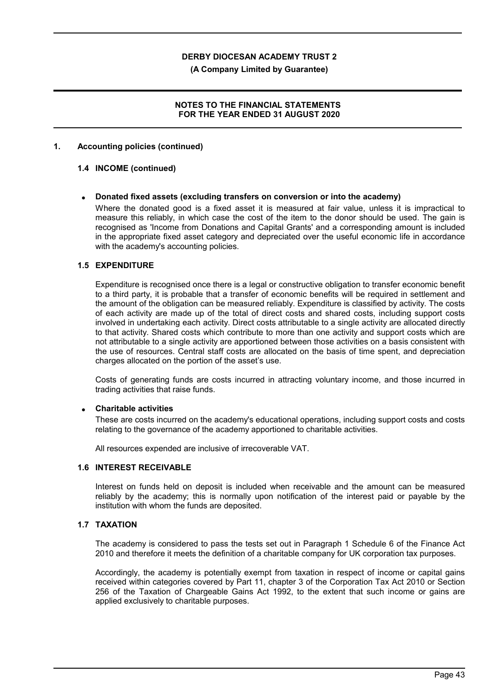**(A Company Limited by Guarantee)**

## **NOTES TO THE FINANCIAL STATEMENTS FOR THE YEAR ENDED 31 AUGUST 2020**

### **1. Accounting policies (continued)**

## **1.4 INCOME (continued)**

### **Donated fixed assets (excluding transfers on conversion or into the academy)**

Where the donated good is a fixed asset it is measured at fair value, unless it is impractical to measure this reliably, in which case the cost of the item to the donor should be used. The gain is recognised as 'Income from Donations and Capital Grants' and a corresponding amount is included in the appropriate fixed asset category and depreciated over the useful economic life in accordance with the academy's accounting policies.

### **1.5 EXPENDITURE**

Expenditure is recognised once there is a legal or constructive obligation to transfer economic benefit to a third party, it is probable that a transfer of economic benefits will be required in settlement and the amount of the obligation can be measured reliably. Expenditure is classified by activity. The costs of each activity are made up of the total of direct costs and shared costs, including support costs involved in undertaking each activity. Direct costs attributable to a single activity are allocated directly to that activity. Shared costs which contribute to more than one activity and support costs which are not attributable to a single activity are apportioned between those activities on a basis consistent with the use of resources. Central staff costs are allocated on the basis of time spent, and depreciation charges allocated on the portion of the asset's use.

Costs of generating funds are costs incurred in attracting voluntary income, and those incurred in trading activities that raise funds.

### **Charitable activities**

These are costs incurred on the academy's educational operations, including support costs and costs relating to the governance of the academy apportioned to charitable activities.

All resources expended are inclusive of irrecoverable VAT.

### **1.6 INTEREST RECEIVABLE**

Interest on funds held on deposit is included when receivable and the amount can be measured reliably by the academy; this is normally upon notification of the interest paid or payable by the institution with whom the funds are deposited.

# **1.7 TAXATION**

The academy is considered to pass the tests set out in Paragraph 1 Schedule 6 of the Finance Act 2010 and therefore it meets the definition of a charitable company for UK corporation tax purposes.

Accordingly, the academy is potentially exempt from taxation in respect of income or capital gains received within categories covered by Part 11, chapter 3 of the Corporation Tax Act 2010 or Section 256 of the Taxation of Chargeable Gains Act 1992, to the extent that such income or gains are applied exclusively to charitable purposes.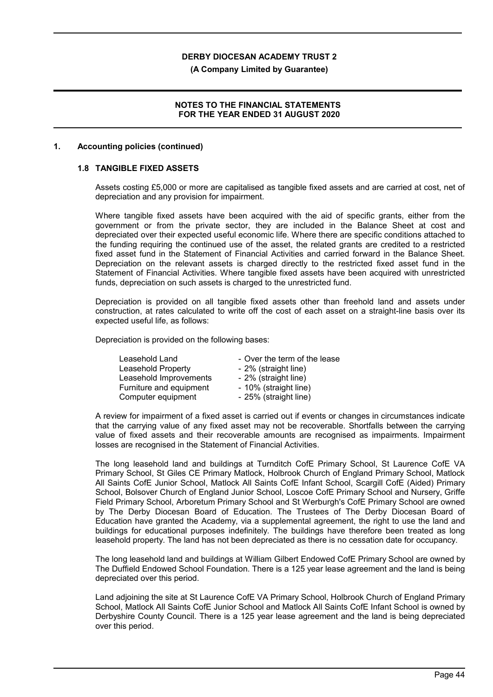#### **(A Company Limited by Guarantee)**

## **NOTES TO THE FINANCIAL STATEMENTS FOR THE YEAR ENDED 31 AUGUST 2020**

### **1. Accounting policies (continued)**

## **1.8 TANGIBLE FIXED ASSETS**

Assets costing £5,000 or more are capitalised as tangible fixed assets and are carried at cost, net of depreciation and any provision for impairment.

Where tangible fixed assets have been acquired with the aid of specific grants, either from the government or from the private sector, they are included in the Balance Sheet at cost and depreciated over their expected useful economic life. Where there are specific conditions attached to the funding requiring the continued use of the asset, the related grants are credited to a restricted fixed asset fund in the Statement of Financial Activities and carried forward in the Balance Sheet. Depreciation on the relevant assets is charged directly to the restricted fixed asset fund in the Statement of Financial Activities. Where tangible fixed assets have been acquired with unrestricted funds, depreciation on such assets is charged to the unrestricted fund.

Depreciation is provided on all tangible fixed assets other than freehold land and assets under construction, at rates calculated to write off the cost of each asset on a straight-line basis over its expected useful life, as follows:

Depreciation is provided on the following bases:

| Leasehold Land            | - Over the term of the lease |
|---------------------------|------------------------------|
| <b>Leasehold Property</b> | - 2% (straight line)         |
| Leasehold Improvements    | - 2% (straight line)         |
| Furniture and equipment   | - 10% (straight line)        |
| Computer equipment        | - 25% (straight line)        |

A review for impairment of a fixed asset is carried out if events or changes in circumstances indicate that the carrying value of any fixed asset may not be recoverable. Shortfalls between the carrying value of fixed assets and their recoverable amounts are recognised as impairments. Impairment losses are recognised in the Statement of Financial Activities.

The long leasehold land and buildings at Turnditch CofE Primary School, St Laurence CofE VA Primary School, St Giles CE Primary Matlock, Holbrook Church of England Primary School, Matlock All Saints CofE Junior School, Matlock All Saints CofE Infant School, Scargill CofE (Aided) Primary School, Bolsover Church of England Junior School, Loscoe CofE Primary School and Nursery, Griffe Field Primary School, Arboretum Primary School and St Werburgh's CofE Primary School are owned by The Derby Diocesan Board of Education. The Trustees of The Derby Diocesan Board of Education have granted the Academy, via a supplemental agreement, the right to use the land and buildings for educational purposes indefinitely. The buildings have therefore been treated as long leasehold property. The land has not been depreciated as there is no cessation date for occupancy.

The long leasehold land and buildings at William Gilbert Endowed CofE Primary School are owned by The Duffield Endowed School Foundation. There is a 125 year lease agreement and the land is being depreciated over this period.

Land adjoining the site at St Laurence CofE VA Primary School, Holbrook Church of England Primary School, Matlock All Saints CofE Junior School and Matlock All Saints CofE Infant School is owned by Derbyshire County Council. There is a 125 year lease agreement and the land is being depreciated over this period.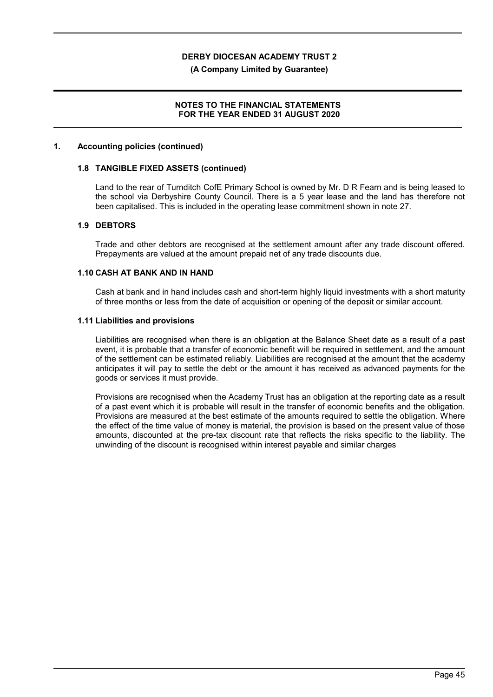### **(A Company Limited by Guarantee)**

## **NOTES TO THE FINANCIAL STATEMENTS FOR THE YEAR ENDED 31 AUGUST 2020**

### **1. Accounting policies (continued)**

### **1.8 TANGIBLE FIXED ASSETS (continued)**

Land to the rear of Turnditch CofE Primary School is owned by Mr. D R Fearn and is being leased to the school via Derbyshire County Council. There is a 5 year lease and the land has therefore not been capitalised. This is included in the operating lease commitment shown in note 27.

### **1.9 DEBTORS**

Trade and other debtors are recognised at the settlement amount after any trade discount offered. Prepayments are valued at the amount prepaid net of any trade discounts due.

### **1.10 CASH AT BANK AND IN HAND**

Cash at bank and in hand includes cash and short-term highly liquid investments with a short maturity of three months or less from the date of acquisition or opening of the deposit or similar account.

### **1.11 Liabilities and provisions**

Liabilities are recognised when there is an obligation at the Balance Sheet date as a result of a past event, it is probable that a transfer of economic benefit will be required in settlement, and the amount of the settlement can be estimated reliably. Liabilities are recognised at the amount that the academy anticipates it will pay to settle the debt or the amount it has received as advanced payments for the goods or services it must provide.

Provisions are recognised when the Academy Trust has an obligation at the reporting date as a result of a past event which it is probable will result in the transfer of economic benefits and the obligation. Provisions are measured at the best estimate of the amounts required to settle the obligation. Where the effect of the time value of money is material, the provision is based on the present value of those amounts, discounted at the pre-tax discount rate that reflects the risks specific to the liability. The unwinding of the discount is recognised within interest payable and similar charges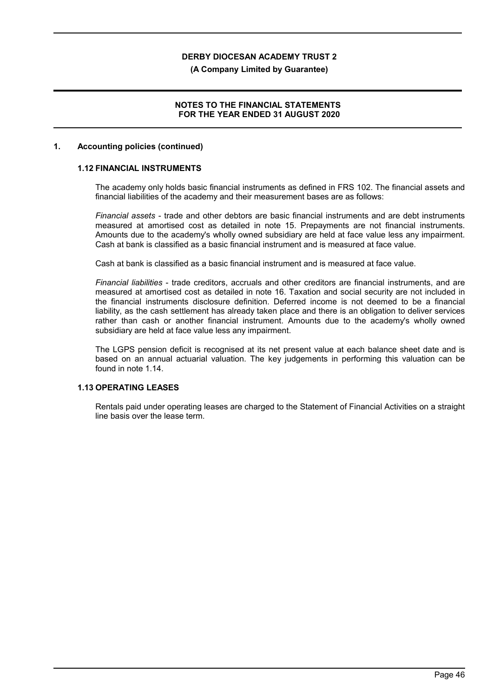### **(A Company Limited by Guarantee)**

## **NOTES TO THE FINANCIAL STATEMENTS FOR THE YEAR ENDED 31 AUGUST 2020**

### **1. Accounting policies (continued)**

### **1.12 FINANCIAL INSTRUMENTS**

The academy only holds basic financial instruments as defined in FRS 102. The financial assets and financial liabilities of the academy and their measurement bases are as follows:

*Financial assets* - trade and other debtors are basic financial instruments and are debt instruments measured at amortised cost as detailed in note 15. Prepayments are not financial instruments. Amounts due to the academy's wholly owned subsidiary are held at face value less any impairment. Cash at bank is classified as a basic financial instrument and is measured at face value.

Cash at bank is classified as a basic financial instrument and is measured at face value.

*Financial liabilities* - trade creditors, accruals and other creditors are financial instruments, and are measured at amortised cost as detailed in note 16. Taxation and social security are not included in the financial instruments disclosure definition. Deferred income is not deemed to be a financial liability, as the cash settlement has already taken place and there is an obligation to deliver services rather than cash or another financial instrument. Amounts due to the academy's wholly owned subsidiary are held at face value less any impairment.

The LGPS pension deficit is recognised at its net present value at each balance sheet date and is based on an annual actuarial valuation. The key judgements in performing this valuation can be found in note 1.14.

# **1.13 OPERATING LEASES**

Rentals paid under operating leases are charged to the Statement of Financial Activities on a straight line basis over the lease term.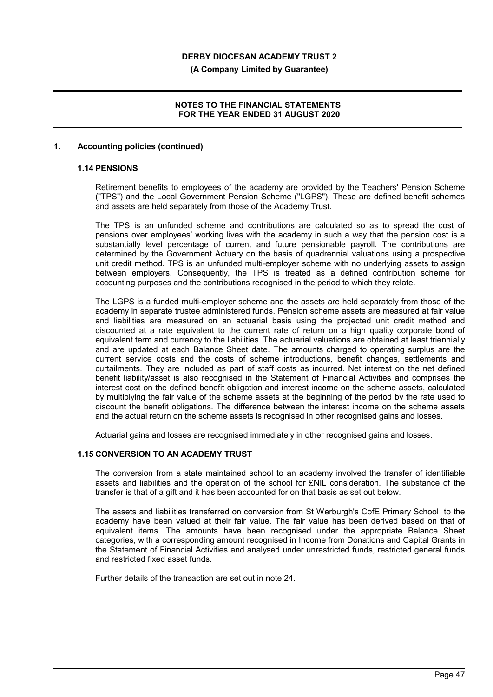**(A Company Limited by Guarantee)**

## **NOTES TO THE FINANCIAL STATEMENTS FOR THE YEAR ENDED 31 AUGUST 2020**

### **1. Accounting policies (continued)**

### **1.14 PENSIONS**

Retirement benefits to employees of the academy are provided by the Teachers' Pension Scheme ("TPS") and the Local Government Pension Scheme ("LGPS"). These are defined benefit schemes and assets are held separately from those of the Academy Trust.

The TPS is an unfunded scheme and contributions are calculated so as to spread the cost of pensions over employees' working lives with the academy in such a way that the pension cost is a substantially level percentage of current and future pensionable payroll. The contributions are determined by the Government Actuary on the basis of quadrennial valuations using a prospective unit credit method. TPS is an unfunded multi-employer scheme with no underlying assets to assign between employers. Consequently, the TPS is treated as a defined contribution scheme for accounting purposes and the contributions recognised in the period to which they relate.

The LGPS is a funded multi-employer scheme and the assets are held separately from those of the academy in separate trustee administered funds. Pension scheme assets are measured at fair value and liabilities are measured on an actuarial basis using the projected unit credit method and discounted at a rate equivalent to the current rate of return on a high quality corporate bond of equivalent term and currency to the liabilities. The actuarial valuations are obtained at least triennially and are updated at each Balance Sheet date. The amounts charged to operating surplus are the current service costs and the costs of scheme introductions, benefit changes, settlements and curtailments. They are included as part of staff costs as incurred. Net interest on the net defined benefit liability/asset is also recognised in the Statement of Financial Activities and comprises the interest cost on the defined benefit obligation and interest income on the scheme assets, calculated by multiplying the fair value of the scheme assets at the beginning of the period by the rate used to discount the benefit obligations. The difference between the interest income on the scheme assets and the actual return on the scheme assets is recognised in other recognised gains and losses.

Actuarial gains and losses are recognised immediately in other recognised gains and losses.

## **1.15 CONVERSION TO AN ACADEMY TRUST**

The conversion from a state maintained school to an academy involved the transfer of identifiable assets and liabilities and the operation of the school for £NIL consideration. The substance of the transfer is that of a gift and it has been accounted for on that basis as set out below.

The assets and liabilities transferred on conversion from St Werburgh's CofE Primary School to the academy have been valued at their fair value. The fair value has been derived based on that of equivalent items. The amounts have been recognised under the appropriate Balance Sheet categories, with a corresponding amount recognised in Income from Donations and Capital Grants in the Statement of Financial Activities and analysed under unrestricted funds, restricted general funds and restricted fixed asset funds.

Further details of the transaction are set out in note 24.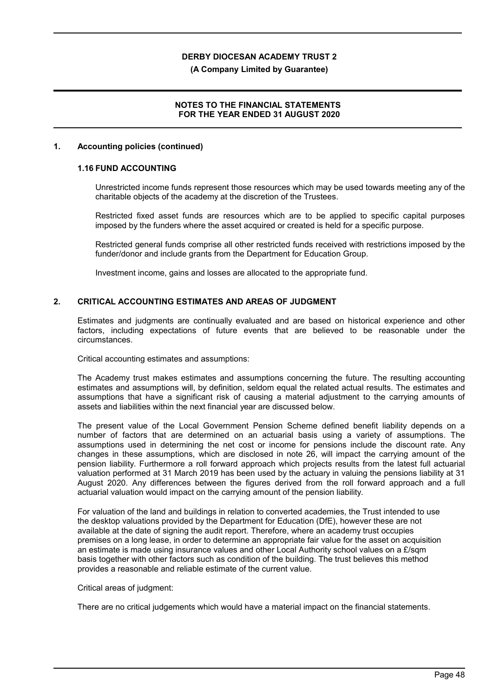### **(A Company Limited by Guarantee)**

## **NOTES TO THE FINANCIAL STATEMENTS FOR THE YEAR ENDED 31 AUGUST 2020**

### **1. Accounting policies (continued)**

## **1.16 FUND ACCOUNTING**

Unrestricted income funds represent those resources which may be used towards meeting any of the charitable objects of the academy at the discretion of the Trustees.

Restricted fixed asset funds are resources which are to be applied to specific capital purposes imposed by the funders where the asset acquired or created is held for a specific purpose.

Restricted general funds comprise all other restricted funds received with restrictions imposed by the funder/donor and include grants from the Department for Education Group.

Investment income, gains and losses are allocated to the appropriate fund.

### **2. CRITICAL ACCOUNTING ESTIMATES AND AREAS OF JUDGMENT**

Estimates and judgments are continually evaluated and are based on historical experience and other factors, including expectations of future events that are believed to be reasonable under the circumstances.

Critical accounting estimates and assumptions:

The Academy trust makes estimates and assumptions concerning the future. The resulting accounting estimates and assumptions will, by definition, seldom equal the related actual results. The estimates and assumptions that have a significant risk of causing a material adjustment to the carrying amounts of assets and liabilities within the next financial year are discussed below.

The present value of the Local Government Pension Scheme defined benefit liability depends on a number of factors that are determined on an actuarial basis using a variety of assumptions. The assumptions used in determining the net cost or income for pensions include the discount rate. Any changes in these assumptions, which are disclosed in note 26, will impact the carrying amount of the pension liability. Furthermore a roll forward approach which projects results from the latest full actuarial valuation performed at 31 March 2019 has been used by the actuary in valuing the pensions liability at 31 August 2020. Any differences between the figures derived from the roll forward approach and a full actuarial valuation would impact on the carrying amount of the pension liability.

For valuation of the land and buildings in relation to converted academies, the Trust intended to use the desktop valuations provided by the Department for Education (DfE), however these are not available at the date of signing the audit report. Therefore, where an academy trust occupies premises on a long lease, in order to determine an appropriate fair value for the asset on acquisition an estimate is made using insurance values and other Local Authority school values on a  $E/\text{sam}$ basis together with other factors such as condition of the building. The trust believes this method provides a reasonable and reliable estimate of the current value.

#### Critical areas of judgment:

There are no critical judgements which would have a material impact on the financial statements.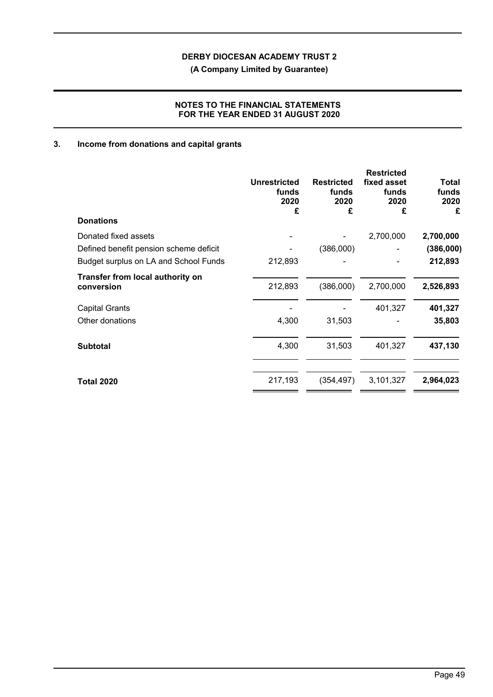**(A Company Limited by Guarantee)**

# **NOTES TO THE FINANCIAL STATEMENTS FOR THE YEAR ENDED 31 AUGUST 2020**

# **3. Income from donations and capital grants**

|                                                | <b>Unrestricted</b><br>funds<br>2020<br>£ | <b>Restricted</b><br>funds<br>2020<br>£ | <b>Restricted</b><br>fixed asset<br>funds<br>2020<br>£ | Total<br>funds<br>2020<br>£ |
|------------------------------------------------|-------------------------------------------|-----------------------------------------|--------------------------------------------------------|-----------------------------|
| <b>Donations</b>                               |                                           |                                         |                                                        |                             |
| Donated fixed assets                           |                                           |                                         | 2,700,000                                              | 2,700,000                   |
| Defined benefit pension scheme deficit         |                                           | (386,000)                               |                                                        | (386,000)                   |
| Budget surplus on LA and School Funds          | 212,893                                   |                                         |                                                        | 212,893                     |
| Transfer from local authority on<br>conversion | 212,893                                   | (386,000)                               | 2,700,000                                              | 2,526,893                   |
| <b>Capital Grants</b>                          |                                           |                                         | 401,327                                                | 401,327                     |
| Other donations                                | 4,300                                     | 31,503                                  |                                                        | 35,803                      |
| <b>Subtotal</b>                                | 4,300                                     | 31,503                                  | 401,327                                                | 437,130                     |
| <b>Total 2020</b>                              | 217,193                                   | (354,497)                               | 3,101,327                                              | 2,964,023                   |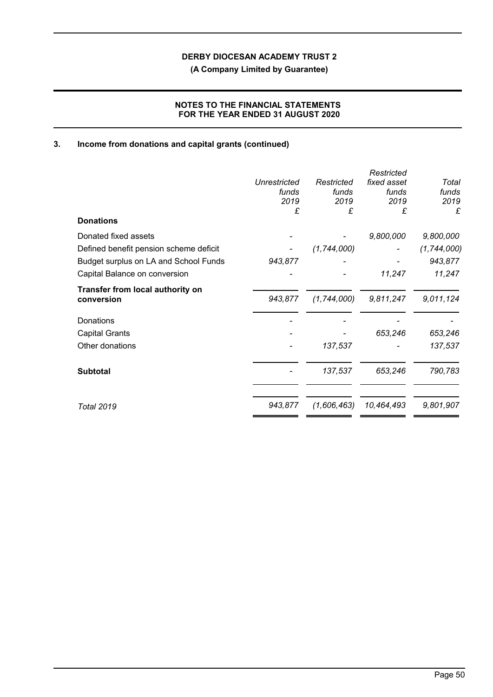**(A Company Limited by Guarantee)**

# **NOTES TO THE FINANCIAL STATEMENTS FOR THE YEAR ENDED 31 AUGUST 2020**

# **3. Income from donations and capital grants (continued)**

| <b>Donations</b>                               | Unrestricted<br>funds<br>2019<br>£ | Restricted<br>funds<br>2019<br>£ | Restricted<br>fixed asset<br>funds<br>2019<br>£ | Total<br>funds<br>2019<br>£ |
|------------------------------------------------|------------------------------------|----------------------------------|-------------------------------------------------|-----------------------------|
|                                                |                                    |                                  |                                                 |                             |
| Donated fixed assets                           |                                    |                                  | 9,800,000                                       | 9,800,000                   |
| Defined benefit pension scheme deficit         |                                    | (1, 744, 000)                    |                                                 | (1, 744, 000)               |
| Budget surplus on LA and School Funds          | 943,877                            |                                  |                                                 | 943,877                     |
| Capital Balance on conversion                  |                                    |                                  | 11,247                                          | 11,247                      |
| Transfer from local authority on<br>conversion | 943,877                            | (1,744,000)                      | 9,811,247                                       | 9,011,124                   |
| Donations                                      |                                    |                                  |                                                 |                             |
| <b>Capital Grants</b>                          |                                    |                                  | 653,246                                         | 653,246                     |
| Other donations                                |                                    | 137,537                          |                                                 | 137,537                     |
| <b>Subtotal</b>                                |                                    | 137,537                          | 653,246                                         | 790,783                     |
| <b>Total 2019</b>                              | 943,877                            | (1,606,463)                      | 10,464,493                                      | 9,801,907                   |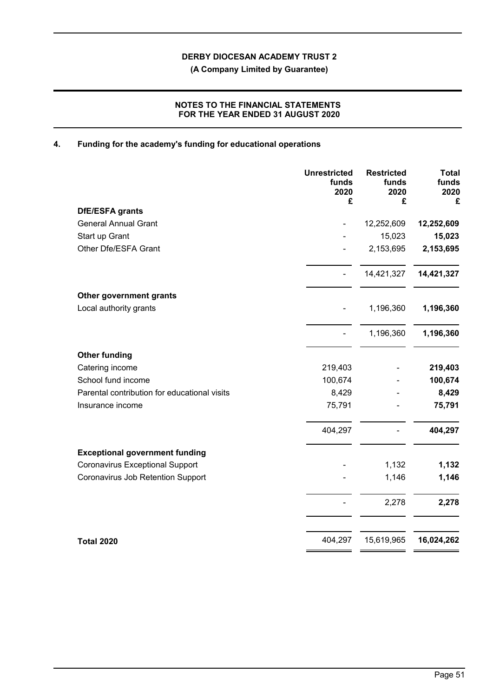**(A Company Limited by Guarantee)**

# **NOTES TO THE FINANCIAL STATEMENTS FOR THE YEAR ENDED 31 AUGUST 2020**

# **4. Funding for the academy's funding for educational operations**

|                                              | <b>Unrestricted</b><br>funds<br>2020<br>£ | <b>Restricted</b><br>funds<br>2020<br>£ | <b>Total</b><br>funds<br>2020<br>£ |
|----------------------------------------------|-------------------------------------------|-----------------------------------------|------------------------------------|
| DfE/ESFA grants                              |                                           |                                         |                                    |
| <b>General Annual Grant</b>                  |                                           | 12,252,609                              | 12,252,609                         |
| Start up Grant                               |                                           | 15,023                                  | 15,023                             |
| Other Dfe/ESFA Grant                         |                                           | 2,153,695                               | 2,153,695                          |
|                                              |                                           | 14,421,327                              | 14,421,327                         |
| Other government grants                      |                                           |                                         |                                    |
| Local authority grants                       |                                           | 1,196,360                               | 1,196,360                          |
|                                              |                                           | 1,196,360                               | 1,196,360                          |
| <b>Other funding</b>                         |                                           |                                         |                                    |
| Catering income                              | 219,403                                   |                                         | 219,403                            |
| School fund income                           | 100,674                                   |                                         | 100,674                            |
| Parental contribution for educational visits | 8,429                                     |                                         | 8,429                              |
| Insurance income                             | 75,791                                    |                                         | 75,791                             |
|                                              | 404,297                                   |                                         | 404,297                            |
| <b>Exceptional government funding</b>        |                                           |                                         |                                    |
| <b>Coronavirus Exceptional Support</b>       |                                           | 1,132                                   | 1,132                              |
| Coronavirus Job Retention Support            |                                           | 1,146                                   | 1,146                              |
|                                              |                                           | 2,278                                   | 2,278                              |
| <b>Total 2020</b>                            | 404,297                                   | 15,619,965                              | 16,024,262                         |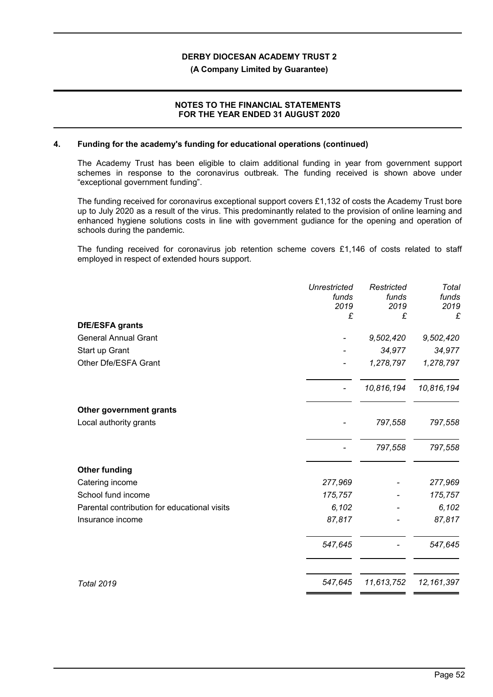### **(A Company Limited by Guarantee)**

## **NOTES TO THE FINANCIAL STATEMENTS FOR THE YEAR ENDED 31 AUGUST 2020**

### **4. Funding for the academy's funding for educational operations (continued)**

The Academy Trust has been eligible to claim additional funding in year from government support schemes in response to the coronavirus outbreak. The funding received is shown above under "exceptional government funding".

The funding received for coronavirus exceptional support covers £1,132 of costs the Academy Trust bore up to July 2020 as a result of the virus. This predominantly related to the provision of online learning and enhanced hygiene solutions costs in line with government gudiance for the opening and operation of schools during the pandemic.

The funding received for coronavirus job retention scheme covers £1,146 of costs related to staff employed in respect of extended hours support.

| <b>Unrestricted</b><br>funds<br>2019 | Restricted<br>funds<br>2019 | Total<br>funds<br>2019<br>£ |
|--------------------------------------|-----------------------------|-----------------------------|
|                                      |                             |                             |
|                                      | 9,502,420                   | 9,502,420                   |
|                                      | 34,977                      | 34,977                      |
|                                      | 1,278,797                   | 1,278,797                   |
|                                      | 10,816,194                  | 10,816,194                  |
|                                      |                             |                             |
|                                      | 797,558                     | 797,558                     |
|                                      | 797,558                     | 797,558                     |
|                                      |                             |                             |
| 277,969                              |                             | 277,969                     |
| 175,757                              |                             | 175,757                     |
| 6,102                                |                             | 6,102                       |
| 87,817                               |                             | 87,817                      |
| 547,645                              |                             | 547,645                     |
| 547,645                              | 11,613,752                  | 12, 161, 397                |
|                                      | £                           | £                           |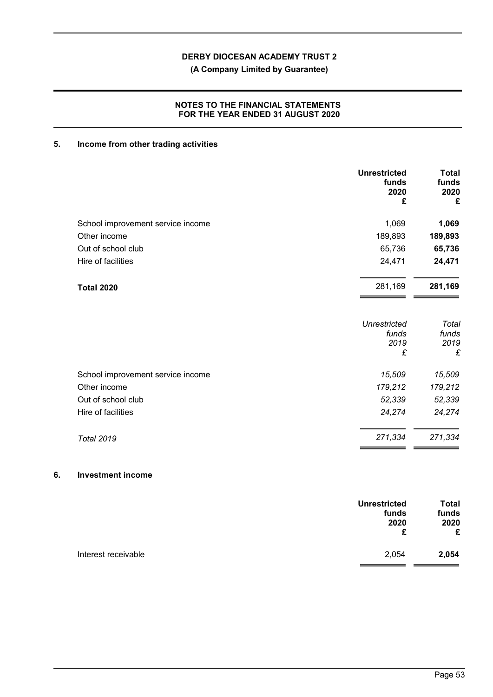**(A Company Limited by Guarantee)**

# **NOTES TO THE FINANCIAL STATEMENTS FOR THE YEAR ENDED 31 AUGUST 2020**

# **5. Income from other trading activities**

|                                   | <b>Unrestricted</b><br>funds<br>2020<br>£ | <b>Total</b><br>funds<br>2020<br>£ |
|-----------------------------------|-------------------------------------------|------------------------------------|
| School improvement service income | 1,069                                     | 1,069                              |
| Other income                      | 189,893                                   | 189,893                            |
| Out of school club                | 65,736                                    | 65,736                             |
| Hire of facilities                | 24,471                                    | 24,471                             |
| <b>Total 2020</b>                 | 281,169                                   | 281,169                            |
|                                   | <b>Unrestricted</b><br>funds<br>2019<br>£ | Total<br>funds<br>2019<br>£        |
| School improvement service income | 15,509                                    | 15,509                             |
| Other income                      | 179,212                                   | 179,212                            |
| Out of school club                | 52,339                                    | 52,339                             |
| Hire of facilities                | 24,274                                    | 24,274                             |
| <b>Total 2019</b>                 | 271,334                                   | 271,334                            |

## **6. Investment income**

| <b>Unrestricted</b>          | <b>Total</b> |
|------------------------------|--------------|
| funds                        | funds        |
| 2020                         | 2020         |
| £                            | £            |
| Interest receivable<br>2,054 | 2,054        |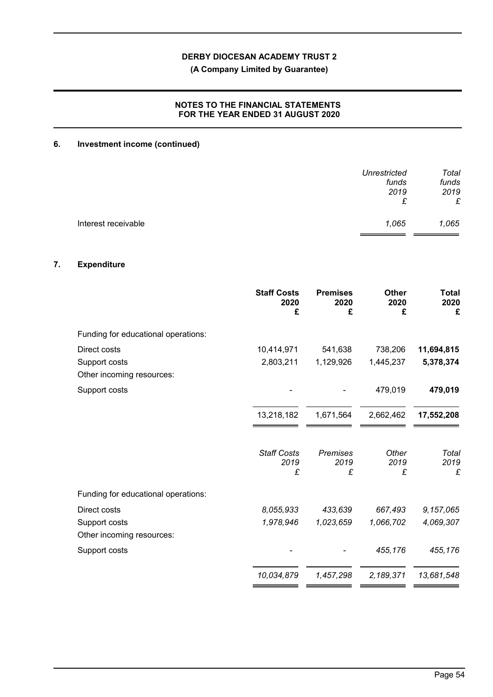**(A Company Limited by Guarantee)**

# **NOTES TO THE FINANCIAL STATEMENTS FOR THE YEAR ENDED 31 AUGUST 2020**

# **6. Investment income (continued)**

|                     | Unrestricted<br>funds | Total<br>funds |
|---------------------|-----------------------|----------------|
|                     | 2019<br>£             | 2019<br>£      |
| Interest receivable | 1,065                 | 1,065          |

# **7. Expenditure**

|                                            | <b>Staff Costs</b><br>2020<br>£ | <b>Premises</b><br>2020<br>£ | <b>Other</b><br>2020<br>£ | <b>Total</b><br>2020<br>£ |
|--------------------------------------------|---------------------------------|------------------------------|---------------------------|---------------------------|
| Funding for educational operations:        |                                 |                              |                           |                           |
| Direct costs                               | 10,414,971                      | 541,638                      | 738,206                   | 11,694,815                |
| Support costs<br>Other incoming resources: | 2,803,211                       | 1,129,926                    | 1,445,237                 | 5,378,374                 |
| Support costs                              |                                 |                              | 479,019                   | 479,019                   |
|                                            | 13,218,182                      | 1,671,564                    | 2,662,462                 | 17,552,208                |
|                                            | <b>Staff Costs</b><br>2019<br>£ | <b>Premises</b><br>2019<br>£ | Other<br>2019<br>£        | Total<br>2019<br>£        |
| Funding for educational operations:        |                                 |                              |                           |                           |
| Direct costs                               | 8,055,933                       | 433,639                      | 667,493                   | 9,157,065                 |
| Support costs<br>Other incoming resources: | 1,978,946                       | 1,023,659                    | 1,066,702                 | 4,069,307                 |
| Support costs                              |                                 |                              | 455,176                   | 455,176                   |
|                                            | 10,034,879                      | 1,457,298                    | 2,189,371                 | 13,681,548                |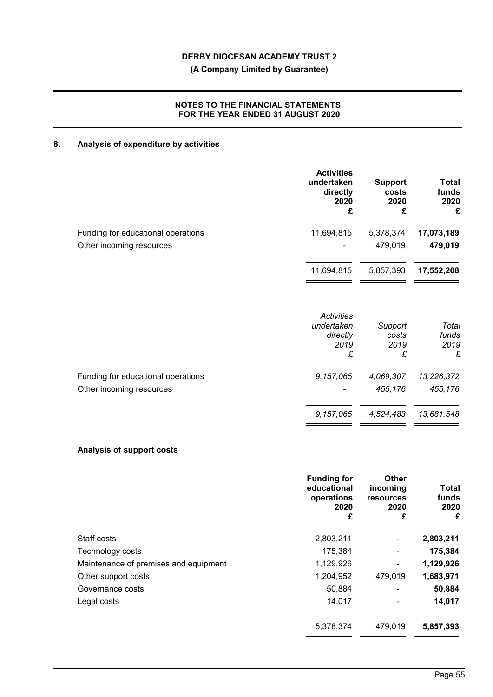# **(A Company Limited by Guarantee)**

# **NOTES TO THE FINANCIAL STATEMENTS FOR THE YEAR ENDED 31 AUGUST 2020**

# **8. Analysis of expenditure by activities**

|                                    | <b>Activities</b><br>undertaken<br>directly<br>2020<br>£ | <b>Support</b><br>costs<br>2020<br>£ | Total<br>funds<br>2020<br>£ |
|------------------------------------|----------------------------------------------------------|--------------------------------------|-----------------------------|
| Funding for educational operations | 11,694,815                                               | 5,378,374                            | 17,073,189                  |
| Other incoming resources           |                                                          | 479,019                              | 479,019                     |
|                                    | 11,694,815                                               | 5,857,393                            | 17,552,208                  |
|                                    | <b>Activities</b><br>undertaken<br>directly<br>2019<br>£ | Support<br>costs<br>2019<br>£        | Total<br>funds<br>2019<br>£ |
| Funding for educational operations | 9,157,065                                                | 4,069,307                            | 13,226,372                  |
| Other incoming resources           | 9,157,065                                                | 455,176<br>4,524,483                 | 455,176<br>13,681,548       |

# **Analysis of support costs**

|                                       | <b>Funding for</b><br>educational<br>operations<br>2020<br>£ | Other<br>incoming<br><b>resources</b><br>2020<br>£ | Total<br>funds<br>2020<br>£ |
|---------------------------------------|--------------------------------------------------------------|----------------------------------------------------|-----------------------------|
| Staff costs                           | 2,803,211                                                    | ۰                                                  | 2,803,211                   |
| Technology costs                      | 175,384                                                      |                                                    | 175,384                     |
| Maintenance of premises and equipment | 1,129,926                                                    | ۰                                                  | 1,129,926                   |
| Other support costs                   | 1,204,952                                                    | 479,019                                            | 1,683,971                   |
| Governance costs                      | 50,884                                                       |                                                    | 50,884                      |
| Legal costs                           | 14,017                                                       |                                                    | 14,017                      |
|                                       | 5,378,374                                                    | 479,019                                            | 5,857,393                   |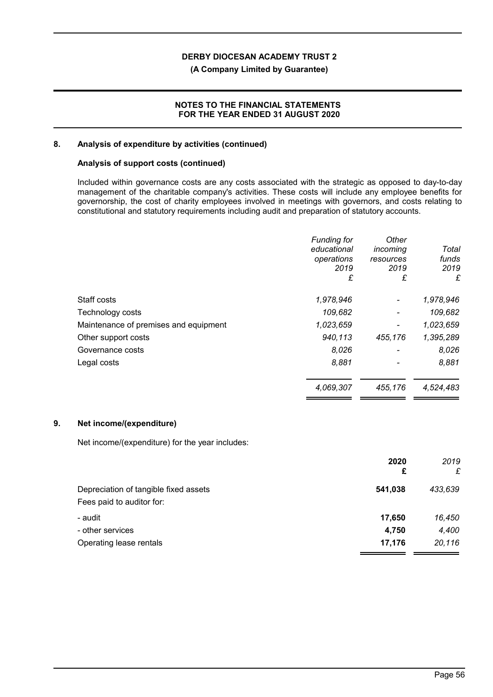### **(A Company Limited by Guarantee)**

## **NOTES TO THE FINANCIAL STATEMENTS FOR THE YEAR ENDED 31 AUGUST 2020**

### **8. Analysis of expenditure by activities (continued)**

## **Analysis of support costs (continued)**

Included within governance costs are any costs associated with the strategic as opposed to day-to-day management of the charitable company's activities. These costs will include any employee benefits for governorship, the cost of charity employees involved in meetings with governors, and costs relating to constitutional and statutory requirements including audit and preparation of statutory accounts.

|                                       | <b>Funding for</b><br>educational<br>operations<br>2019<br>£ | Other<br>incoming<br>resources<br>2019<br>£ | Total<br>funds<br>2019<br>£ |
|---------------------------------------|--------------------------------------------------------------|---------------------------------------------|-----------------------------|
| Staff costs                           | 1,978,946                                                    | $\blacksquare$                              | 1,978,946                   |
| Technology costs                      | 109,682                                                      |                                             | 109,682                     |
| Maintenance of premises and equipment | 1,023,659                                                    | $\blacksquare$                              | 1,023,659                   |
| Other support costs                   | 940,113                                                      | 455,176                                     | 1,395,289                   |
| Governance costs                      | 8,026                                                        | $\overline{\phantom{a}}$                    | 8,026                       |
| Legal costs                           | 8,881                                                        |                                             | 8,881                       |
|                                       | 4,069,307                                                    | 455,176                                     | 4,524,483                   |

### **9. Net income/(expenditure)**

Net income/(expenditure) for the year includes:

|                                       | 2020<br>£ | 2019<br>£ |
|---------------------------------------|-----------|-----------|
| Depreciation of tangible fixed assets | 541,038   | 433,639   |
| Fees paid to auditor for:             |           |           |
| - audit                               | 17,650    | 16,450    |
| - other services                      | 4,750     | 4,400     |
| Operating lease rentals               | 17,176    | 20,116    |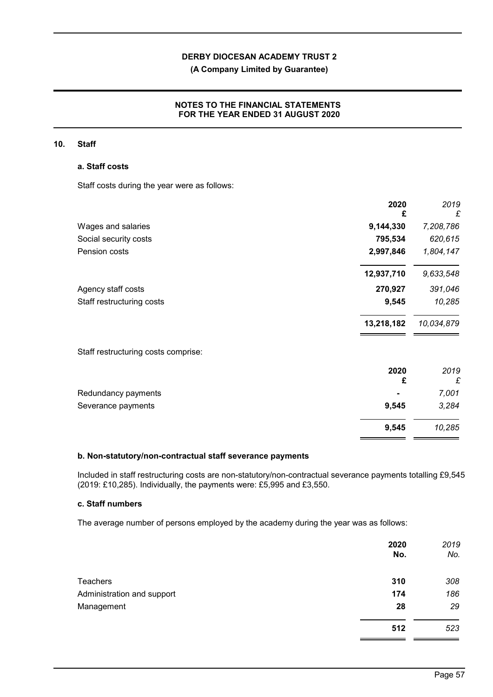## **(A Company Limited by Guarantee)**

## **NOTES TO THE FINANCIAL STATEMENTS FOR THE YEAR ENDED 31 AUGUST 2020**

### **10. Staff**

# **a. Staff costs**

Staff costs during the year were as follows:

| 2020<br>£                           | 2019<br>£  |
|-------------------------------------|------------|
| 9,144,330<br>Wages and salaries     | 7,208,786  |
| 795,534<br>Social security costs    | 620,615    |
| Pension costs<br>2,997,846          | 1,804,147  |
| 12,937,710                          | 9,633,548  |
| 270,927<br>Agency staff costs       | 391,046    |
| Staff restructuring costs<br>9,545  | 10,285     |
| 13,218,182                          | 10,034,879 |
| Staff restructuring costs comprise: |            |
| 2020                                | 2019       |
| £                                   | £          |
| Redundancy payments                 | 7,001      |
| 9,545<br>Severance payments         | 3,284      |
| 9,545                               | 10,285     |

### **b. Non-statutory/non-contractual staff severance payments**

Included in staff restructuring costs are non-statutory/non-contractual severance payments totalling £9,545 (2019: £10,285). Individually, the payments were: £5,995 and £3,550.

## **c. Staff numbers**

The average number of persons employed by the academy during the year was as follows:

|                            | 2020<br>No. | 2019<br>No. |
|----------------------------|-------------|-------------|
| <b>Teachers</b>            | 310         | 308         |
| Administration and support | 174         | 186         |
| Management                 | 28          | 29          |
|                            | 512         | 523         |
|                            |             |             |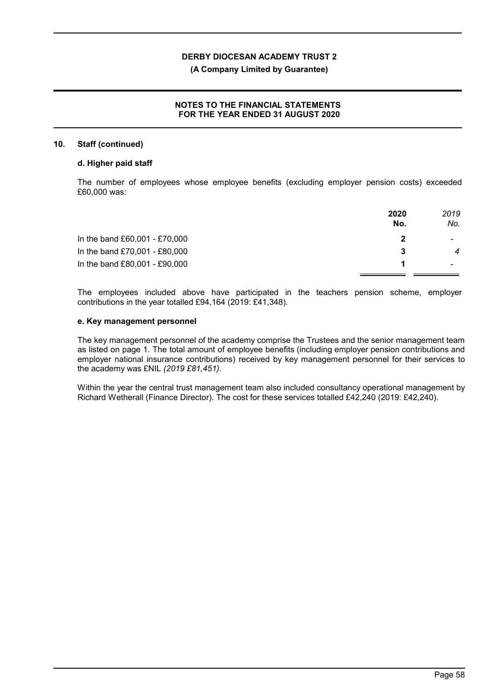### **(A Company Limited by Guarantee)**

## **NOTES TO THE FINANCIAL STATEMENTS FOR THE YEAR ENDED 31 AUGUST 2020**

#### **10. Staff (continued)**

#### **d. Higher paid staff**

The number of employees whose employee benefits (excluding employer pension costs) exceeded £60,000 was:

| 2019<br>2020<br>No.<br>No. |
|----------------------------|
|                            |
| $\overline{4}$<br>3        |
|                            |
|                            |

The employees included above have participated in the teachers pension scheme, employer contributions in the year totalled £94,164 (2019: £41,348).

## **e. Key management personnel**

The key management personnel of the academy comprise the Trustees and the senior management team as listed on page 1. The total amount of employee benefits (including employer pension contributions and employer national insurance contributions) received by key management personnel for their services to the academy was £NIL *(2019 £81,451)*.

Within the year the central trust management team also included consultancy operational management by Richard Wetherall (Finance Director). The cost for these services totalled £42,240 (2019: £42,240).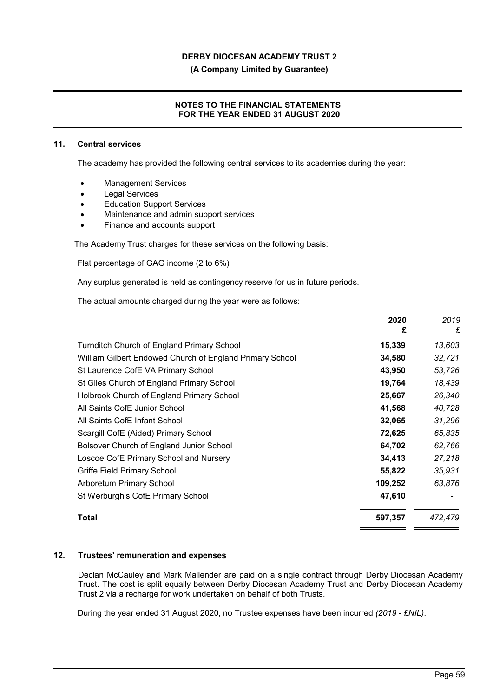**(A Company Limited by Guarantee)**

## **NOTES TO THE FINANCIAL STATEMENTS FOR THE YEAR ENDED 31 AUGUST 2020**

### **11. Central services**

The academy has provided the following central services to its academies during the year:

- Management Services
- Legal Services
- Education Support Services
- Maintenance and admin support services
- Finance and accounts support

The Academy Trust charges for these services on the following basis:

Flat percentage of GAG income (2 to 6%)

Any surplus generated is held as contingency reserve for us in future periods.

The actual amounts charged during the year were as follows:

|                                                          | 2020<br>£ | 2019<br>£ |
|----------------------------------------------------------|-----------|-----------|
| Turnditch Church of England Primary School               | 15,339    | 13,603    |
| William Gilbert Endowed Church of England Primary School | 34,580    | 32,721    |
| St Laurence CofE VA Primary School                       | 43,950    | 53,726    |
| St Giles Church of England Primary School                | 19,764    | 18,439    |
| Holbrook Church of England Primary School                | 25,667    | 26,340    |
| All Saints CofE Junior School                            | 41,568    | 40,728    |
| All Saints CofE Infant School                            | 32,065    | 31,296    |
| Scargill CofE (Aided) Primary School                     | 72,625    | 65,835    |
| Bolsover Church of England Junior School                 | 64,702    | 62,766    |
| Loscoe CofE Primary School and Nursery                   | 34,413    | 27,218    |
| Griffe Field Primary School                              | 55,822    | 35,931    |
| Arboretum Primary School                                 | 109,252   | 63,876    |
| St Werburgh's CofE Primary School                        | 47,610    |           |
| Total                                                    | 597,357   | 472,479   |

### **12. Trustees' remuneration and expenses**

Declan McCauley and Mark Mallender are paid on a single contract through Derby Diocesan Academy Trust. The cost is split equally between Derby Diocesan Academy Trust and Derby Diocesan Academy Trust 2 via a recharge for work undertaken on behalf of both Trusts.

During the year ended 31 August 2020, no Trustee expenses have been incurred *(2019 - £NIL)*.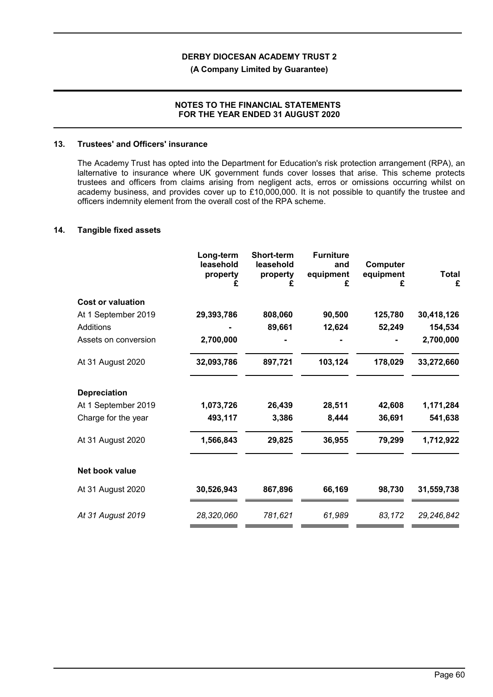**(A Company Limited by Guarantee)**

## **NOTES TO THE FINANCIAL STATEMENTS FOR THE YEAR ENDED 31 AUGUST 2020**

### **13. Trustees' and Officers' insurance**

The Academy Trust has opted into the Department for Education's risk protection arrangement (RPA), an lalternative to insurance where UK government funds cover losses that arise. This scheme protects trustees and officers from claims arising from negligent acts, erros or omissions occurring whilst on academy business, and provides cover up to £10,000,000. It is not possible to quantify the trustee and officers indemnity element from the overall cost of the RPA scheme.

### **14. Tangible fixed assets**

|                          | Long-term<br>leasehold<br>property | <b>Short-term</b><br>leasehold<br>property<br>£ | <b>Furniture</b><br>and<br>equipment<br>£ | Computer<br>equipment<br>£ | <b>Total</b><br>£ |
|--------------------------|------------------------------------|-------------------------------------------------|-------------------------------------------|----------------------------|-------------------|
| <b>Cost or valuation</b> |                                    |                                                 |                                           |                            |                   |
| At 1 September 2019      | 29,393,786                         | 808,060                                         | 90,500                                    | 125,780                    | 30,418,126        |
| <b>Additions</b>         |                                    | 89,661                                          | 12,624                                    | 52,249                     | 154,534           |
| Assets on conversion     | 2,700,000                          |                                                 |                                           |                            | 2,700,000         |
| At 31 August 2020        | 32,093,786                         | 897,721                                         | 103,124                                   | 178,029                    | 33,272,660        |
| <b>Depreciation</b>      |                                    |                                                 |                                           |                            |                   |
| At 1 September 2019      | 1,073,726                          | 26,439                                          | 28,511                                    | 42,608                     | 1,171,284         |
| Charge for the year      | 493,117                            | 3,386                                           | 8,444                                     | 36,691                     | 541,638           |
| At 31 August 2020        | 1,566,843                          | 29,825                                          | 36,955                                    | 79,299                     | 1,712,922         |
| Net book value           |                                    |                                                 |                                           |                            |                   |
| At 31 August 2020        | 30,526,943                         | 867,896                                         | 66,169                                    | 98,730                     | 31,559,738        |
| At 31 August 2019        | 28,320,060                         | 781,621                                         | 61,989                                    | 83,172                     | 29,246,842        |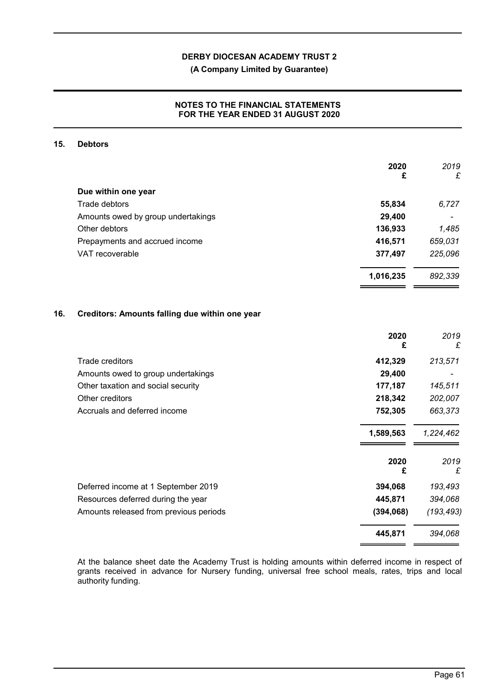**(A Company Limited by Guarantee)**

## **NOTES TO THE FINANCIAL STATEMENTS FOR THE YEAR ENDED 31 AUGUST 2020**

### **15. Debtors**

|                                    | 2020<br>£ | 2019<br>£ |
|------------------------------------|-----------|-----------|
| Due within one year                |           |           |
| Trade debtors                      | 55,834    | 6,727     |
| Amounts owed by group undertakings | 29,400    |           |
| Other debtors                      | 136,933   | 1,485     |
| Prepayments and accrued income     | 416,571   | 659,031   |
| VAT recoverable                    | 377,497   | 225,096   |
|                                    | 1,016,235 | 892,339   |

## **16. Creditors: Amounts falling due within one year**

|                                        | 2020<br>£ | 2019<br>£  |
|----------------------------------------|-----------|------------|
| Trade creditors                        | 412,329   | 213,571    |
| Amounts owed to group undertakings     | 29,400    |            |
| Other taxation and social security     | 177,187   | 145,511    |
| Other creditors                        | 218,342   | 202,007    |
| Accruals and deferred income           | 752,305   | 663,373    |
|                                        | 1,589,563 | 1,224,462  |
|                                        | 2020<br>£ | 2019<br>£  |
| Deferred income at 1 September 2019    | 394,068   | 193,493    |
| Resources deferred during the year     | 445,871   | 394,068    |
| Amounts released from previous periods | (394,068) | (193, 493) |
|                                        | 445,871   | 394,068    |

At the balance sheet date the Academy Trust is holding amounts within deferred income in respect of grants received in advance for Nursery funding, universal free school meals, rates, trips and local authority funding.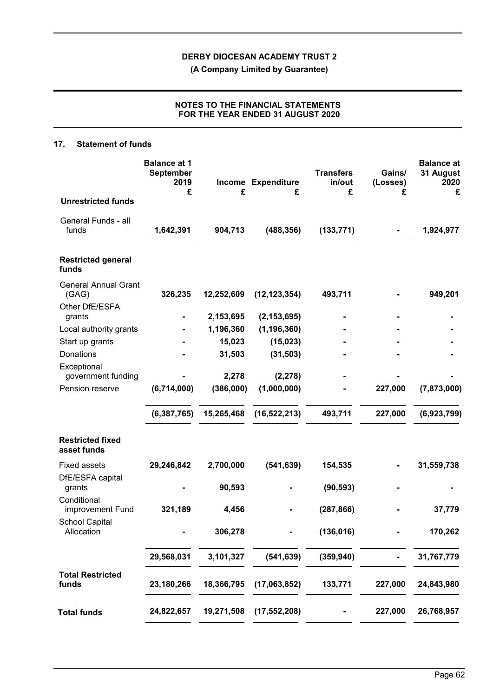**(A Company Limited by Guarantee)**

# **NOTES TO THE FINANCIAL STATEMENTS FOR THE YEAR ENDED 31 AUGUST 2020**

## **17. Statement of funds**

|                                        | <b>Balance at 1</b><br><b>September</b><br>2019<br>£ | £                      | Income Expenditure<br>£        | <b>Transfers</b><br>in/out<br>£ | Gains/<br>(Losses)<br>£ | <b>Balance</b> at<br>31 August<br>2020<br>£ |
|----------------------------------------|------------------------------------------------------|------------------------|--------------------------------|---------------------------------|-------------------------|---------------------------------------------|
| <b>Unrestricted funds</b>              |                                                      |                        |                                |                                 |                         |                                             |
| General Funds - all<br>funds           | 1,642,391                                            | 904,713                | (488, 356)                     | (133, 771)                      |                         | 1,924,977                                   |
| <b>Restricted general</b><br>funds     |                                                      |                        |                                |                                 |                         |                                             |
| <b>General Annual Grant</b><br>(GAG)   | 326,235                                              | 12,252,609             | (12, 123, 354)                 | 493,711                         |                         | 949,201                                     |
| Other DfE/ESFA                         |                                                      |                        |                                |                                 |                         |                                             |
| grants<br>Local authority grants       | $\blacksquare$                                       | 2,153,695<br>1,196,360 | (2, 153, 695)<br>(1, 196, 360) |                                 |                         |                                             |
| Start up grants                        |                                                      | 15,023                 | (15, 023)                      |                                 |                         |                                             |
| Donations                              |                                                      | 31,503                 | (31, 503)                      |                                 |                         |                                             |
| Exceptional                            |                                                      |                        |                                |                                 |                         |                                             |
| government funding                     |                                                      | 2,278                  | (2, 278)                       |                                 |                         |                                             |
| Pension reserve                        | (6,714,000)                                          | (386,000)              | (1,000,000)                    |                                 | 227,000                 | (7, 873, 000)                               |
|                                        | (6, 387, 765)                                        | 15,265,468             | (16, 522, 213)                 | 493,711                         | 227,000                 | (6,923,799)                                 |
| <b>Restricted fixed</b><br>asset funds |                                                      |                        |                                |                                 |                         |                                             |
| <b>Fixed assets</b>                    | 29,246,842                                           | 2,700,000              | (541, 639)                     | 154,535                         |                         | 31,559,738                                  |
| DfE/ESFA capital<br>grants             |                                                      | 90,593                 |                                | (90, 593)                       |                         |                                             |
| Conditional<br>improvement Fund        | 321,189                                              | 4,456                  |                                | (287, 866)                      |                         | 37,779                                      |
| <b>School Capital</b><br>Allocation    |                                                      | 306,278                |                                | (136, 016)                      |                         | 170,262                                     |
|                                        | 29,568,031                                           | 3,101,327              | (541, 639)                     | (359, 940)                      |                         | 31,767,779                                  |
| <b>Total Restricted</b><br>funds       | 23,180,266                                           | 18,366,795             | (17,063,852)                   | 133,771                         | 227,000                 | 24,843,980                                  |
| <b>Total funds</b>                     | 24,822,657                                           | 19,271,508             | (17, 552, 208)                 |                                 | 227,000                 | 26,768,957                                  |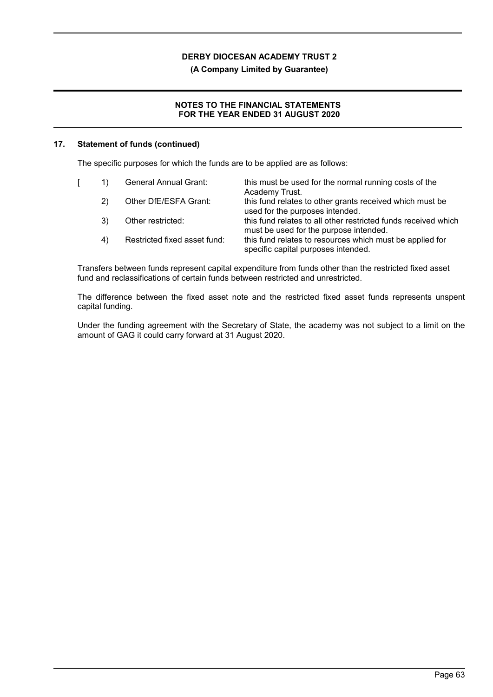**(A Company Limited by Guarantee)**

# **NOTES TO THE FINANCIAL STATEMENTS FOR THE YEAR ENDED 31 AUGUST 2020**

## **17. Statement of funds (continued)**

The specific purposes for which the funds are to be applied are as follows:

|    | General Annual Grant:        | this must be used for the normal running costs of the<br>Academy Trust.                                  |
|----|------------------------------|----------------------------------------------------------------------------------------------------------|
| 2) | Other DfE/ESFA Grant:        | this fund relates to other grants received which must be<br>used for the purposes intended.              |
| 3) | Other restricted:            | this fund relates to all other restricted funds received which<br>must be used for the purpose intended. |
| 4) | Restricted fixed asset fund: | this fund relates to resources which must be applied for<br>specific capital purposes intended.          |

Transfers between funds represent capital expenditure from funds other than the restricted fixed asset fund and reclassifications of certain funds between restricted and unrestricted.

The difference between the fixed asset note and the restricted fixed asset funds represents unspent capital funding.

Under the funding agreement with the Secretary of State, the academy was not subject to a limit on the amount of GAG it could carry forward at 31 August 2020.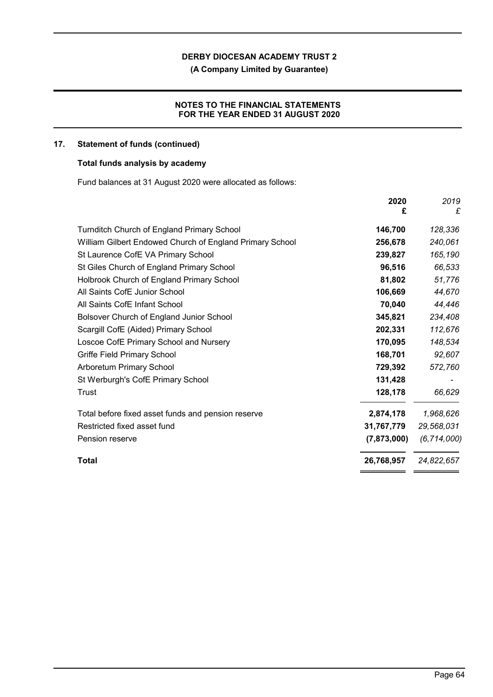**(A Company Limited by Guarantee)**

# **NOTES TO THE FINANCIAL STATEMENTS FOR THE YEAR ENDED 31 AUGUST 2020**

## **17. Statement of funds (continued)**

## **Total funds analysis by academy**

Fund balances at 31 August 2020 were allocated as follows:

|                                                          | 2020<br>£   | 2019<br>£     |
|----------------------------------------------------------|-------------|---------------|
| <b>Turnditch Church of England Primary School</b>        | 146,700     | 128,336       |
| William Gilbert Endowed Church of England Primary School | 256,678     | 240,061       |
| St Laurence CofE VA Primary School                       | 239,827     | 165,190       |
| St Giles Church of England Primary School                | 96,516      | 66,533        |
| Holbrook Church of England Primary School                | 81,802      | 51,776        |
| All Saints CofE Junior School                            | 106,669     | 44,670        |
| All Saints CofE Infant School                            | 70,040      | 44,446        |
| Bolsover Church of England Junior School                 | 345,821     | 234,408       |
| Scargill CofE (Aided) Primary School                     | 202,331     | 112,676       |
| Loscoe CofE Primary School and Nursery                   | 170,095     | 148,534       |
| Griffe Field Primary School                              | 168,701     | 92,607        |
| <b>Arboretum Primary School</b>                          | 729,392     | 572,760       |
| St Werburgh's CofE Primary School                        | 131,428     |               |
| Trust                                                    | 128,178     | 66,629        |
| Total before fixed asset funds and pension reserve       | 2,874,178   | 1,968,626     |
| Restricted fixed asset fund                              | 31,767,779  | 29,568,031    |
| Pension reserve                                          | (7,873,000) | (6, 714, 000) |
| Total                                                    | 26,768,957  | 24,822,657    |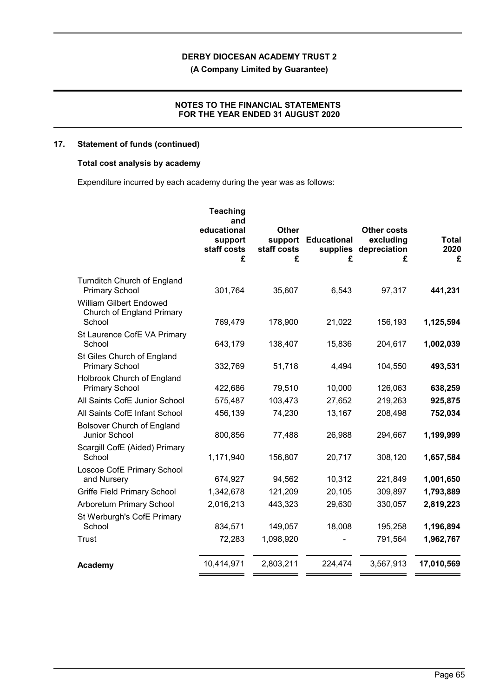**(A Company Limited by Guarantee)**

## **NOTES TO THE FINANCIAL STATEMENTS FOR THE YEAR ENDED 31 AUGUST 2020**

# **17. Statement of funds (continued)**

# **Total cost analysis by academy**

Expenditure incurred by each academy during the year was as follows:

|                                                                | <b>Teaching</b><br>and<br>educational<br>support<br>staff costs<br>£ | <b>Other</b><br>support<br>staff costs<br>£ | <b>Educational</b><br>supplies<br>£ | <b>Other costs</b><br>excluding<br>depreciation<br>£ | <b>Total</b><br>2020<br>£ |
|----------------------------------------------------------------|----------------------------------------------------------------------|---------------------------------------------|-------------------------------------|------------------------------------------------------|---------------------------|
| <b>Turnditch Church of England</b><br><b>Primary School</b>    | 301,764                                                              | 35,607                                      | 6,543                               | 97,317                                               | 441,231                   |
| William Gilbert Endowed<br>Church of England Primary<br>School | 769,479                                                              | 178,900                                     | 21,022                              | 156,193                                              | 1,125,594                 |
| St Laurence CofE VA Primary<br>School                          | 643,179                                                              | 138,407                                     | 15,836                              | 204,617                                              | 1,002,039                 |
| St Giles Church of England<br><b>Primary School</b>            | 332,769                                                              | 51,718                                      | 4,494                               | 104,550                                              | 493,531                   |
| Holbrook Church of England<br><b>Primary School</b>            | 422,686                                                              | 79,510                                      | 10,000                              | 126,063                                              | 638,259                   |
| All Saints CofE Junior School                                  | 575,487                                                              | 103,473                                     | 27,652                              | 219,263                                              | 925,875                   |
| All Saints CofE Infant School                                  | 456,139                                                              | 74,230                                      | 13,167                              | 208,498                                              | 752,034                   |
| <b>Bolsover Church of England</b><br>Junior School             | 800,856                                                              | 77,488                                      | 26,988                              | 294,667                                              | 1,199,999                 |
| Scargill CofE (Aided) Primary<br>School                        | 1,171,940                                                            | 156,807                                     | 20,717                              | 308,120                                              | 1,657,584                 |
| Loscoe CofE Primary School<br>and Nursery                      | 674,927                                                              | 94,562                                      | 10,312                              | 221,849                                              | 1,001,650                 |
| <b>Griffe Field Primary School</b>                             | 1,342,678                                                            | 121,209                                     | 20,105                              | 309,897                                              | 1,793,889                 |
| Arboretum Primary School                                       | 2,016,213                                                            | 443,323                                     | 29,630                              | 330,057                                              | 2,819,223                 |
| St Werburgh's CofE Primary<br>School                           | 834,571                                                              | 149,057                                     | 18,008                              | 195,258                                              | 1,196,894                 |
| <b>Trust</b>                                                   | 72,283                                                               | 1,098,920                                   |                                     | 791,564                                              | 1,962,767                 |
| Academy                                                        | 10,414,971                                                           | 2,803,211                                   | 224,474                             | 3,567,913                                            | 17,010,569                |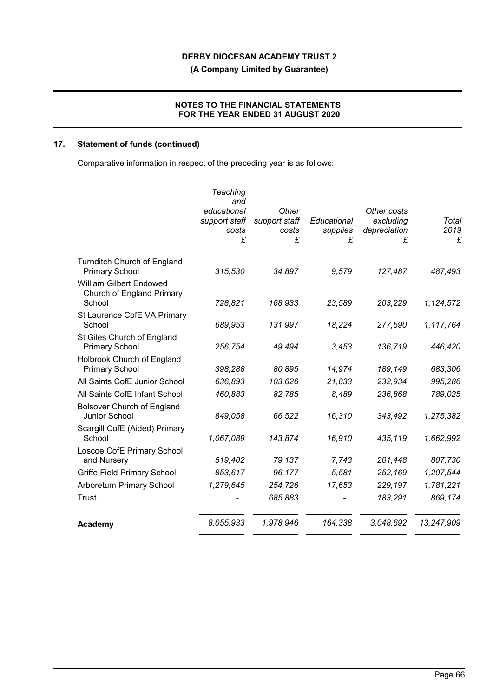**(A Company Limited by Guarantee)**

# **NOTES TO THE FINANCIAL STATEMENTS FOR THE YEAR ENDED 31 AUGUST 2020**

# **17. Statement of funds (continued)**

Comparative information in respect of the preceding year is as follows:

|                                                                       | Teaching<br>and<br>educational<br>support staff<br>costs<br>£ | Other<br>support staff<br>costs<br>£ | Educational<br>supplies<br>£ | Other costs<br>excluding<br>depreciation<br>£ | Total<br>2019<br>£ |
|-----------------------------------------------------------------------|---------------------------------------------------------------|--------------------------------------|------------------------------|-----------------------------------------------|--------------------|
| <b>Turnditch Church of England</b><br><b>Primary School</b>           | 315,530                                                       | 34,897                               | 9,579                        | 127,487                                       | 487,493            |
| <b>William Gilbert Endowed</b><br>Church of England Primary<br>School | 728,821                                                       | 168,933                              | 23,589                       | 203,229                                       | 1,124,572          |
| St Laurence CofE VA Primary<br>School                                 | 689,953                                                       | 131,997                              | 18,224                       | 277,590                                       | 1,117,764          |
| St Giles Church of England<br><b>Primary School</b>                   | 256,754                                                       | 49,494                               | 3,453                        | 136,719                                       | 446,420            |
| Holbrook Church of England<br><b>Primary School</b>                   | 398,288                                                       | 80,895                               | 14,974                       | 189,149                                       | 683,306            |
| All Saints CofE Junior School                                         | 636,893                                                       | 103,626                              | 21,833                       | 232,934                                       | 995,286            |
| All Saints CofE Infant School                                         | 460,883                                                       | 82,785                               | 8,489                        | 236,868                                       | 789,025            |
| <b>Bolsover Church of England</b><br>Junior School                    | 849,058                                                       | 66,522                               | 16,310                       | 343,492                                       | 1,275,382          |
| Scargill CofE (Aided) Primary<br>School                               | 1,067,089                                                     | 143,874                              | 16,910                       | 435,119                                       | 1,662,992          |
| Loscoe CofE Primary School<br>and Nursery                             | 519,402                                                       | 79,137                               | 7,743                        | 201,448                                       | 807,730            |
| <b>Griffe Field Primary School</b>                                    | 853,617                                                       | 96,177                               | 5,581                        | 252,169                                       | 1,207,544          |
| <b>Arboretum Primary School</b>                                       | 1,279,645                                                     | 254,726                              | 17,653                       | 229,197                                       | 1,781,221          |
| Trust                                                                 |                                                               | 685,883                              |                              | 183,291                                       | 869,174            |
| Academy                                                               | 8,055,933                                                     | 1,978,946                            | 164,338                      | 3,048,692                                     | 13,247,909         |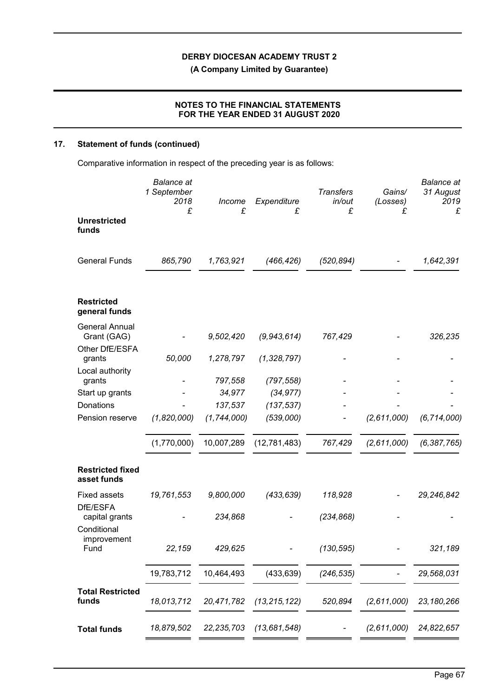**(A Company Limited by Guarantee)**

# **NOTES TO THE FINANCIAL STATEMENTS FOR THE YEAR ENDED 31 AUGUST 2020**

# **17. Statement of funds (continued)**

Comparative information in respect of the preceding year is as follows:

|                                           | <b>Balance</b> at<br>1 September<br>2018<br>£ | Income<br>£   | Expenditure<br>£ | <b>Transfers</b><br>in/out<br>£ | Gains/<br>(Losses)<br>£ | <b>Balance</b> at<br>31 August<br>2019<br>£ |
|-------------------------------------------|-----------------------------------------------|---------------|------------------|---------------------------------|-------------------------|---------------------------------------------|
| <b>Unrestricted</b><br>funds              |                                               |               |                  |                                 |                         |                                             |
| <b>General Funds</b>                      | 865,790                                       | 1,763,921     | (466, 426)       | (520, 894)                      |                         | 1,642,391                                   |
| <b>Restricted</b><br>general funds        |                                               |               |                  |                                 |                         |                                             |
| <b>General Annual</b><br>Grant (GAG)      |                                               | 9,502,420     | (9,943,614)      | 767,429                         |                         | 326,235                                     |
| Other DfE/ESFA<br>grants                  | 50,000                                        | 1,278,797     | (1,328,797)      |                                 |                         |                                             |
| Local authority<br>grants                 |                                               | 797,558       | (797, 558)       |                                 |                         |                                             |
| Start up grants                           |                                               | 34,977        | (34, 977)        |                                 |                         |                                             |
| Donations                                 |                                               | 137,537       | (137, 537)       |                                 |                         |                                             |
| Pension reserve                           | (1,820,000)                                   | (1, 744, 000) | (539,000)        |                                 | (2,611,000)             | (6, 714, 000)                               |
|                                           | (1,770,000)                                   | 10,007,289    | (12,781,483)     | 767,429                         | (2,611,000)             | (6, 387, 765)                               |
| <b>Restricted fixed</b><br>asset funds    |                                               |               |                  |                                 |                         |                                             |
| <b>Fixed assets</b>                       | 19,761,553                                    | 9,800,000     | (433, 639)       | 118,928                         |                         | 29,246,842                                  |
| DfE/ESFA<br>capital grants<br>Conditional |                                               | 234,868       |                  | (234, 868)                      |                         |                                             |
| improvement<br>Fund                       | 22,159                                        | 429,625       |                  | (130, 595)                      |                         | 321,189                                     |
|                                           | 19,783,712                                    | 10,464,493    | (433, 639)       | (246, 535)                      |                         | 29,568,031                                  |
| <b>Total Restricted</b><br>funds          | 18,013,712                                    | 20,471,782    | (13, 215, 122)   | 520,894                         | (2,611,000)             | 23, 180, 266                                |
| <b>Total funds</b>                        | 18,879,502                                    | 22, 235, 703  | (13, 681, 548)   |                                 | (2,611,000)             | 24,822,657                                  |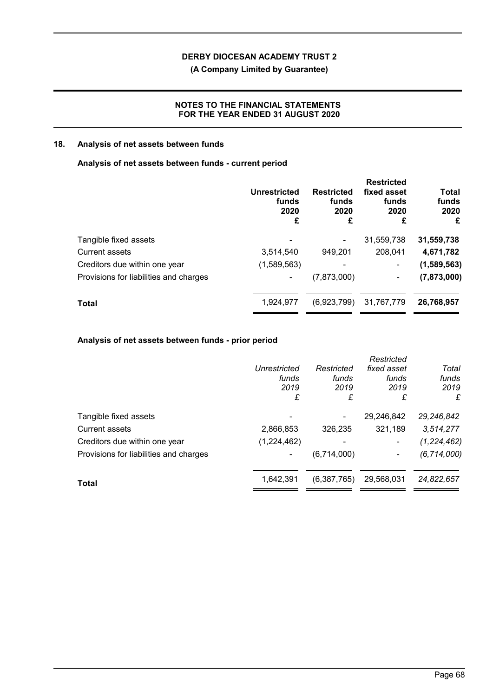**(A Company Limited by Guarantee)**

# **NOTES TO THE FINANCIAL STATEMENTS FOR THE YEAR ENDED 31 AUGUST 2020**

## **18. Analysis of net assets between funds**

## **Analysis of net assets between funds - current period**

| <b>Unrestricted</b><br>funds<br>2020<br>£ | <b>Restricted</b><br>funds<br>2020<br>£ | <b>Restricted</b><br>fixed asset<br>funds<br>2020<br>£ | Total<br>funds<br>2020<br>£ |
|-------------------------------------------|-----------------------------------------|--------------------------------------------------------|-----------------------------|
|                                           |                                         | 31,559,738                                             | 31,559,738                  |
| 3,514,540                                 | 949,201                                 | 208,041                                                | 4,671,782                   |
| (1,589,563)                               | -                                       | $\blacksquare$                                         | (1,589,563)                 |
| ۰                                         | (7,873,000)                             | ۰                                                      | (7,873,000)                 |
| 1,924,977                                 | (6,923,799)                             | 31,767,779                                             | 26,768,957                  |
|                                           |                                         |                                                        |                             |

# **Analysis of net assets between funds - prior period**

|                                        |              |             | Restricted  |               |
|----------------------------------------|--------------|-------------|-------------|---------------|
|                                        | Unrestricted | Restricted  | fixed asset | Total         |
|                                        | funds        | funds       | funds       | funds         |
|                                        | 2019         | 2019        | 2019        | 2019          |
|                                        | £            | £           | £           | £             |
| Tangible fixed assets                  |              | ۰           | 29,246,842  | 29, 246, 842  |
| <b>Current assets</b>                  | 2,866,853    | 326,235     | 321,189     | 3,514,277     |
| Creditors due within one year          | (1,224,462)  |             | ۰           | (1, 224, 462) |
| Provisions for liabilities and charges |              | (6,714,000) |             | (6, 714, 000) |
| Total                                  | 1,642,391    | (6,387,765) | 29,568,031  | 24,822,657    |
|                                        |              |             |             |               |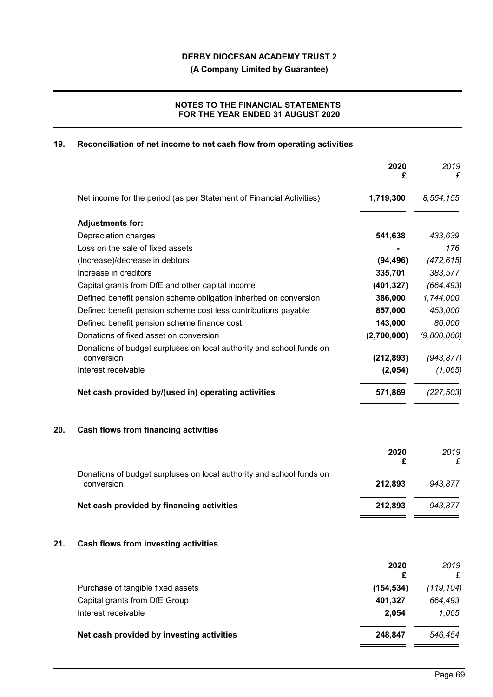**(A Company Limited by Guarantee)**

# **NOTES TO THE FINANCIAL STATEMENTS FOR THE YEAR ENDED 31 AUGUST 2020**

## **19. Reconciliation of net income to net cash flow from operating activities**

|                                                                                    | 2020<br>£   | 2019<br>£   |
|------------------------------------------------------------------------------------|-------------|-------------|
| Net income for the period (as per Statement of Financial Activities)               | 1,719,300   | 8,554,155   |
| <b>Adjustments for:</b>                                                            |             |             |
| Depreciation charges                                                               | 541,638     | 433,639     |
| Loss on the sale of fixed assets                                                   |             | 176         |
| (Increase)/decrease in debtors                                                     | (94, 496)   | (472, 615)  |
| Increase in creditors                                                              | 335,701     | 383,577     |
| Capital grants from DfE and other capital income                                   | (401, 327)  | (664, 493)  |
| Defined benefit pension scheme obligation inherited on conversion                  | 386,000     | 1,744,000   |
| Defined benefit pension scheme cost less contributions payable                     | 857,000     | 453,000     |
| Defined benefit pension scheme finance cost                                        | 143,000     | 86,000      |
| Donations of fixed asset on conversion                                             | (2,700,000) | (9,800,000) |
| Donations of budget surpluses on local authority and school funds on<br>conversion | (212, 893)  | (943, 877)  |
| Interest receivable                                                                | (2,054)     | (1,065)     |
| Net cash provided by/(used in) operating activities                                | 571,869     | (227, 503)  |

# **20. Cash flows from financing activities**

|                                                                                    | 2020    | 2019    |
|------------------------------------------------------------------------------------|---------|---------|
|                                                                                    |         | £       |
| Donations of budget surpluses on local authority and school funds on<br>conversion | 212.893 | 943.877 |
| Net cash provided by financing activities                                          | 212.893 | 943.877 |

## **21. Cash flows from investing activities**

|                                           | 2020<br>£  | 2019       |
|-------------------------------------------|------------|------------|
| Purchase of tangible fixed assets         | (154, 534) | (119, 104) |
| Capital grants from DfE Group             | 401,327    | 664,493    |
| Interest receivable                       | 2.054      | 1.065      |
| Net cash provided by investing activities | 248.847    | 546.454    |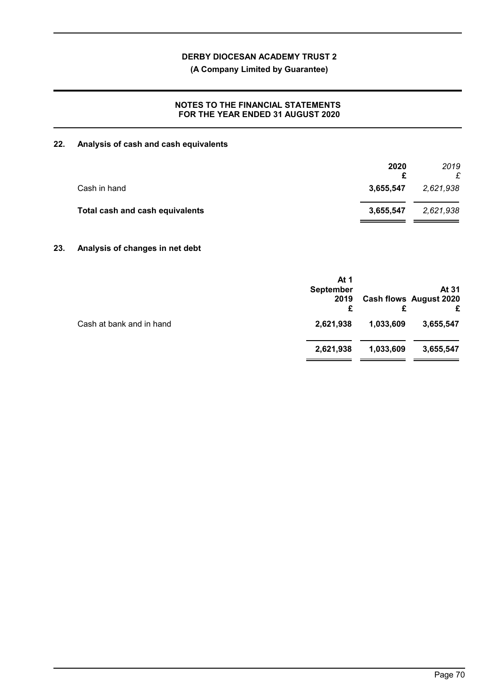**(A Company Limited by Guarantee)**

## **NOTES TO THE FINANCIAL STATEMENTS FOR THE YEAR ENDED 31 AUGUST 2020**

# **22. Analysis of cash and cash equivalents**

|           | 2019      |
|-----------|-----------|
| 3,655,547 | 2,621,938 |
| 3,655,547 | 2,621,938 |
|           | 2020      |

## **23. Analysis of changes in net debt**

|                          | At 1<br><b>September</b><br>2019<br>£ |           | At 31<br><b>Cash flows August 2020</b> |
|--------------------------|---------------------------------------|-----------|----------------------------------------|
| Cash at bank and in hand | 2,621,938                             | 1,033,609 | 3,655,547                              |
|                          | 2,621,938                             | 1,033,609 | 3,655,547                              |
|                          |                                       |           |                                        |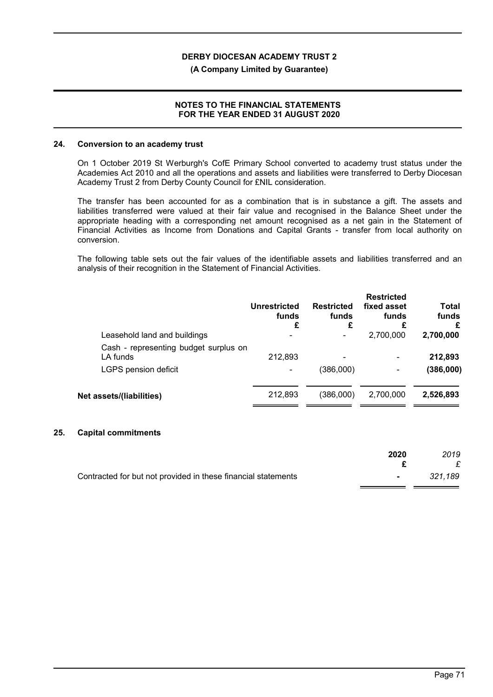### **(A Company Limited by Guarantee)**

## **NOTES TO THE FINANCIAL STATEMENTS FOR THE YEAR ENDED 31 AUGUST 2020**

### **24. Conversion to an academy trust**

On 1 October 2019 St Werburgh's CofE Primary School converted to academy trust status under the Academies Act 2010 and all the operations and assets and liabilities were transferred to Derby Diocesan Academy Trust 2 from Derby County Council for £NIL consideration.

The transfer has been accounted for as a combination that is in substance a gift. The assets and liabilities transferred were valued at their fair value and recognised in the Balance Sheet under the appropriate heading with a corresponding net amount recognised as a net gain in the Statement of Financial Activities as Income from Donations and Capital Grants - transfer from local authority on conversion.

The following table sets out the fair values of the identifiable assets and liabilities transferred and an analysis of their recognition in the Statement of Financial Activities.

|                                                   | Unrestricted<br>funds<br>£ | <b>Restricted</b><br>funds<br>£ | <b>Restricted</b><br>fixed asset<br>funds<br>£ | <b>Total</b><br>funds<br>£ |
|---------------------------------------------------|----------------------------|---------------------------------|------------------------------------------------|----------------------------|
| Leasehold land and buildings                      | $\overline{\phantom{a}}$   |                                 | 2,700,000                                      | 2,700,000                  |
| Cash - representing budget surplus on<br>LA funds | 212,893                    |                                 | $\overline{\phantom{a}}$                       | 212,893                    |
| LGPS pension deficit                              | ۰                          | (386,000)                       | ۰                                              | (386,000)                  |
| Net assets/(liabilities)                          | 212,893                    | (386,000)                       | 2,700,000                                      | 2,526,893                  |
|                                                   |                            |                                 |                                                |                            |

### **25. Capital commitments**

|                                                               | 2020             | 2019    |
|---------------------------------------------------------------|------------------|---------|
| Contracted for but not provided in these financial statements | $\sim$ 100 $\mu$ | 321,189 |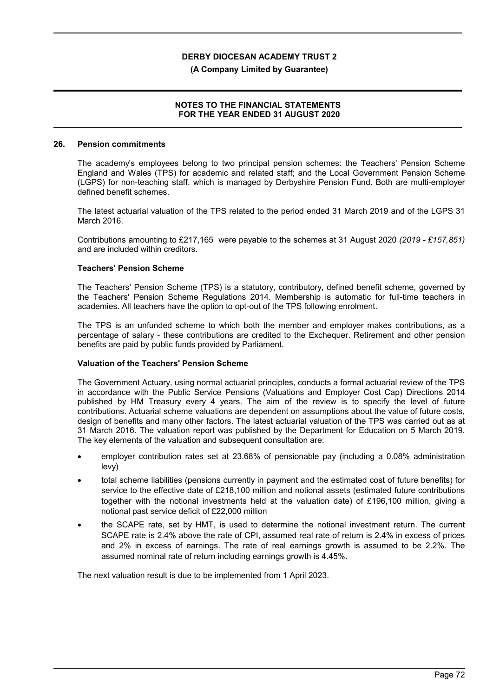### **(A Company Limited by Guarantee)**

## **NOTES TO THE FINANCIAL STATEMENTS FOR THE YEAR ENDED 31 AUGUST 2020**

#### **26. Pension commitments**

The academy's employees belong to two principal pension schemes: the Teachers' Pension Scheme England and Wales (TPS) for academic and related staff; and the Local Government Pension Scheme (LGPS) for non-teaching staff, which is managed by Derbyshire Pension Fund. Both are multi-employer defined benefit schemes.

The latest actuarial valuation of the TPS related to the period ended 31 March 2019 and of the LGPS 31 March 2016.

Contributions amounting to £217,165 were payable to the schemes at 31 August 2020 *(2019 - £157,851)* and are included within creditors.

### **Teachers' Pension Scheme**

The Teachers' Pension Scheme (TPS) is a statutory, contributory, defined benefit scheme, governed by the Teachers' Pension Scheme Regulations 2014. Membership is automatic for full-time teachers in academies. All teachers have the option to opt-out of the TPS following enrolment.

The TPS is an unfunded scheme to which both the member and employer makes contributions, as a percentage of salary - these contributions are credited to the Exchequer. Retirement and other pension benefits are paid by public funds provided by Parliament.

### **Valuation of the Teachers' Pension Scheme**

The Government Actuary, using normal actuarial principles, conducts a formal actuarial review of the TPS in accordance with the Public Service Pensions (Valuations and Employer Cost Cap) Directions 2014 published by HM Treasury every 4 years. The aim of the review is to specify the level of future contributions. Actuarial scheme valuations are dependent on assumptions about the value of future costs, design of benefits and many other factors. The latest actuarial valuation of the TPS was carried out as at 31 March 2016. The valuation report was published by the Department for Education on 5 March 2019. The key elements of the valuation and subsequent consultation are:

- employer contribution rates set at 23.68% of pensionable pay (including a 0.08% administration levy)
- total scheme liabilities (pensions currently in payment and the estimated cost of future benefits) for service to the effective date of £218,100 million and notional assets (estimated future contributions together with the notional investments held at the valuation date) of £196,100 million, giving a notional past service deficit of £22,000 million
- the SCAPE rate, set by HMT, is used to determine the notional investment return. The current SCAPE rate is 2.4% above the rate of CPI, assumed real rate of return is 2.4% in excess of prices and 2% in excess of earnings. The rate of real earnings growth is assumed to be 2.2%. The assumed nominal rate of return including earnings growth is 4.45%.

The next valuation result is due to be implemented from 1 April 2023.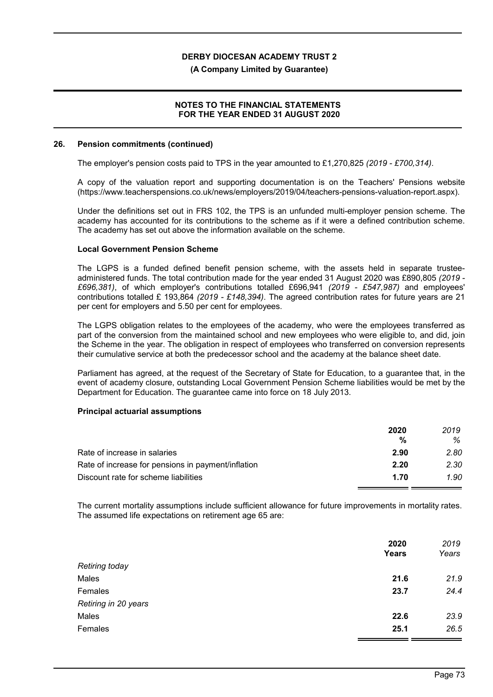### **(A Company Limited by Guarantee)**

## **NOTES TO THE FINANCIAL STATEMENTS FOR THE YEAR ENDED 31 AUGUST 2020**

#### **26. Pension commitments (continued)**

The employer's pension costs paid to TPS in the year amounted to £1,270,825 *(2019 - £700,314)*.

A copy of the valuation report and supporting documentation is on the Teachers' Pensions website (https://www.teacherspensions.co.uk/news/employers/2019/04/teachers-pensions-valuation-report.aspx).

Under the definitions set out in FRS 102, the TPS is an unfunded multi-employer pension scheme. The academy has accounted for its contributions to the scheme as if it were a defined contribution scheme. The academy has set out above the information available on the scheme.

## **Local Government Pension Scheme**

The LGPS is a funded defined benefit pension scheme, with the assets held in separate trusteeadministered funds. The total contribution made for the year ended 31 August 2020 was £890,805 *(2019 - £696,381)*, of which employer's contributions totalled £696,941 *(2019 - £547,987)* and employees' contributions totalled £ 193,864 *(2019 - £148,394)*. The agreed contribution rates for future years are 21 per cent for employers and 5.50 per cent for employees.

The LGPS obligation relates to the employees of the academy, who were the employees transferred as part of the conversion from the maintained school and new employees who were eligible to, and did, join the Scheme in the year. The obligation in respect of employees who transferred on conversion represents their cumulative service at both the predecessor school and the academy at the balance sheet date.

Parliament has agreed, at the request of the Secretary of State for Education, to a guarantee that, in the event of academy closure, outstanding Local Government Pension Scheme liabilities would be met by the Department for Education. The guarantee came into force on 18 July 2013.

### **Principal actuarial assumptions**

|                                                    | 2020 | 2019 |
|----------------------------------------------------|------|------|
|                                                    | %    | %    |
| Rate of increase in salaries                       | 2.90 | 2.80 |
| Rate of increase for pensions in payment/inflation | 2.20 | 2.30 |
| Discount rate for scheme liabilities               | 1.70 | 1.90 |

The current mortality assumptions include sufficient allowance for future improvements in mortality rates. The assumed life expectations on retirement age 65 are:

| 2020 | 2019<br>Years |
|------|---------------|
|      |               |
| 21.6 | 21.9          |
| 23.7 | 24.4          |
|      |               |
| 22.6 | 23.9          |
| 25.1 | 26.5          |
|      | Years         |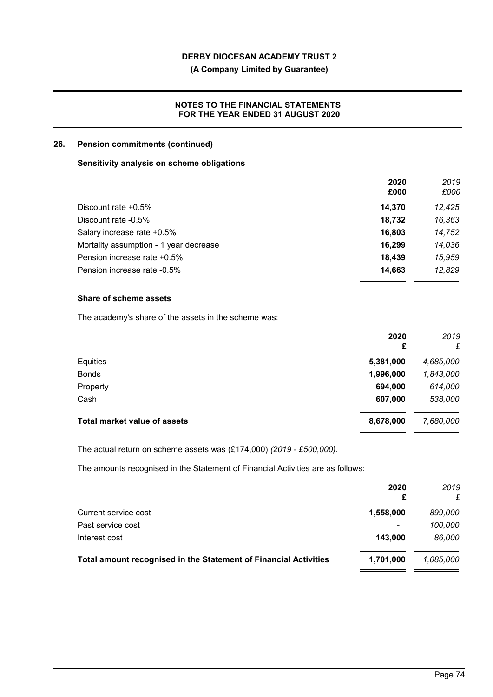# **(A Company Limited by Guarantee)**

## **NOTES TO THE FINANCIAL STATEMENTS FOR THE YEAR ENDED 31 AUGUST 2020**

## **26. Pension commitments (continued)**

## **Sensitivity analysis on scheme obligations**

|                                        | 2020   | 2019   |
|----------------------------------------|--------|--------|
|                                        | £000   | £000   |
| Discount rate $+0.5\%$                 | 14.370 | 12.425 |
| Discount rate -0.5%                    | 18,732 | 16,363 |
| Salary increase rate +0.5%             | 16,803 | 14,752 |
| Mortality assumption - 1 year decrease | 16,299 | 14,036 |
| Pension increase rate +0.5%            | 18.439 | 15,959 |
| Pension increase rate -0.5%            | 14,663 | 12,829 |
|                                        |        |        |

## **Share of scheme assets**

The academy's share of the assets in the scheme was:

|                                     | 2020<br>£ | 2019<br>£ |
|-------------------------------------|-----------|-----------|
| Equities                            | 5,381,000 | 4,685,000 |
| <b>Bonds</b>                        | 1,996,000 | 1,843,000 |
| Property                            | 694,000   | 614,000   |
| Cash                                | 607,000   | 538,000   |
| <b>Total market value of assets</b> | 8,678,000 | 7,680,000 |

The actual return on scheme assets was (£174,000) *(2019 - £500,000)*.

The amounts recognised in the Statement of Financial Activities are as follows:

|                                                                  | 2020<br>£      | 2019<br>£ |
|------------------------------------------------------------------|----------------|-----------|
| Current service cost                                             | 1,558,000      | 899,000   |
| Past service cost                                                | $\blacksquare$ | 100,000   |
| Interest cost                                                    | 143.000        | 86.000    |
| Total amount recognised in the Statement of Financial Activities | 1,701,000      | 1.085.000 |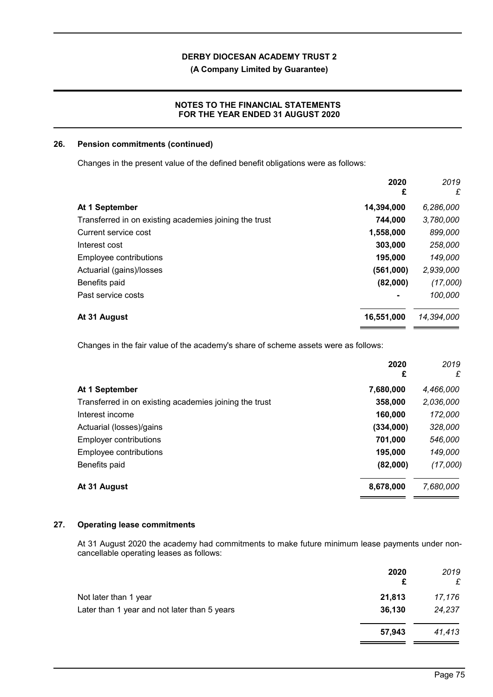**(A Company Limited by Guarantee)**

## **NOTES TO THE FINANCIAL STATEMENTS FOR THE YEAR ENDED 31 AUGUST 2020**

## **26. Pension commitments (continued)**

Changes in the present value of the defined benefit obligations were as follows:

|                                                        | 2020<br>£  | 2019<br>£  |
|--------------------------------------------------------|------------|------------|
| At 1 September                                         | 14,394,000 | 6,286,000  |
| Transferred in on existing academies joining the trust | 744,000    | 3,780,000  |
| Current service cost                                   | 1,558,000  | 899,000    |
| Interest cost                                          | 303,000    | 258,000    |
| Employee contributions                                 | 195,000    | 149,000    |
| Actuarial (gains)/losses                               | (561,000)  | 2,939,000  |
| Benefits paid                                          | (82,000)   | (17,000)   |
| Past service costs                                     | ٠          | 100,000    |
| At 31 August                                           | 16,551,000 | 14,394,000 |

Changes in the fair value of the academy's share of scheme assets were as follows:

|                                                        | 2020<br>£ | 2019<br>£ |
|--------------------------------------------------------|-----------|-----------|
| At 1 September                                         | 7,680,000 | 4,466,000 |
| Transferred in on existing academies joining the trust | 358,000   | 2,036,000 |
| Interest income                                        | 160,000   | 172,000   |
| Actuarial (losses)/gains                               | (334,000) | 328,000   |
| <b>Employer contributions</b>                          | 701,000   | 546,000   |
| Employee contributions                                 | 195,000   | 149,000   |
| Benefits paid                                          | (82,000)  | (17,000)  |
| At 31 August                                           | 8,678,000 | 7,680,000 |

## **27. Operating lease commitments**

At 31 August 2020 the academy had commitments to make future minimum lease payments under noncancellable operating leases as follows:

|                                              | 2020<br>£ | 2019<br>£ |
|----------------------------------------------|-----------|-----------|
| Not later than 1 year                        | 21,813    | 17,176    |
| Later than 1 year and not later than 5 years | 36,130    | 24,237    |
|                                              | 57,943    | 41,413    |

 $\overline{\phantom{a}}$